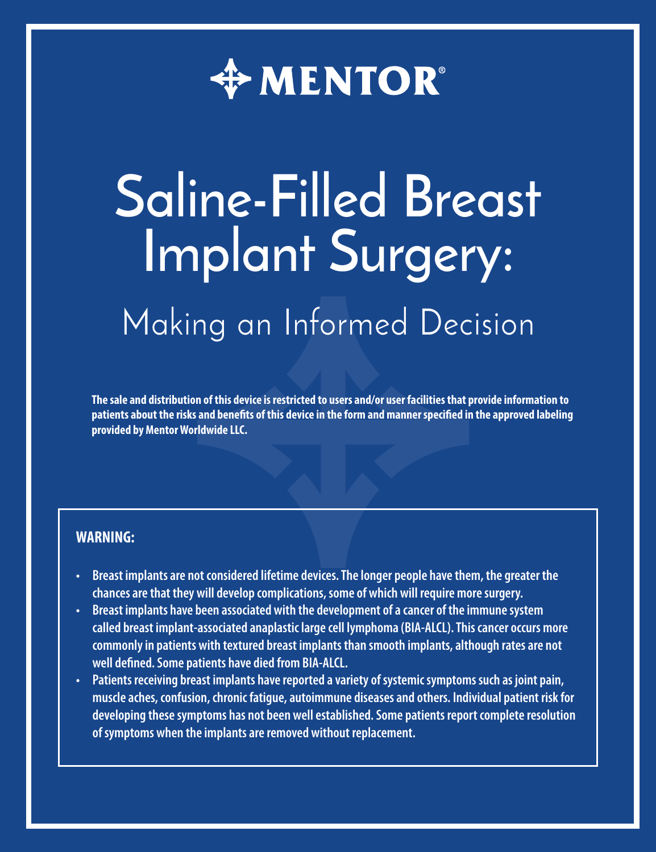

# **Saline-Filled Breast Implant Surgery:** Making an Informed Decision

**The sale and distribution of this device is restricted to users and/or user facilities that provide information to patients about the risks and benefits of this device in the form and manner specified in the approved labeling provided by Mentor Worldwide LLC.**

#### **WARNING:**

- **• Breast implants are not considered lifetime devices. The longer people have them, the greater the chances are that they will develop complications, some of which will require more surgery.**
- **• Breast implants have been associated with the development of a cancer of the immune system called breast implant-associated anaplastic large cell lymphoma (BIA-ALCL). This cancer occurs more commonly in patients with textured breast implants than smooth implants, although rates are not well defined. Some patients have died from BIA-ALCL.**
- **• Patients receiving breast implants have reported a variety of systemic symptoms such as joint pain, muscle aches, confusion, chronic fatigue, autoimmune diseases and others. Individual patient risk for developing these symptoms has not been well established. Some patients report complete resolution of symptoms when the implants are removed without replacement.**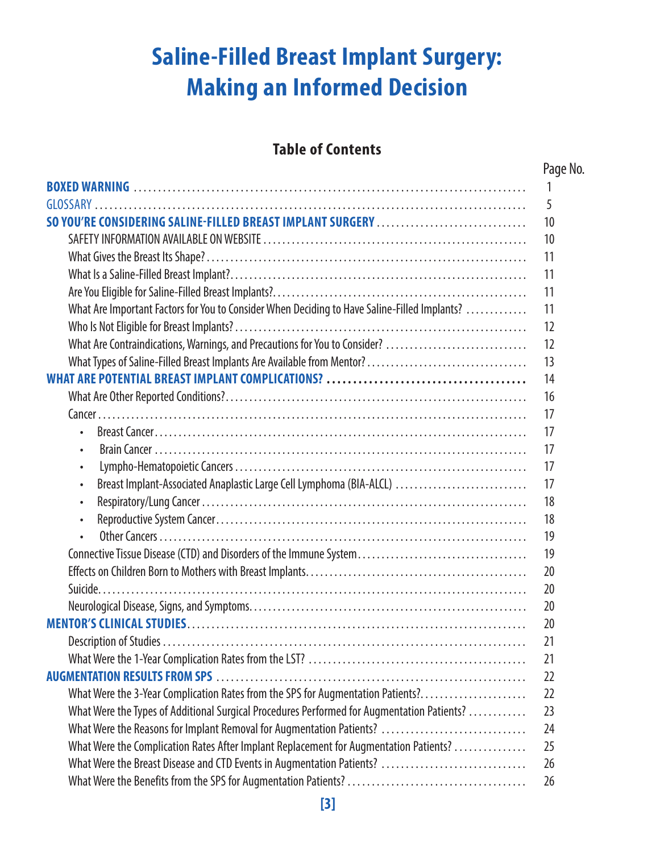# **Saline-Filled Breast Implant Surgery: Making an Informed Decision**

### **Table of Contents**

|                                                                                              | Page No. |
|----------------------------------------------------------------------------------------------|----------|
|                                                                                              | 1        |
|                                                                                              | 5        |
| SO YOU'RE CONSIDERING SALINE-FILLED BREAST IMPLANT SURGERY                                   | 10       |
|                                                                                              | 10       |
|                                                                                              | 11       |
|                                                                                              | 11       |
|                                                                                              | 11       |
| What Are Important Factors for You to Consider When Deciding to Have Saline-Filled Implants? | 11       |
|                                                                                              | 12       |
| What Are Contraindications, Warnings, and Precautions for You to Consider?                   | 12       |
| What Types of Saline-Filled Breast Implants Are Available from Mentor?                       | 13       |
|                                                                                              | 14       |
|                                                                                              | 16       |
|                                                                                              | 17       |
|                                                                                              | 17       |
|                                                                                              | 17       |
| ٠                                                                                            | 17       |
| Breast Implant-Associated Anaplastic Large Cell Lymphoma (BIA-ALCL)<br>٠                     | 17       |
| ٠                                                                                            | 18       |
| $\bullet$                                                                                    | 18       |
|                                                                                              | 19       |
| Connective Tissue Disease (CTD) and Disorders of the Immune System                           | 19       |
|                                                                                              | 20       |
|                                                                                              | 20       |
|                                                                                              | 20       |
|                                                                                              | 20       |
|                                                                                              | 21       |
|                                                                                              | 21       |
|                                                                                              | 22       |
| What Were the 3-Year Complication Rates from the SPS for Augmentation Patients?              | 22       |
| What Were the Types of Additional Surgical Procedures Performed for Augmentation Patients?   | 23       |
| What Were the Reasons for Implant Removal for Augmentation Patients?                         | 24       |
| What Were the Complication Rates After Implant Replacement for Augmentation Patients?        | 25       |
| What Were the Breast Disease and CTD Events in Augmentation Patients?                        | 26       |
|                                                                                              | 26       |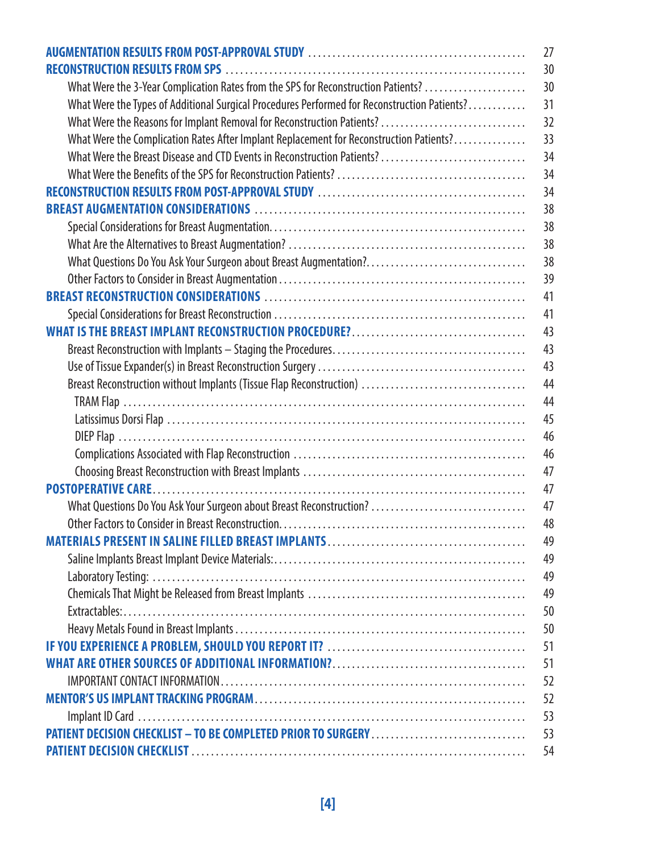|                                                                                              | 27 |
|----------------------------------------------------------------------------------------------|----|
|                                                                                              | 30 |
| What Were the 3-Year Complication Rates from the SPS for Reconstruction Patients?            | 30 |
| What Were the Types of Additional Surgical Procedures Performed for Reconstruction Patients? | 31 |
| What Were the Reasons for Implant Removal for Reconstruction Patients?                       | 32 |
| What Were the Complication Rates After Implant Replacement for Reconstruction Patients?      | 33 |
| What Were the Breast Disease and CTD Events in Reconstruction Patients?                      | 34 |
|                                                                                              | 34 |
|                                                                                              | 34 |
|                                                                                              | 38 |
|                                                                                              | 38 |
|                                                                                              | 38 |
| What Questions Do You Ask Your Surgeon about Breast Augmentation?                            | 38 |
|                                                                                              | 39 |
|                                                                                              | 41 |
|                                                                                              | 41 |
|                                                                                              | 43 |
|                                                                                              | 43 |
|                                                                                              | 43 |
| Breast Reconstruction without Implants (Tissue Flap Reconstruction)                          | 44 |
|                                                                                              | 44 |
|                                                                                              | 45 |
|                                                                                              | 46 |
|                                                                                              | 46 |
|                                                                                              | 47 |
|                                                                                              | 47 |
| What Questions Do You Ask Your Surgeon about Breast Reconstruction?                          | 47 |
|                                                                                              | 48 |
|                                                                                              | 49 |
|                                                                                              | 49 |
|                                                                                              | 49 |
|                                                                                              | 49 |
|                                                                                              | 50 |
|                                                                                              | 50 |
|                                                                                              | 51 |
|                                                                                              | 51 |
|                                                                                              | 52 |
|                                                                                              | 52 |
|                                                                                              | 53 |
| PATIENT DECISION CHECKLIST - TO BE COMPLETED PRIOR TO SURGERY                                | 53 |
|                                                                                              | 54 |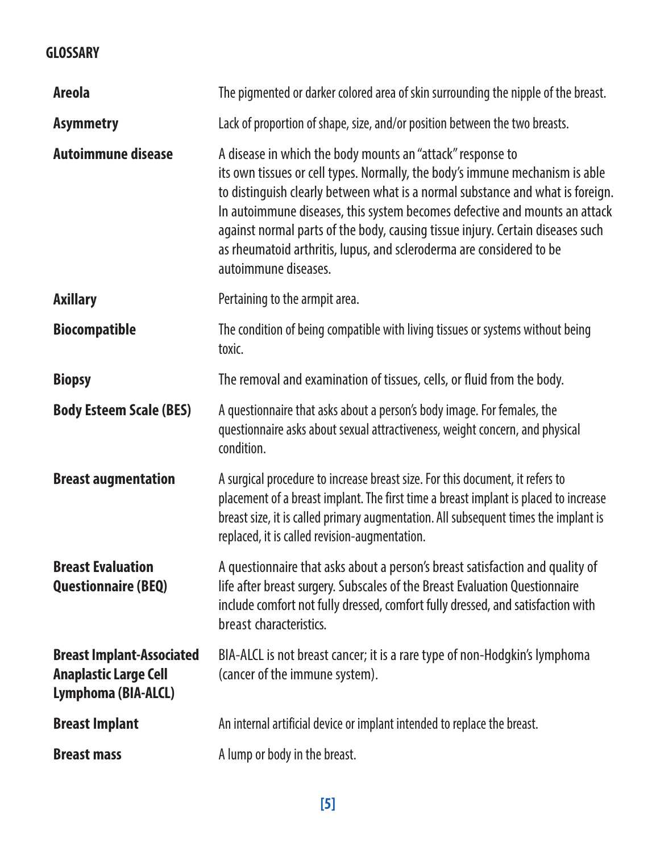#### **GLOSSARY**

| <b>Areola</b>                                                                    | The pigmented or darker colored area of skin surrounding the nipple of the breast.                                                                                                                                                                                                                                                                                                                                                                                                           |
|----------------------------------------------------------------------------------|----------------------------------------------------------------------------------------------------------------------------------------------------------------------------------------------------------------------------------------------------------------------------------------------------------------------------------------------------------------------------------------------------------------------------------------------------------------------------------------------|
| <b>Asymmetry</b>                                                                 | Lack of proportion of shape, size, and/or position between the two breasts.                                                                                                                                                                                                                                                                                                                                                                                                                  |
| <b>Autoimmune disease</b>                                                        | A disease in which the body mounts an "attack" response to<br>its own tissues or cell types. Normally, the body's immune mechanism is able<br>to distinguish clearly between what is a normal substance and what is foreign.<br>In autoimmune diseases, this system becomes defective and mounts an attack<br>against normal parts of the body, causing tissue injury. Certain diseases such<br>as rheumatoid arthritis, lupus, and scleroderma are considered to be<br>autoimmune diseases. |
| <b>Axillary</b>                                                                  | Pertaining to the armpit area.                                                                                                                                                                                                                                                                                                                                                                                                                                                               |
| <b>Biocompatible</b>                                                             | The condition of being compatible with living tissues or systems without being<br>toxic.                                                                                                                                                                                                                                                                                                                                                                                                     |
| <b>Biopsy</b>                                                                    | The removal and examination of tissues, cells, or fluid from the body.                                                                                                                                                                                                                                                                                                                                                                                                                       |
| <b>Body Esteem Scale (BES)</b>                                                   | A questionnaire that asks about a person's body image. For females, the<br>questionnaire asks about sexual attractiveness, weight concern, and physical<br>condition.                                                                                                                                                                                                                                                                                                                        |
| <b>Breast augmentation</b>                                                       | A surgical procedure to increase breast size. For this document, it refers to<br>placement of a breast implant. The first time a breast implant is placed to increase<br>breast size, it is called primary augmentation. All subsequent times the implant is<br>replaced, it is called revision-augmentation.                                                                                                                                                                                |
| <b>Breast Evaluation</b><br>Questionnaire (BEQ)                                  | A questionnaire that asks about a person's breast satisfaction and quality of<br>life after breast surgery. Subscales of the Breast Evaluation Questionnaire<br>include comfort not fully dressed, comfort fully dressed, and satisfaction with<br>breast characteristics.                                                                                                                                                                                                                   |
| <b>Breast Implant-Associated</b><br>Anaplastic Large Cell<br>Lymphoma (BIA-ALCL) | BIA-ALCL is not breast cancer; it is a rare type of non-Hodgkin's lymphoma<br>(cancer of the immune system).                                                                                                                                                                                                                                                                                                                                                                                 |
| <b>Breast Implant</b>                                                            | An internal artificial device or implant intended to replace the breast.                                                                                                                                                                                                                                                                                                                                                                                                                     |
| <b>Breast mass</b>                                                               | A lump or body in the breast.                                                                                                                                                                                                                                                                                                                                                                                                                                                                |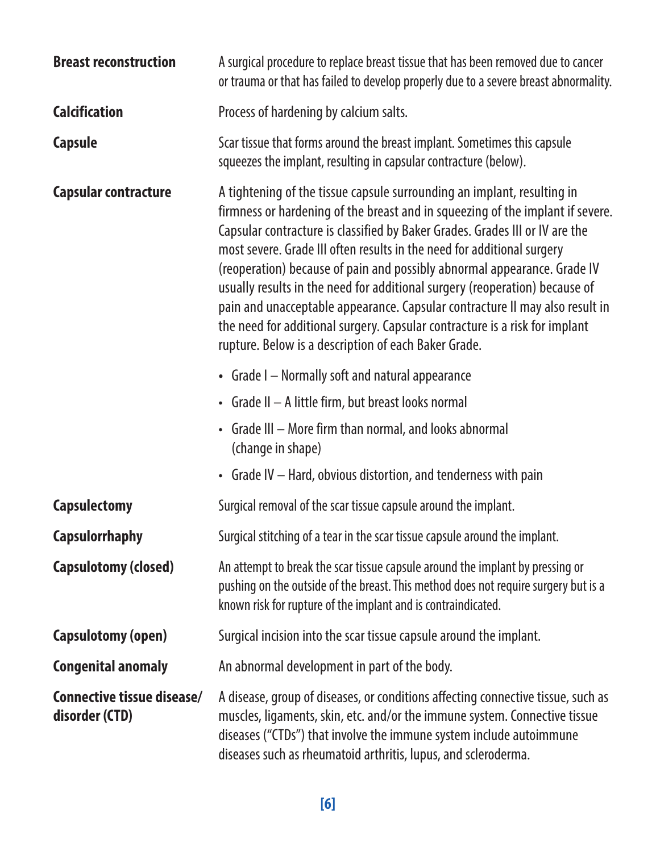| <b>Breast reconstruction</b>                 | A surgical procedure to replace breast tissue that has been removed due to cancer<br>or trauma or that has failed to develop properly due to a severe breast abnormality.                                                                                                                                                                                                                                                                                                                                                                                                                                                                                                                              |  |
|----------------------------------------------|--------------------------------------------------------------------------------------------------------------------------------------------------------------------------------------------------------------------------------------------------------------------------------------------------------------------------------------------------------------------------------------------------------------------------------------------------------------------------------------------------------------------------------------------------------------------------------------------------------------------------------------------------------------------------------------------------------|--|
| <b>Calcification</b>                         | Process of hardening by calcium salts.                                                                                                                                                                                                                                                                                                                                                                                                                                                                                                                                                                                                                                                                 |  |
| Capsule                                      | Scar tissue that forms around the breast implant. Sometimes this capsule<br>squeezes the implant, resulting in capsular contracture (below).                                                                                                                                                                                                                                                                                                                                                                                                                                                                                                                                                           |  |
| Capsular contracture                         | A tightening of the tissue capsule surrounding an implant, resulting in<br>firmness or hardening of the breast and in squeezing of the implant if severe.<br>Capsular contracture is classified by Baker Grades. Grades III or IV are the<br>most severe. Grade III often results in the need for additional surgery<br>(reoperation) because of pain and possibly abnormal appearance. Grade IV<br>usually results in the need for additional surgery (reoperation) because of<br>pain and unacceptable appearance. Capsular contracture II may also result in<br>the need for additional surgery. Capsular contracture is a risk for implant<br>rupture. Below is a description of each Baker Grade. |  |
|                                              | • Grade I - Normally soft and natural appearance                                                                                                                                                                                                                                                                                                                                                                                                                                                                                                                                                                                                                                                       |  |
|                                              | • Grade II - A little firm, but breast looks normal                                                                                                                                                                                                                                                                                                                                                                                                                                                                                                                                                                                                                                                    |  |
|                                              | • Grade III - More firm than normal, and looks abnormal<br>(change in shape)                                                                                                                                                                                                                                                                                                                                                                                                                                                                                                                                                                                                                           |  |
|                                              | • Grade IV - Hard, obvious distortion, and tenderness with pain                                                                                                                                                                                                                                                                                                                                                                                                                                                                                                                                                                                                                                        |  |
| <b>Capsulectomy</b>                          | Surgical removal of the scar tissue capsule around the implant.                                                                                                                                                                                                                                                                                                                                                                                                                                                                                                                                                                                                                                        |  |
| <b>Capsulorrhaphy</b>                        | Surgical stitching of a tear in the scar tissue capsule around the implant.                                                                                                                                                                                                                                                                                                                                                                                                                                                                                                                                                                                                                            |  |
| Capsulotomy (closed)                         | An attempt to break the scar tissue capsule around the implant by pressing or<br>pushing on the outside of the breast. This method does not require surgery but is a<br>known risk for rupture of the implant and is contraindicated.                                                                                                                                                                                                                                                                                                                                                                                                                                                                  |  |
| <b>Capsulotomy (open)</b>                    | Surgical incision into the scar tissue capsule around the implant.                                                                                                                                                                                                                                                                                                                                                                                                                                                                                                                                                                                                                                     |  |
| <b>Congenital anomaly</b>                    | An abnormal development in part of the body.                                                                                                                                                                                                                                                                                                                                                                                                                                                                                                                                                                                                                                                           |  |
| Connective tissue disease/<br>disorder (CTD) | A disease, group of diseases, or conditions affecting connective tissue, such as<br>muscles, ligaments, skin, etc. and/or the immune system. Connective tissue<br>diseases ("CTDs") that involve the immune system include autoimmune<br>diseases such as rheumatoid arthritis, lupus, and scleroderma.                                                                                                                                                                                                                                                                                                                                                                                                |  |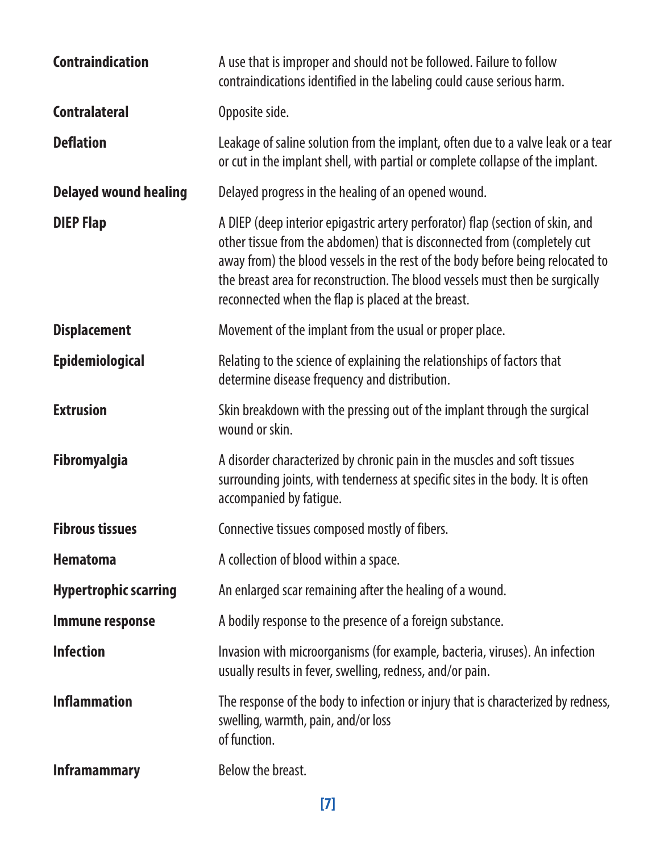| <b>Contraindication</b>      | A use that is improper and should not be followed. Failure to follow<br>contraindications identified in the labeling could cause serious harm.                                                                                                                                                                                                                                      |  |
|------------------------------|-------------------------------------------------------------------------------------------------------------------------------------------------------------------------------------------------------------------------------------------------------------------------------------------------------------------------------------------------------------------------------------|--|
| <b>Contralateral</b>         | Opposite side.                                                                                                                                                                                                                                                                                                                                                                      |  |
| <b>Deflation</b>             | Leakage of saline solution from the implant, often due to a valve leak or a tear<br>or cut in the implant shell, with partial or complete collapse of the implant.                                                                                                                                                                                                                  |  |
| <b>Delayed wound healing</b> | Delayed progress in the healing of an opened wound.                                                                                                                                                                                                                                                                                                                                 |  |
| <b>DIEP Flap</b>             | A DIEP (deep interior epigastric artery perforator) flap (section of skin, and<br>other tissue from the abdomen) that is disconnected from (completely cut<br>away from) the blood vessels in the rest of the body before being relocated to<br>the breast area for reconstruction. The blood vessels must then be surgically<br>reconnected when the flap is placed at the breast. |  |
| <b>Displacement</b>          | Movement of the implant from the usual or proper place.                                                                                                                                                                                                                                                                                                                             |  |
| Epidemiological              | Relating to the science of explaining the relationships of factors that<br>determine disease frequency and distribution.                                                                                                                                                                                                                                                            |  |
| <b>Extrusion</b>             | Skin breakdown with the pressing out of the implant through the surgical<br>wound or skin.                                                                                                                                                                                                                                                                                          |  |
| <b>Fibromyalgia</b>          | A disorder characterized by chronic pain in the muscles and soft tissues<br>surrounding joints, with tenderness at specific sites in the body. It is often<br>accompanied by fatique.                                                                                                                                                                                               |  |
| <b>Fibrous tissues</b>       | Connective tissues composed mostly of fibers.                                                                                                                                                                                                                                                                                                                                       |  |
| Hematoma                     | A collection of blood within a space.                                                                                                                                                                                                                                                                                                                                               |  |
| <b>Hypertrophic scarring</b> | An enlarged scar remaining after the healing of a wound.                                                                                                                                                                                                                                                                                                                            |  |
| Immune response              | A bodily response to the presence of a foreign substance.                                                                                                                                                                                                                                                                                                                           |  |
| <b>Infection</b>             | Invasion with microorganisms (for example, bacteria, viruses). An infection<br>usually results in fever, swelling, redness, and/or pain.                                                                                                                                                                                                                                            |  |
| <b>Inflammation</b>          | The response of the body to infection or injury that is characterized by redness,<br>swelling, warmth, pain, and/or loss<br>of function.                                                                                                                                                                                                                                            |  |
| <b>Inframammary</b>          | Below the breast.                                                                                                                                                                                                                                                                                                                                                                   |  |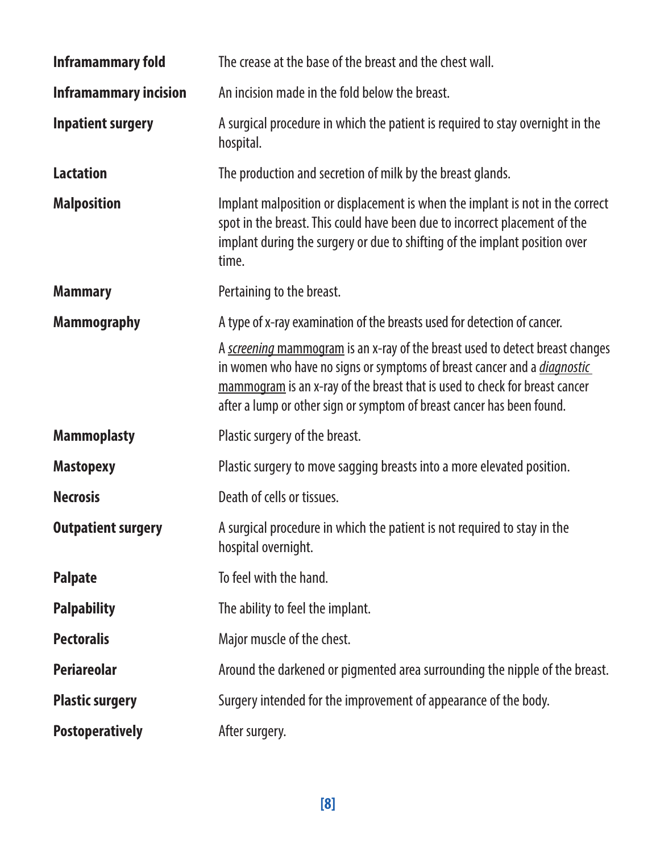| Inframammary fold            | The crease at the base of the breast and the chest wall.                                                                                                                                                                                                                                                                  |  |
|------------------------------|---------------------------------------------------------------------------------------------------------------------------------------------------------------------------------------------------------------------------------------------------------------------------------------------------------------------------|--|
| <b>Inframammary incision</b> | An incision made in the fold below the breast.                                                                                                                                                                                                                                                                            |  |
| <b>Inpatient surgery</b>     | A surgical procedure in which the patient is required to stay overnight in the<br>hospital.                                                                                                                                                                                                                               |  |
| <b>Lactation</b>             | The production and secretion of milk by the breast glands.                                                                                                                                                                                                                                                                |  |
| <b>Malposition</b>           | Implant malposition or displacement is when the implant is not in the correct<br>spot in the breast. This could have been due to incorrect placement of the<br>implant during the surgery or due to shifting of the implant position over<br>time.                                                                        |  |
| <b>Mammary</b>               | Pertaining to the breast.                                                                                                                                                                                                                                                                                                 |  |
| <b>Mammography</b>           | A type of x-ray examination of the breasts used for detection of cancer.                                                                                                                                                                                                                                                  |  |
|                              | A screening mammogram is an x-ray of the breast used to detect breast changes<br>in women who have no signs or symptoms of breast cancer and a <i>diagnostic</i><br>mammogram is an x-ray of the breast that is used to check for breast cancer<br>after a lump or other sign or symptom of breast cancer has been found. |  |
| <b>Mammoplasty</b>           | Plastic surgery of the breast.                                                                                                                                                                                                                                                                                            |  |
| <b>Mastopexy</b>             | Plastic surgery to move sagging breasts into a more elevated position.                                                                                                                                                                                                                                                    |  |
| <b>Necrosis</b>              | Death of cells or tissues.                                                                                                                                                                                                                                                                                                |  |
| <b>Outpatient surgery</b>    | A surgical procedure in which the patient is not required to stay in the<br>hospital overnight.                                                                                                                                                                                                                           |  |
| <b>Palpate</b>               | To feel with the hand.                                                                                                                                                                                                                                                                                                    |  |
| <b>Palpability</b>           | The ability to feel the implant.                                                                                                                                                                                                                                                                                          |  |
| <b>Pectoralis</b>            | Major muscle of the chest.                                                                                                                                                                                                                                                                                                |  |
| <b>Periareolar</b>           | Around the darkened or pigmented area surrounding the nipple of the breast.                                                                                                                                                                                                                                               |  |
| <b>Plastic surgery</b>       | Surgery intended for the improvement of appearance of the body.                                                                                                                                                                                                                                                           |  |
| <b>Postoperatively</b>       | After surgery.                                                                                                                                                                                                                                                                                                            |  |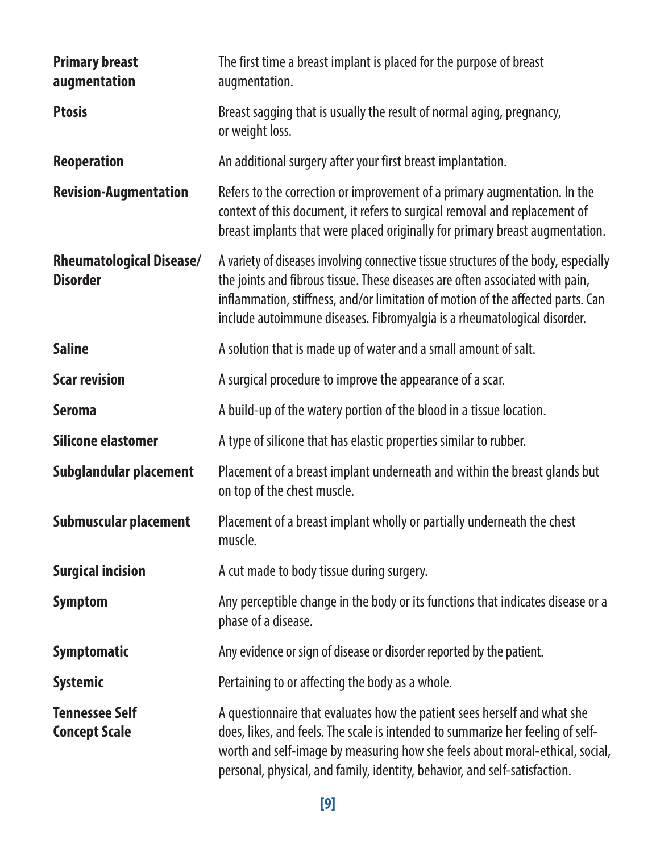| <b>Primary breast</b><br>augmentation              | The first time a breast implant is placed for the purpose of breast<br>augmentation.                                                                                                                                                                                                                                                 |  |
|----------------------------------------------------|--------------------------------------------------------------------------------------------------------------------------------------------------------------------------------------------------------------------------------------------------------------------------------------------------------------------------------------|--|
| <b>Ptosis</b>                                      | Breast sagging that is usually the result of normal aging, pregnancy,<br>or weight loss.                                                                                                                                                                                                                                             |  |
| Reoperation                                        | An additional surgery after your first breast implantation.                                                                                                                                                                                                                                                                          |  |
| <b>Revision-Augmentation</b>                       | Refers to the correction or improvement of a primary augmentation. In the<br>context of this document, it refers to surgical removal and replacement of<br>breast implants that were placed originally for primary breast augmentation.                                                                                              |  |
| <b>Rheumatological Disease/</b><br><b>Disorder</b> | A variety of diseases involving connective tissue structures of the body, especially<br>the joints and fibrous tissue. These diseases are often associated with pain,<br>inflammation, stiffness, and/or limitation of motion of the affected parts. Can<br>include autoimmune diseases. Fibromyalgia is a rheumatological disorder. |  |
| <b>Saline</b>                                      | A solution that is made up of water and a small amount of salt.                                                                                                                                                                                                                                                                      |  |
| <b>Scar revision</b>                               | A surgical procedure to improve the appearance of a scar.                                                                                                                                                                                                                                                                            |  |
| Seroma                                             | A build-up of the watery portion of the blood in a tissue location.                                                                                                                                                                                                                                                                  |  |
| Silicone elastomer                                 | A type of silicone that has elastic properties similar to rubber.                                                                                                                                                                                                                                                                    |  |
| Subglandular placement                             | Placement of a breast implant underneath and within the breast glands but<br>on top of the chest muscle.                                                                                                                                                                                                                             |  |
| Submuscular placement                              | Placement of a breast implant wholly or partially underneath the chest<br>muscle.                                                                                                                                                                                                                                                    |  |
| <b>Surgical incision</b>                           | A cut made to body tissue during surgery.                                                                                                                                                                                                                                                                                            |  |
| Symptom                                            | Any perceptible change in the body or its functions that indicates disease or a<br>phase of a disease.                                                                                                                                                                                                                               |  |
| <b>Symptomatic</b>                                 | Any evidence or sign of disease or disorder reported by the patient.                                                                                                                                                                                                                                                                 |  |
| <b>Systemic</b>                                    | Pertaining to or affecting the body as a whole.                                                                                                                                                                                                                                                                                      |  |
| <b>Tennessee Self</b><br><b>Concept Scale</b>      | A questionnaire that evaluates how the patient sees herself and what she<br>does, likes, and feels. The scale is intended to summarize her feeling of self-<br>worth and self-image by measuring how she feels about moral-ethical, social,<br>personal, physical, and family, identity, behavior, and self-satisfaction.            |  |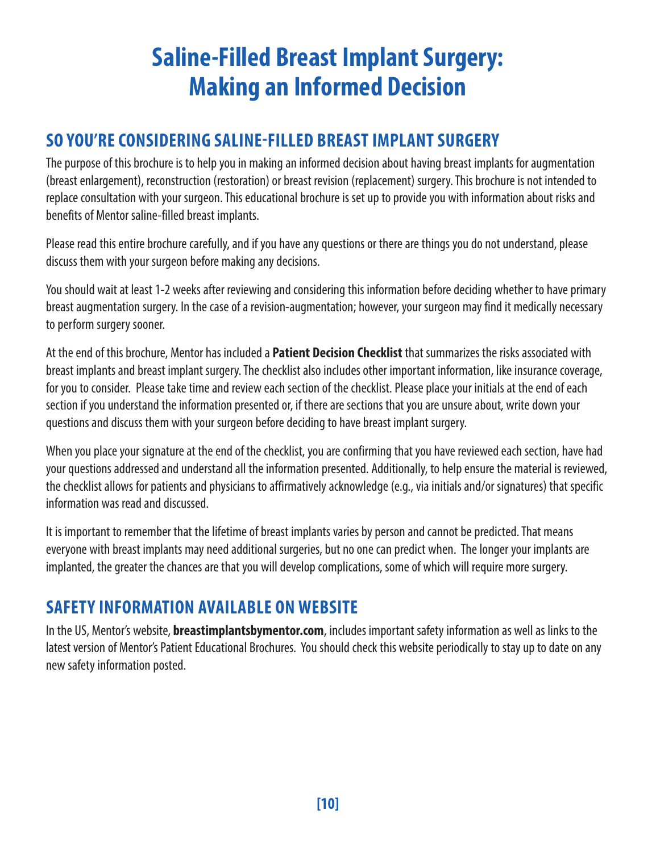# **Saline-Filled Breast Implant Surgery: Making an Informed Decision**

### **SO YOU'RE CONSIDERING SALINE-FILLED BREAST IMPLANT SURGERY**

The purpose of this brochure is to help you in making an informed decision about having breast implants for augmentation (breast enlargement), reconstruction (restoration) or breast revision (replacement) surgery. This brochure is not intended to replace consultation with your surgeon. This educational brochure is set up to provide you with information about risks and benefits of Mentor saline-filled breast implants.

Please read this entire brochure carefully, and if you have any questions or there are things you do not understand, please discuss them with your surgeon before making any decisions.

You should wait at least 1-2 weeks after reviewing and considering this information before deciding whether to have primary breast augmentation surgery. In the case of a revision-augmentation; however, your surgeon may find it medically necessary to perform surgery sooner.

At the end of this brochure, Mentor has included a **Patient Decision Checklist** that summarizes the risks associated with breast implants and breast implant surgery. The checklist also includes other important information, like insurance coverage, for you to consider. Please take time and review each section of the checklist. Please place your initials at the end of each section if you understand the information presented or, if there are sections that you are unsure about, write down your questions and discuss them with your surgeon before deciding to have breast implant surgery.

When you place your signature at the end of the checklist, you are confirming that you have reviewed each section, have had your questions addressed and understand all the information presented. Additionally, to help ensure the material is reviewed, the checklist allows for patients and physicians to affirmatively acknowledge (e.g., via initials and/or signatures) that specific information was read and discussed.

It is important to remember that the lifetime of breast implants varies by person and cannot be predicted. That means everyone with breast implants may need additional surgeries, but no one can predict when. The longer your implants are implanted, the greater the chances are that you will develop complications, some of which will require more surgery.

### **SAFETY INFORMATION AVAILABLE ON WEBSITE**

In the US, Mentor's website, **[breastimplantsbymentor.com](http://breastimplantsbymentor.com)**, includes important safety information as well as links to the latest version of Mentor's Patient Educational Brochures. You should check this website periodically to stay up to date on any new safety information posted.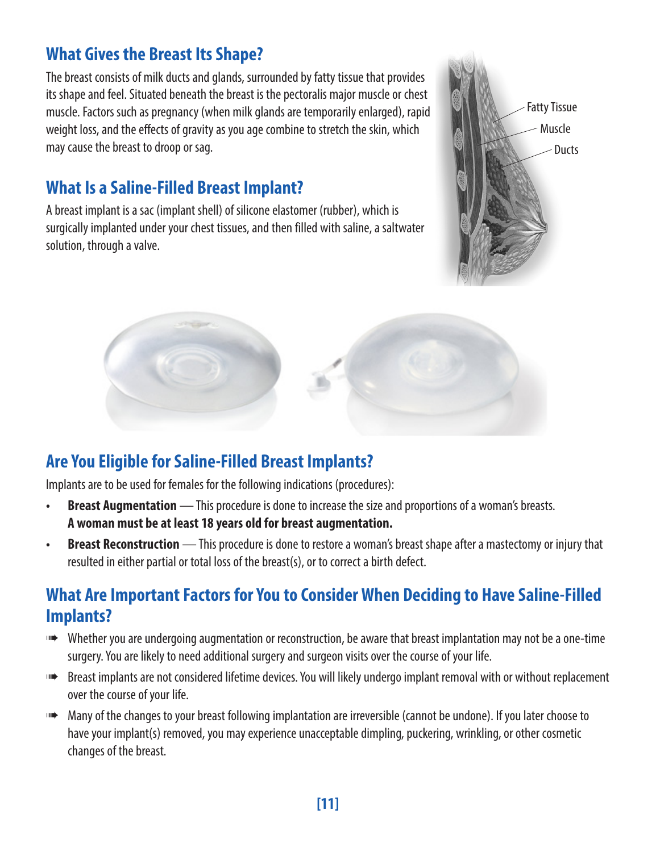### **What Gives the Breast Its Shape?**

The breast consists of milk ducts and glands, surrounded by fatty tissue that provides its shape and feel. Situated beneath the breast is the pectoralis major muscle or chest muscle. Factors such as pregnancy (when milk glands are temporarily enlarged), rapid weight loss, and the effects of gravity as you age combine to stretch the skin, which may cause the breast to droop or sag.

### **What Is a Saline-Filled Breast Implant?**

A breast implant is a sac (implant shell) of silicone elastomer (rubber), which is surgically implanted under your chest tissues, and then filled with saline, a saltwater solution, through a valve.





### **Are You Eligible for Saline-Filled Breast Implants?**

Implants are to be used for females for the following indications (procedures):

- **• Breast Augmentation** This procedure is done to increase the size and proportions of a woman's breasts. **A woman must be at least 18 years old for breast augmentation.**
- **• Breast Reconstruction** This procedure is done to restore a woman's breast shape after a mastectomy or injury that resulted in either partial or total loss of the breast(s), or to correct a birth defect.

### **What Are Important Factors for You to Consider When Deciding to Have Saline-Filled Implants?**

- ➠ Whether you are undergoing augmentation or reconstruction, be aware that breast implantation may not be a one-time surgery. You are likely to need additional surgery and surgeon visits over the course of your life.
- ➠ Breast implants are not considered lifetime devices. You will likely undergo implant removal with or without replacement over the course of your life.
- ➠ Many of the changes to your breast following implantation are irreversible (cannot be undone). If you later choose to have your implant(s) removed, you may experience unacceptable dimpling, puckering, wrinkling, or other cosmetic changes of the breast.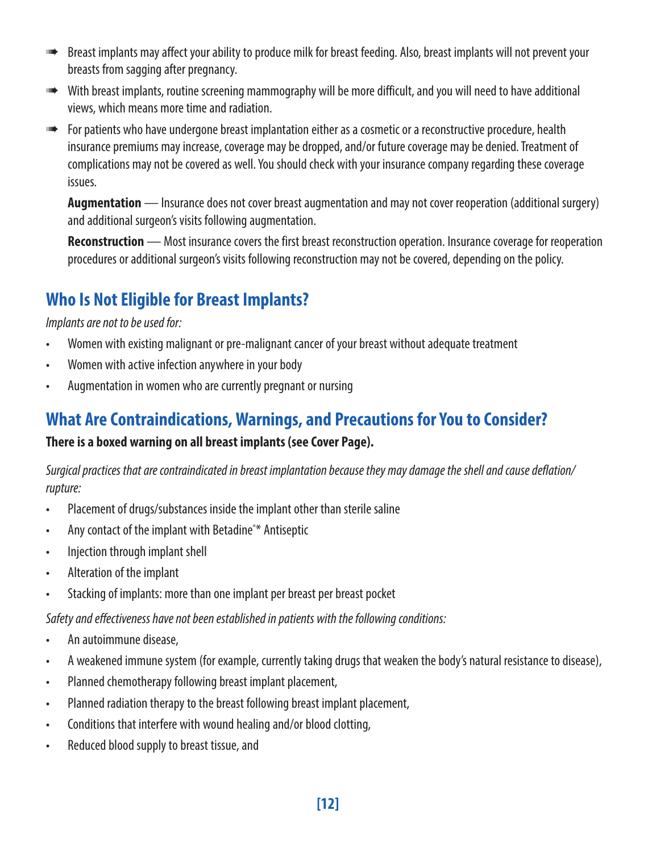- **Breast implants may affect your ability to produce milk for breast feeding. Also, breast implants will not prevent your** breasts from sagging after pregnancy.
- ➠ With breast implants, routine screening mammography will be more difficult, and you will need to have additional views, which means more time and radiation.
- ➠ For patients who have undergone breast implantation either as a cosmetic or a reconstructive procedure, health insurance premiums may increase, coverage may be dropped, and/or future coverage may be denied. Treatment of complications may not be covered as well. You should check with your insurance company regarding these coverage issues.

**Augmentation** — Insurance does not cover breast augmentation and may not cover reoperation (additional surgery) and additional surgeon's visits following augmentation.

**Reconstruction** — Most insurance covers the first breast reconstruction operation. Insurance coverage for reoperation procedures or additional surgeon's visits following reconstruction may not be covered, depending on the policy.

### **Who Is Not Eligible for Breast Implants?**

*Implants are not to be used for:*

- Women with existing malignant or pre-malignant cancer of your breast without adequate treatment
- Women with active infection anywhere in your body
- Augmentation in women who are currently pregnant or nursing

### **What Are Contraindications, Warnings, and Precautions for You to Consider?**

#### **There is a boxed warning on all breast implants (see Cover Page).**

*Surgical practices that are contraindicated in breast implantation because they may damage the shell and cause deflation/ rupture:*

- Placement of drugs/substances inside the implant other than sterile saline
- Any contact of the implant with Betadine<sup>®\*</sup> Antiseptic
- Injection through implant shell
- Alteration of the implant
- Stacking of implants: more than one implant per breast per breast pocket

*Safety and effectiveness have not been established in patients with the following conditions:*

- An autoimmune disease,
- A weakened immune system (for example, currently taking drugs that weaken the body's natural resistance to disease),
- Planned chemotherapy following breast implant placement,
- Planned radiation therapy to the breast following breast implant placement,
- Conditions that interfere with wound healing and/or blood clotting,
- Reduced blood supply to breast tissue, and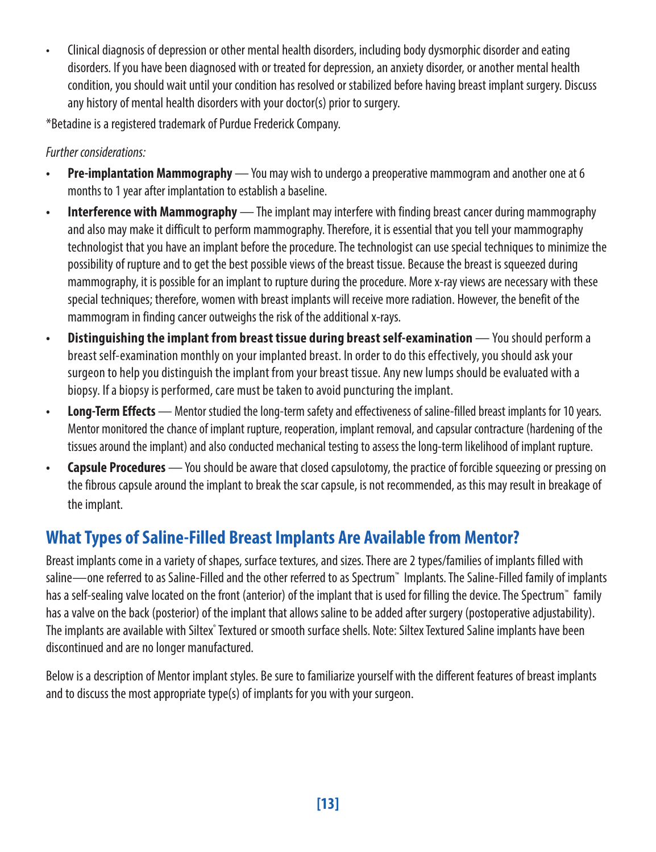• Clinical diagnosis of depression or other mental health disorders, including body dysmorphic disorder and eating disorders. If you have been diagnosed with or treated for depression, an anxiety disorder, or another mental health condition, you should wait until your condition has resolved or stabilized before having breast implant surgery. Discuss any history of mental health disorders with your doctor(s) prior to surgery.

\*Betadine is a registered trademark of Purdue Frederick Company.

#### *Further considerations:*

- **• Pre-implantation Mammography** You may wish to undergo a preoperative mammogram and another one at 6 months to 1 year after implantation to establish a baseline.
- **• Interference with Mammography** The implant may interfere with finding breast cancer during mammography and also may make it difficult to perform mammography. Therefore, it is essential that you tell your mammography technologist that you have an implant before the procedure. The technologist can use special techniques to minimize the possibility of rupture and to get the best possible views of the breast tissue. Because the breast is squeezed during mammography, it is possible for an implant to rupture during the procedure. More x-ray views are necessary with these special techniques; therefore, women with breast implants will receive more radiation. However, the benefit of the mammogram in finding cancer outweighs the risk of the additional x-rays.
- **• Distinguishing the implant from breast tissue during breast self-examination** You should perform a breast self-examination monthly on your implanted breast. In order to do this effectively, you should ask your surgeon to help you distinguish the implant from your breast tissue. Any new lumps should be evaluated with a biopsy. If a biopsy is performed, care must be taken to avoid puncturing the implant.
- **• Long-Term Effects** Mentor studied the long-term safety and effectiveness of saline-filled breast implants for 10 years. Mentor monitored the chance of implant rupture, reoperation, implant removal, and capsular contracture (hardening of the tissues around the implant) and also conducted mechanical testing to assess the long-term likelihood of implant rupture.
- **• Capsule Procedures** You should be aware that closed capsulotomy, the practice of forcible squeezing or pressing on the fibrous capsule around the implant to break the scar capsule, is not recommended, as this may result in breakage of the implant.

### **What Types of Saline-Filled Breast Implants Are Available from Mentor?**

Breast implants come in a variety of shapes, surface textures, and sizes. There are 2 types/families of implants filled with saline—one referred to as Saline-Filled and the other referred to as Spectrum™ Implants. The Saline-Filled family of implants has a self-sealing valve located on the front (anterior) of the implant that is used for filling the device. The Spectrum™ family has a valve on the back (posterior) of the implant that allows saline to be added after surgery (postoperative adjustability). The implants are available with Siltex" Textured or smooth surface shells. Note: Siltex Textured Saline implants have been discontinued and are no longer manufactured.

Below is a description of Mentor implant styles. Be sure to familiarize yourself with the different features of breast implants and to discuss the most appropriate type(s) of implants for you with your surgeon.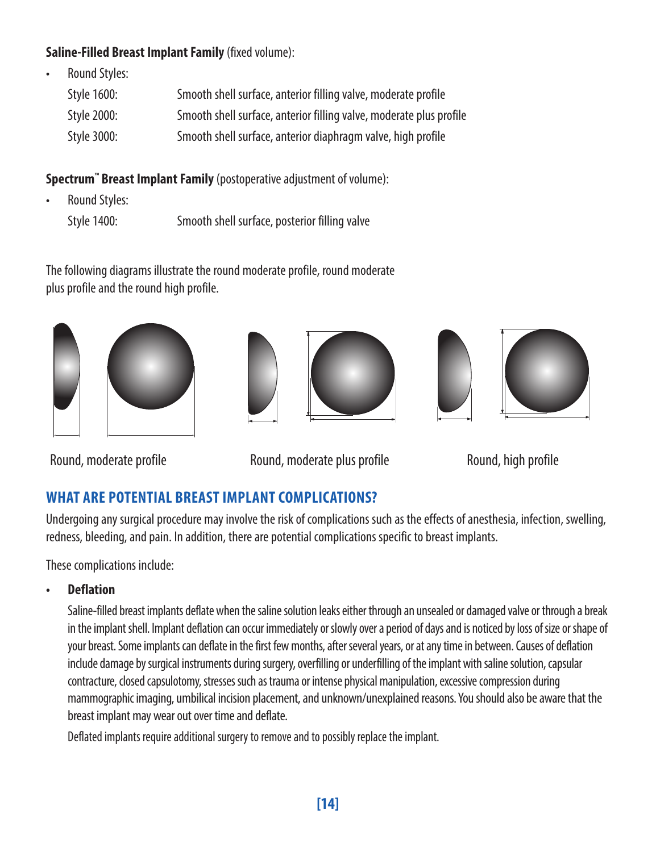#### **Saline-Filled Breast Implant Family** (fixed volume):

• Round Styles:

| Style 1600: | Smooth shell surface, anterior filling valve, moderate profile      |
|-------------|---------------------------------------------------------------------|
| Style 2000: | Smooth shell surface, anterior filling valve, moderate plus profile |
| Style 3000: | Smooth shell surface, anterior diaphragm valve, high profile        |

**Spectrum™ Breast Implant Family** (postoperative adjustment of volume):

- Round Styles:
	- Style 1400: Smooth shell surface, posterior filling valve

The following diagrams illustrate the round moderate profile, round moderate plus profile and the round high profile.











Round, moderate profile **Round, moderate plus profile** Round, high profile

### **WHAT ARE POTENTIAL BREAST IMPLANT COMPLICATIONS?**

Undergoing any surgical procedure may involve the risk of complications such as the effects of anesthesia, infection, swelling, redness, bleeding, and pain. In addition, there are potential complications specific to breast implants.

These complications include:

**• Deflation**

Saline-filled breast implants deflate when the saline solution leaks either through an unsealed or damaged valve or through a break in the implant shell. Implant deflation can occur immediately or slowly over a period of days and is noticed by loss of size or shape of your breast. Some implants can deflate in the first few months, after several years, or at any time in between. Causes of deflation include damage by surgical instruments during surgery, overfilling or underfilling of the implant with saline solution, capsular contracture, closed capsulotomy, stresses such as trauma or intense physical manipulation, excessive compression during mammographic imaging, umbilical incision placement, and unknown/unexplained reasons. You should also be aware that the breast implant may wear out over time and deflate.

Deflated implants require additional surgery to remove and to possibly replace the implant.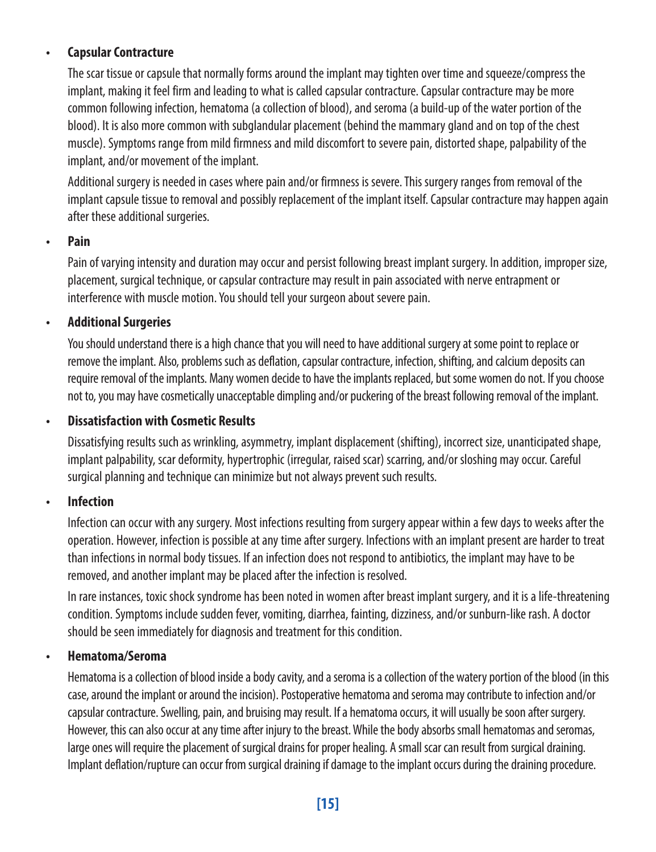#### **• Capsular Contracture**

The scar tissue or capsule that normally forms around the implant may tighten over time and squeeze/compress the implant, making it feel firm and leading to what is called capsular contracture. Capsular contracture may be more common following infection, hematoma (a collection of blood), and seroma (a build-up of the water portion of the blood). It is also more common with subglandular placement (behind the mammary gland and on top of the chest muscle). Symptoms range from mild firmness and mild discomfort to severe pain, distorted shape, palpability of the implant, and/or movement of the implant.

Additional surgery is needed in cases where pain and/or firmness is severe. This surgery ranges from removal of the implant capsule tissue to removal and possibly replacement of the implant itself. Capsular contracture may happen again after these additional surgeries.

#### **• Pain**

Pain of varying intensity and duration may occur and persist following breast implant surgery. In addition, improper size, placement, surgical technique, or capsular contracture may result in pain associated with nerve entrapment or interference with muscle motion. You should tell your surgeon about severe pain.

#### **• Additional Surgeries**

You should understand there is a high chance that you will need to have additional surgery at some point to replace or remove the implant. Also, problems such as deflation, capsular contracture, infection, shifting, and calcium deposits can require removal of the implants. Many women decide to have the implants replaced, but some women do not. If you choose not to, you may have cosmetically unacceptable dimpling and/or puckering of the breast following removal of the implant.

#### **• Dissatisfaction with Cosmetic Results**

Dissatisfying results such as wrinkling, asymmetry, implant displacement (shifting), incorrect size, unanticipated shape, implant palpability, scar deformity, hypertrophic (irregular, raised scar) scarring, and/or sloshing may occur. Careful surgical planning and technique can minimize but not always prevent such results.

#### **• Infection**

Infection can occur with any surgery. Most infections resulting from surgery appear within a few days to weeks after the operation. However, infection is possible at any time after surgery. Infections with an implant present are harder to treat than infections in normal body tissues. If an infection does not respond to antibiotics, the implant may have to be removed, and another implant may be placed after the infection is resolved.

In rare instances, toxic shock syndrome has been noted in women after breast implant surgery, and it is a life-threatening condition. Symptoms include sudden fever, vomiting, diarrhea, fainting, dizziness, and/or sunburn-like rash. A doctor should be seen immediately for diagnosis and treatment for this condition.

#### **• Hematoma/Seroma**

Hematoma is a collection of blood inside a body cavity, and a seroma is a collection of the watery portion of the blood (in this case, around the implant or around the incision). Postoperative hematoma and seroma may contribute to infection and/or capsular contracture. Swelling, pain, and bruising may result. If a hematoma occurs, it will usually be soon after surgery. However, this can also occur at any time after injury to the breast. While the body absorbs small hematomas and seromas, large ones will require the placement of surgical drains for proper healing. A small scar can result from surgical draining. Implant deflation/rupture can occur from surgical draining if damage to the implant occurs during the draining procedure.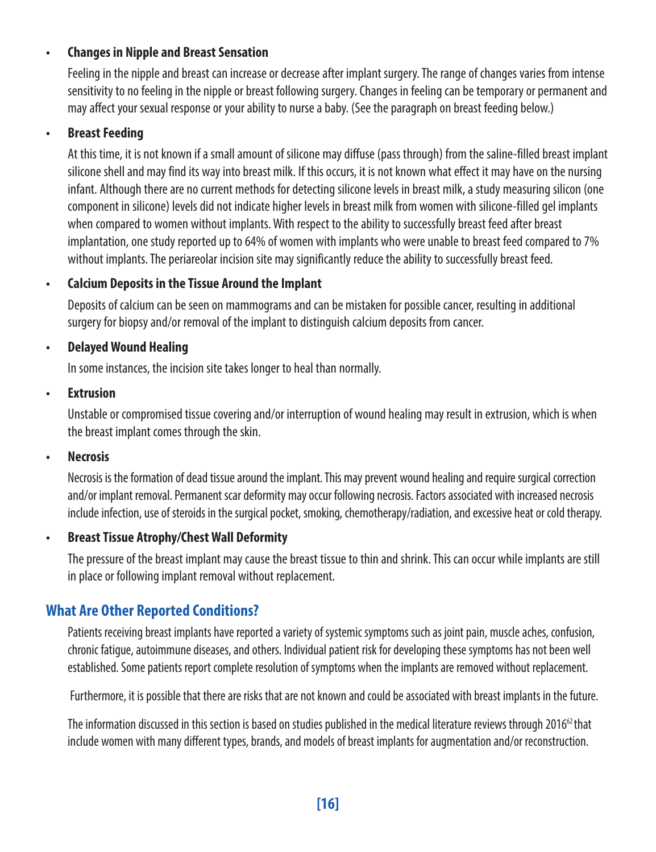#### **• Changes in Nipple and Breast Sensation**

Feeling in the nipple and breast can increase or decrease after implant surgery. The range of changes varies from intense sensitivity to no feeling in the nipple or breast following surgery. Changes in feeling can be temporary or permanent and may affect your sexual response or your ability to nurse a baby. (See the paragraph on breast feeding below.)

#### **• Breast Feeding**

At this time, it is not known if a small amount of silicone may diffuse (pass through) from the saline-filled breast implant silicone shell and may find its way into breast milk. If this occurs, it is not known what effect it may have on the nursing infant. Although there are no current methods for detecting silicone levels in breast milk, a study measuring silicon (one component in silicone) levels did not indicate higher levels in breast milk from women with silicone-filled gel implants when compared to women without implants. With respect to the ability to successfully breast feed after breast implantation, one study reported up to 64% of women with implants who were unable to breast feed compared to 7% without implants. The periareolar incision site may significantly reduce the ability to successfully breast feed.

#### **• Calcium Deposits in the Tissue Around the Implant**

Deposits of calcium can be seen on mammograms and can be mistaken for possible cancer, resulting in additional surgery for biopsy and/or removal of the implant to distinguish calcium deposits from cancer.

#### **• Delayed Wound Healing**

In some instances, the incision site takes longer to heal than normally.

#### **• Extrusion**

Unstable or compromised tissue covering and/or interruption of wound healing may result in extrusion, which is when the breast implant comes through the skin.

#### **• Necrosis**

Necrosis is the formation of dead tissue around the implant. This may prevent wound healing and require surgical correction and/or implant removal. Permanent scar deformity may occur following necrosis. Factors associated with increased necrosis include infection, use of steroids in the surgical pocket, smoking, chemotherapy/radiation, and excessive heat or cold therapy.

#### **• Breast Tissue Atrophy/Chest Wall Deformity**

The pressure of the breast implant may cause the breast tissue to thin and shrink. This can occur while implants are still in place or following implant removal without replacement.

#### **What Are Other Reported Conditions?**

Patients receiving breast implants have reported a variety of systemic symptoms such as joint pain, muscle aches, confusion, chronic fatigue, autoimmune diseases, and others. Individual patient risk for developing these symptoms has not been well established. Some patients report complete resolution of symptoms when the implants are removed without replacement.

Furthermore, it is possible that there are risks that are not known and could be associated with breast implants in the future.

The information discussed in this section is based on studies published in the medical literature reviews through 2016<sup>62</sup> that include women with many different types, brands, and models of breast implants for augmentation and/or reconstruction.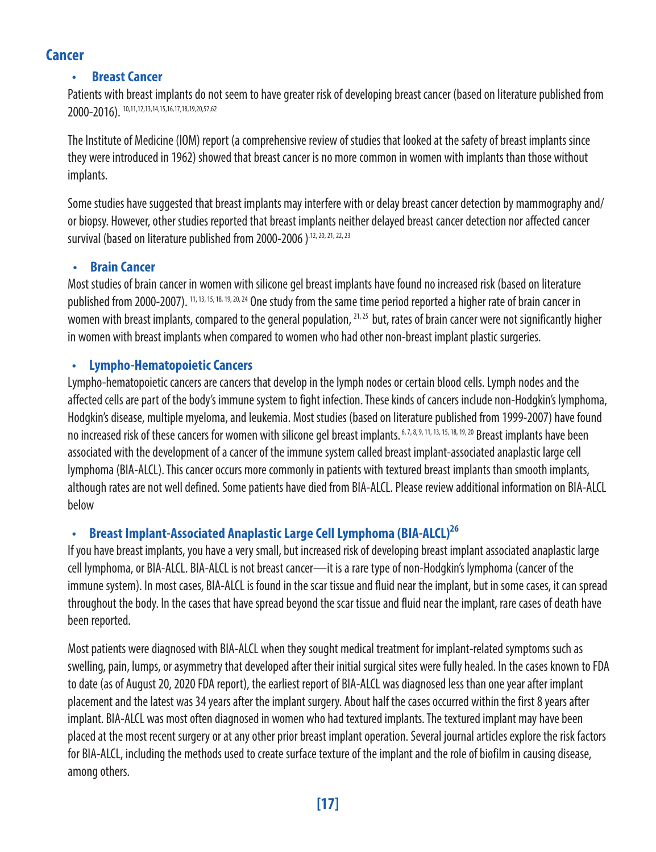#### **Cancer**

#### **Breast Cancer**

Patients with breast implants do not seem to have greater risk of developing breast cancer (based on literature published from 2000-2016). 10,11,12,13,14,15,16,17,18,19,20,57,62

The Institute of Medicine (IOM) report (a comprehensive review of studies that looked at the safety of breast implants since they were introduced in 1962) showed that breast cancer is no more common in women with implants than those without implants.

Some studies have suggested that breast implants may interfere with or delay breast cancer detection by mammography and/ or biopsy. However, other studies reported that breast implants neither delayed breast cancer detection nor affected cancer survival (based on literature published from 2000-2006).<sup>12, 20, 21, 22, 23</sup>

#### **• Brain Cancer**

Most studies of brain cancer in women with silicone gel breast implants have found no increased risk (based on literature published from 2000-2007). 11, 13, 15, 18, 19, 20, 24 One study from the same time period reported a higher rate of brain cancer in women with breast implants, compared to the general population,  $^{21,25}$  but, rates of brain cancer were not significantly higher in women with breast implants when compared to women who had other non-breast implant plastic surgeries.

#### **• Lympho-Hematopoietic Cancers**

Lympho-hematopoietic cancers are cancers that develop in the lymph nodes or certain blood cells. Lymph nodes and the affected cells are part of the body's immune system to fight infection. These kinds of cancers include non-Hodgkin's lymphoma, Hodgkin's disease, multiple myeloma, and leukemia. Most studies (based on literature published from 1999-2007) have found no increased risk of these cancers for women with silicone gel breast implants.<sup>6,7,8,9,11,13,15,18,19,20</sup> Breast implants have been associated with the development of a cancer of the immune system called breast implant-associated anaplastic large cell lymphoma (BIA-ALCL). This cancer occurs more commonly in patients with textured breast implants than smooth implants, although rates are not well defined. Some patients have died from BIA-ALCL. Please review additional information on BIA-ALCL below

#### **• Breast Implant-Associated Anaplastic Large Cell Lymphoma (BIA-ALCL)26**

If you have breast implants, you have a very small, but increased risk of developing breast implant associated anaplastic large cell lymphoma, or BIA-ALCL. BIA-ALCL is not breast cancer—it is a rare type of non-Hodgkin's lymphoma (cancer of the immune system). In most cases, BIA-ALCL is found in the scar tissue and fluid near the implant, but in some cases, it can spread throughout the body. In the cases that have spread beyond the scar tissue and fluid near the implant, rare cases of death have been reported.

Most patients were diagnosed with BIA-ALCL when they sought medical treatment for implant-related symptoms such as swelling, pain, lumps, or asymmetry that developed after their initial surgical sites were fully healed. In the cases known to FDA to date (as of August 20, 2020 FDA report), the earliest report of BIA-ALCL was diagnosed less than one year after implant placement and the latest was 34 years after the implant surgery. About half the cases occurred within the first 8 years after implant. BIA-ALCL was most often diagnosed in women who had textured implants. The textured implant may have been placed at the most recent surgery or at any other prior breast implant operation. Several journal articles explore the risk factors for BIA-ALCL, including the methods used to create surface texture of the implant and the role of biofilm in causing disease, among others.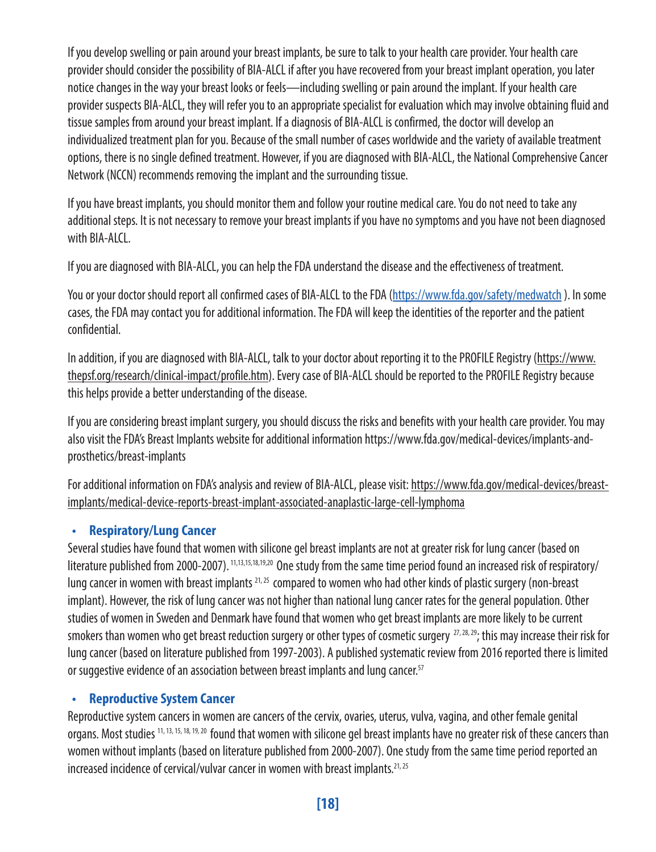If you develop swelling or pain around your breast implants, be sure to talk to your health care provider. Your health care provider should consider the possibility of BIA-ALCL if after you have recovered from your breast implant operation, you later notice changes in the way your breast looks or feels—including swelling or pain around the implant. If your health care provider suspects BIA-ALCL, they will refer you to an appropriate specialist for evaluation which may involve obtaining fluid and tissue samples from around your breast implant. If a diagnosis of BIA-ALCL is confirmed, the doctor will develop an individualized treatment plan for you. Because of the small number of cases worldwide and the variety of available treatment options, there is no single defined treatment. However, if you are diagnosed with BIA-ALCL, the National Comprehensive Cancer Network (NCCN) recommends removing the implant and the surrounding tissue.

If you have breast implants, you should monitor them and follow your routine medical care. You do not need to take any additional steps. It is not necessary to remove your breast implants if you have no symptoms and you have not been diagnosed with **BIA-ALCL**.

If you are diagnosed with BIA-ALCL, you can help the FDA understand the disease and the effectiveness of treatment.

You or vour doctor should report all confirmed cases of BIA-ALCL to the FDA (https://www.fda.gov/safety/medwatch). In some cases, the FDA may contact you for additional information. The FDA will keep the identities of the reporter and the patient confidential.

In addition, if you are diagnosed with BIA-ALCL, talk to your doctor about reporting it to the PROFILE Registry (https://www. thepsf.org/research/clinical-impact/profile.htm). Every case of BIA-ALCL should be reported to the PROFILE Registry because this helps provide a better understanding of the disease.

If you are considering breast implant surgery, you should discuss the risks and benefits with your health care provider. You may also visit the FDA's Breast Implants website for additional information https://www.fda.gov/medical-devices/implants-andprosthetics/breast-implants

For additional information on FDA's analysis and review of BIA-ALCL, please visit: https://www.fda.gov/medical-devices/breastimplants/medical-device-reports-breast-implant-associated-anaplastic-large-cell-lymphoma

#### **• Respiratory/Lung Cancer**

Several studies have found that women with silicone gel breast implants are not at greater risk for lung cancer (based on literature published from 2000-2007).<sup>11,13,15,18,19,20</sup> One study from the same time period found an increased risk of respiratory/ lung cancer in women with breast implants <sup>21, 25</sup> compared to women who had other kinds of plastic surgery (non-breast implant). However, the risk of lung cancer was not higher than national lung cancer rates for the general population. Other studies of women in Sweden and Denmark have found that women who get breast implants are more likely to be current smokers than women who get breast reduction surgery or other types of cosmetic surgery  $^{27,28,29}$ ; this may increase their risk for lung cancer (based on literature published from 1997-2003). A published systematic review from 2016 reported there is limited or suggestive evidence of an association between breast implants and lung cancer.<sup>57</sup>

#### **• Reproductive System Cancer**

Reproductive system cancers in women are cancers of the cervix, ovaries, uterus, vulva, vagina, and other female genital organs. Most studies 11, 13, 15, 18, 19, 20 found that women with silicone gel breast implants have no greater risk of these cancers than women without implants (based on literature published from 2000-2007). One study from the same time period reported an increased incidence of cervical/vulvar cancer in women with breast implants.<sup>21, 25</sup>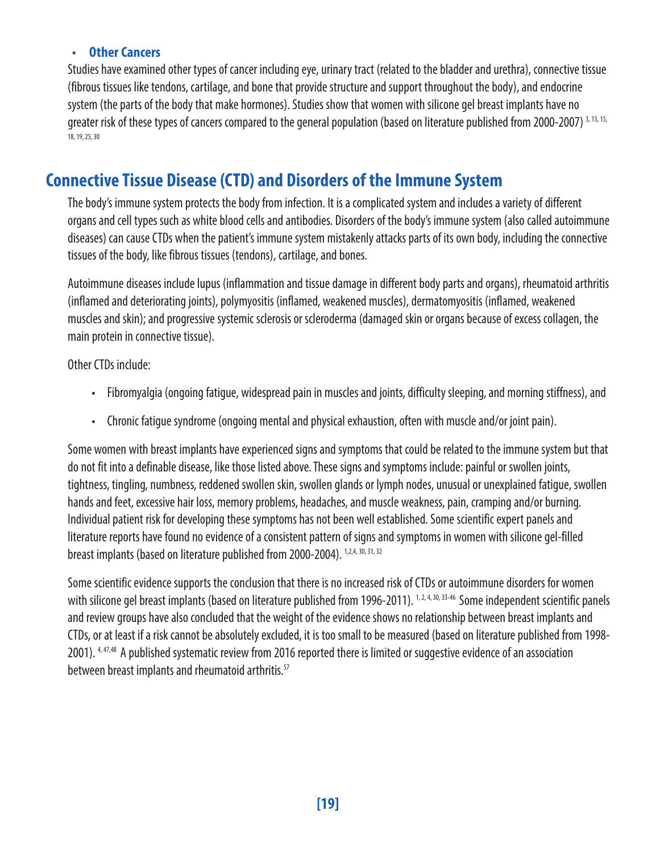#### **• Other Cancers**

Studies have examined other types of cancer including eye, urinary tract (related to the bladder and urethra), connective tissue (fibrous tissues like tendons, cartilage, and bone that provide structure and support throughout the body), and endocrine system (the parts of the body that make hormones). Studies show that women with silicone gel breast implants have no greater risk of these types of cancers compared to the general population (based on literature published from 2000-2007) 3, 13, 15, 18, 19, 25, 30

### **Connective Tissue Disease (CTD) and Disorders of the Immune System**

The body's immune system protects the body from infection. It is a complicated system and includes a variety of different organs and cell types such as white blood cells and antibodies. Disorders of the body's immune system (also called autoimmune diseases) can cause CTDs when the patient's immune system mistakenly attacks parts of its own body, including the connective tissues of the body, like fibrous tissues (tendons), cartilage, and bones.

Autoimmune diseases include lupus (inflammation and tissue damage in different body parts and organs), rheumatoid arthritis (inflamed and deteriorating joints), polymyositis (inflamed, weakened muscles), dermatomyositis (inflamed, weakened muscles and skin); and progressive systemic sclerosis or scleroderma (damaged skin or organs because of excess collagen, the main protein in connective tissue).

Other CTDs include:

- Fibromyalgia (ongoing fatigue, widespread pain in muscles and joints, difficulty sleeping, and morning stiffness), and
- Chronic fatigue syndrome (ongoing mental and physical exhaustion, often with muscle and/or joint pain).

Some women with breast implants have experienced signs and symptoms that could be related to the immune system but that do not fit into a definable disease, like those listed above. These signs and symptoms include: painful or swollen joints, tightness, tingling, numbness, reddened swollen skin, swollen glands or lymph nodes, unusual or unexplained fatigue, swollen hands and feet, excessive hair loss, memory problems, headaches, and muscle weakness, pain, cramping and/or burning. Individual patient risk for developing these symptoms has not been well established. Some scientific expert panels and literature reports have found no evidence of a consistent pattern of signs and symptoms in women with silicone gel-filled breast implants (based on literature published from 2000-2004). 1,2,4, 30, 31, 32

Some scientific evidence supports the conclusion that there is no increased risk of CTDs or autoimmune disorders for women with silicone gel breast implants (based on literature published from 1996-2011). <sup>1,2,4,30,33-46</sup> Some independent scientific panels and review groups have also concluded that the weight of the evidence shows no relationship between breast implants and CTDs, or at least if a risk cannot be absolutely excluded, it is too small to be measured (based on literature published from 1998- 2001). 4, 47,48 A published systematic review from 2016 reported there is limited or suggestive evidence of an association between breast implants and rheumatoid arthritis.<sup>57</sup>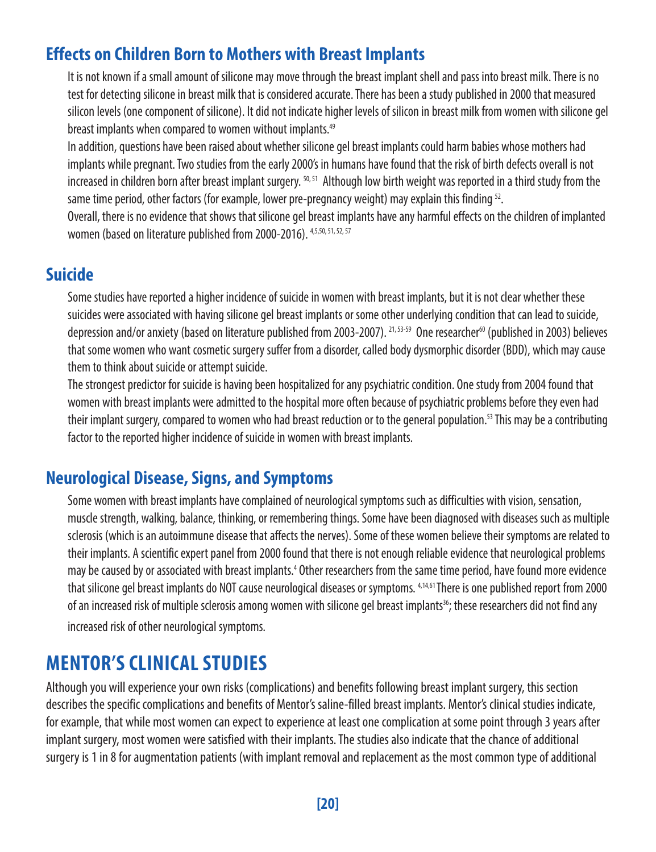### **Effects on Children Born to Mothers with Breast Implants**

It is not known if a small amount of silicone may move through the breast implant shell and pass into breast milk. There is no test for detecting silicone in breast milk that is considered accurate. There has been a study published in 2000 that measured silicon levels (one component of silicone). It did not indicate higher levels of silicon in breast milk from women with silicone gel breast implants when compared to women without implants.<sup>49</sup>

In addition, questions have been raised about whether silicone gel breast implants could harm babies whose mothers had implants while pregnant. Two studies from the early 2000's in humans have found that the risk of birth defects overall is not increased in children born after breast implant surgery. 50,51 Although low birth weight was reported in a third study from the same time period, other factors (for example, lower pre-pregnancy weight) may explain this finding <sup>52</sup>.

Overall, there is no evidence that shows that silicone gel breast implants have any harmful effects on the children of implanted women (based on literature published from 2000-2016). 4,5,50, 51, 52, 57

### **Suicide**

Some studies have reported a higher incidence of suicide in women with breast implants, but it is not clear whether these suicides were associated with having silicone gel breast implants or some other underlying condition that can lead to suicide, depression and/or anxiety (based on literature published from 2003-2007). <sup>21,53-59</sup> One researcher<sup>60</sup> (published in 2003) believes that some women who want cosmetic surgery suffer from a disorder, called body dysmorphic disorder (BDD), which may cause them to think about suicide or attempt suicide.

The strongest predictor for suicide is having been hospitalized for any psychiatric condition. One study from 2004 found that women with breast implants were admitted to the hospital more often because of psychiatric problems before they even had their implant surgery, compared to women who had breast reduction or to the general population.<sup>53</sup> This may be a contributing factor to the reported higher incidence of suicide in women with breast implants.

### **Neurological Disease, Signs, and Symptoms**

Some women with breast implants have complained of neurological symptoms such as difficulties with vision, sensation, muscle strength, walking, balance, thinking, or remembering things. Some have been diagnosed with diseases such as multiple sclerosis (which is an autoimmune disease that affects the nerves). Some of these women believe their symptoms are related to their implants. A scientific expert panel from 2000 found that there is not enough reliable evidence that neurological problems may be caused by or associated with breast implants.<sup>4</sup> Other researchers from the same time period, have found more evidence that silicone gel breast implants do NOT cause neurological diseases or symptoms. 4,14,61 There is one published report from 2000 of an increased risk of multiple sclerosis among women with silicone gel breast implants<sup>36</sup>; these researchers did not find any increased risk of other neurological symptoms.

### **MENTOR'S CLINICAL STUDIES**

Although you will experience your own risks (complications) and benefits following breast implant surgery, this section describes the specific complications and benefits of Mentor's saline-filled breast implants. Mentor's clinical studies indicate, for example, that while most women can expect to experience at least one complication at some point through 3 years after implant surgery, most women were satisfied with their implants. The studies also indicate that the chance of additional surgery is 1 in 8 for augmentation patients (with implant removal and replacement as the most common type of additional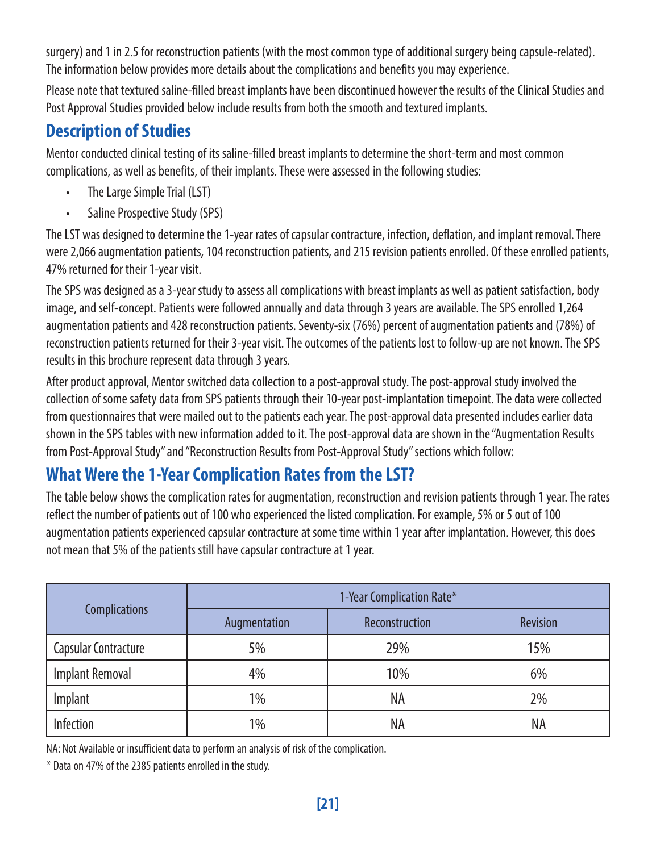surgery) and 1 in 2.5 for reconstruction patients (with the most common type of additional surgery being capsule-related). The information below provides more details about the complications and benefits you may experience.

Please note that textured saline-filled breast implants have been discontinued however the results of the Clinical Studies and Post Approval Studies provided below include results from both the smooth and textured implants.

### **Description of Studies**

Mentor conducted clinical testing of its saline-filled breast implants to determine the short-term and most common complications, as well as benefits, of their implants. These were assessed in the following studies:

- The Large Simple Trial (LST)
- Saline Prospective Study (SPS)

The LST was designed to determine the 1-year rates of capsular contracture, infection, deflation, and implant removal. There were 2,066 augmentation patients, 104 reconstruction patients, and 215 revision patients enrolled. Of these enrolled patients, 47% returned for their 1-year visit.

The SPS was designed as a 3-year study to assess all complications with breast implants as well as patient satisfaction, body image, and self-concept. Patients were followed annually and data through 3 years are available. The SPS enrolled 1,264 augmentation patients and 428 reconstruction patients. Seventy-six (76%) percent of augmentation patients and (78%) of reconstruction patients returned for their 3-year visit. The outcomes of the patients lost to follow-up are not known. The SPS results in this brochure represent data through 3 years.

After product approval, Mentor switched data collection to a post-approval study. The post-approval study involved the collection of some safety data from SPS patients through their 10-year post-implantation timepoint. The data were collected from questionnaires that were mailed out to the patients each year. The post-approval data presented includes earlier data shown in the SPS tables with new information added to it. The post-approval data are shown in the "Augmentation Results from Post-Approval Study" and "Reconstruction Results from Post-Approval Study" sections which follow:

### **What Were the 1-Year Complication Rates from the LST?**

The table below shows the complication rates for augmentation, reconstruction and revision patients through 1 year. The rates reflect the number of patients out of 100 who experienced the listed complication. For example, 5% or 5 out of 100 augmentation patients experienced capsular contracture at some time within 1 year after implantation. However, this does not mean that 5% of the patients still have capsular contracture at 1 year.

|                      | 1-Year Complication Rate* |                |          |
|----------------------|---------------------------|----------------|----------|
| <b>Complications</b> | Augmentation              | Reconstruction | Revision |
| Capsular Contracture | 5%                        | 29%            | 15%      |
| Implant Removal      | 4%                        | 10%            | 6%       |
| Implant              | 1%                        | ΝA             | 2%       |
| Infection            | 1%                        | NA             | NA       |

NA: Not Available or insufficient data to perform an analysis of risk of the complication.

\* Data on 47% of the 2385 patients enrolled in the study.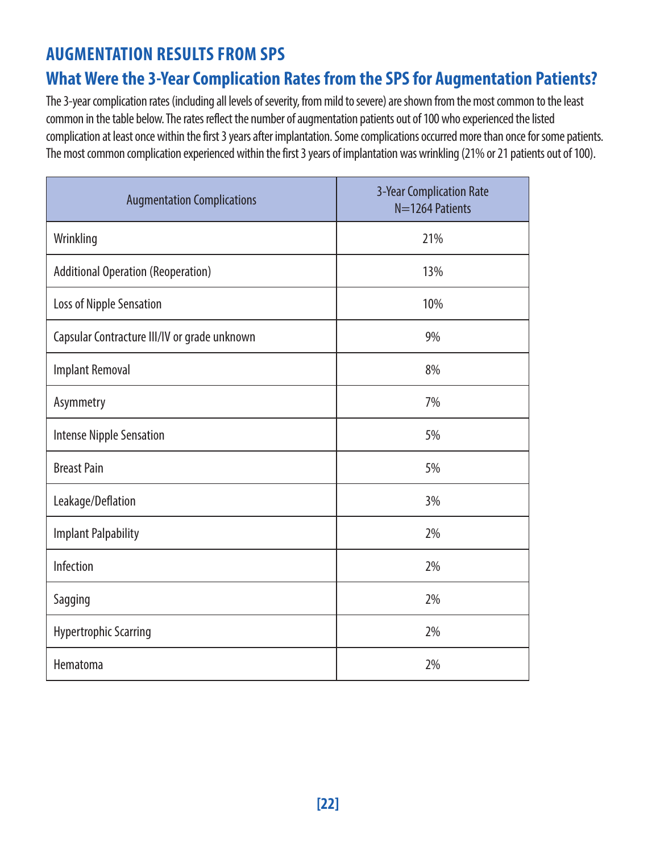### **AUGMENTATION RESULTS FROM SPS**

### **What Were the 3-Year Complication Rates from the SPS for Augmentation Patients?**

The 3-year complication rates (including all levels of severity, from mild to severe) are shown from the most common to the least common in the table below. The rates reflect the number of augmentation patients out of 100 who experienced the listed complication at least once within the first 3 years after implantation. Some complications occurred more than once for some patients. The most common complication experienced within the first 3 years of implantation was wrinkling (21% or 21 patients out of 100).

| <b>Augmentation Complications</b>            | 3-Year Complication Rate<br>N=1264 Patients |
|----------------------------------------------|---------------------------------------------|
| Wrinkling                                    | 21%                                         |
| <b>Additional Operation (Reoperation)</b>    | 13%                                         |
| Loss of Nipple Sensation                     | 10%                                         |
| Capsular Contracture III/IV or grade unknown | 9%                                          |
| <b>Implant Removal</b>                       | 8%                                          |
| Asymmetry                                    | 7%                                          |
| <b>Intense Nipple Sensation</b>              | 5%                                          |
| <b>Breast Pain</b>                           | 5%                                          |
| Leakage/Deflation                            | 3%                                          |
| <b>Implant Palpability</b>                   | 2%                                          |
| Infection                                    | 2%                                          |
| Sagging                                      | 2%                                          |
| <b>Hypertrophic Scarring</b>                 | 2%                                          |
| Hematoma                                     | 2%                                          |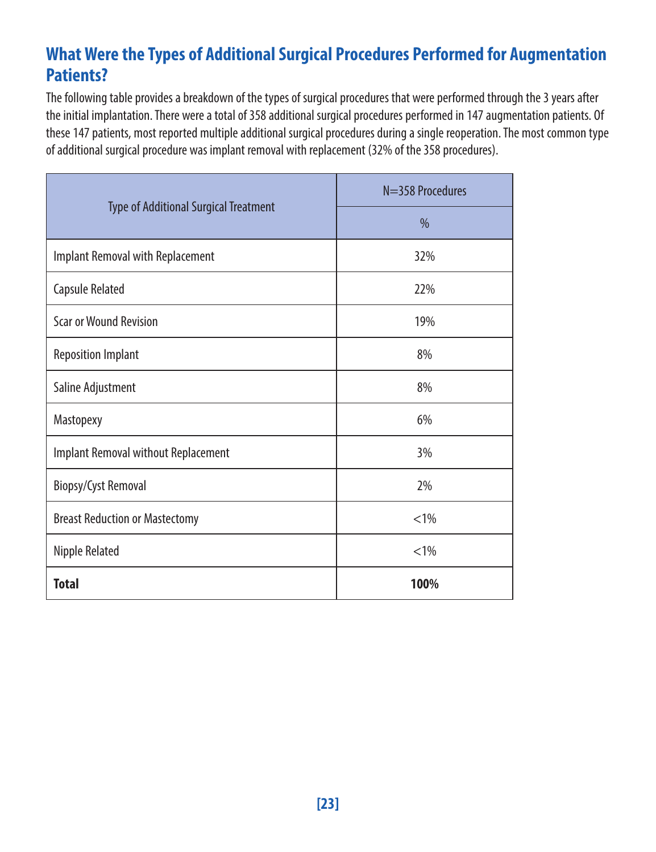### **What Were the Types of Additional Surgical Procedures Performed for Augmentation Patients?**

The following table provides a breakdown of the types of surgical procedures that were performed through the 3 years after the initial implantation. There were a total of 358 additional surgical procedures performed in 147 augmentation patients. Of these 147 patients, most reported multiple additional surgical procedures during a single reoperation. The most common type of additional surgical procedure was implant removal with replacement (32% of the 358 procedures).

|                                              | N=358 Procedures |
|----------------------------------------------|------------------|
| <b>Type of Additional Surgical Treatment</b> | $\frac{0}{0}$    |
| Implant Removal with Replacement             | 32%              |
| Capsule Related                              | 22%              |
| <b>Scar or Wound Revision</b>                | 19%              |
| <b>Reposition Implant</b>                    | 8%               |
| Saline Adjustment                            | 8%               |
| Mastopexy                                    | 6%               |
| Implant Removal without Replacement          | 3%               |
| <b>Biopsy/Cyst Removal</b>                   | 2%               |
| <b>Breast Reduction or Mastectomy</b>        | $< 1\%$          |
| Nipple Related                               | $< 1\%$          |
| <b>Total</b>                                 | 100%             |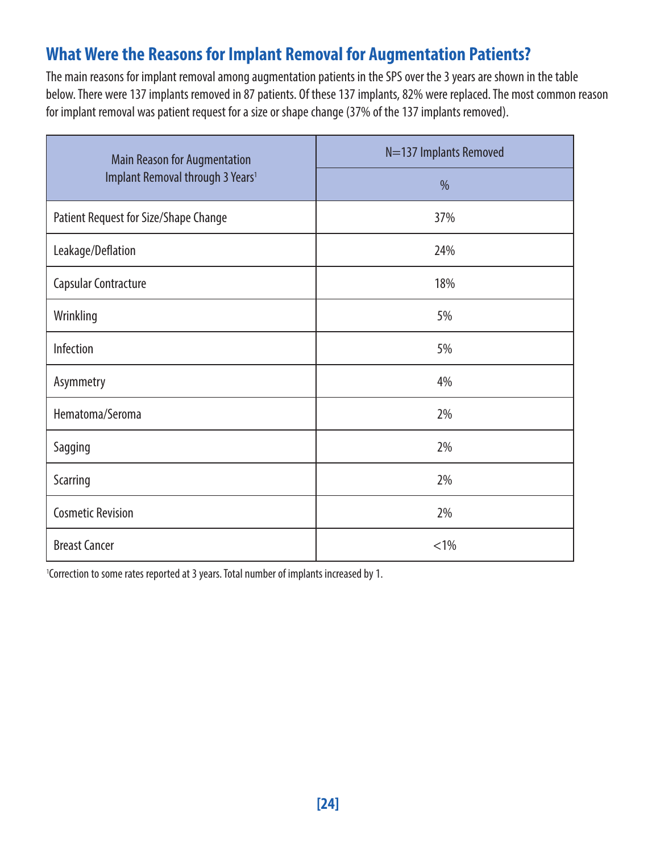### **What Were the Reasons for Implant Removal for Augmentation Patients?**

The main reasons for implant removal among augmentation patients in the SPS over the 3 years are shown in the table below. There were 137 implants removed in 87 patients. Of these 137 implants, 82% were replaced. The most common reason for implant removal was patient request for a size or shape change (37% of the 137 implants removed).

| Main Reason for Augmentation                 | N=137 Implants Removed |
|----------------------------------------------|------------------------|
| Implant Removal through 3 Years <sup>1</sup> | $\frac{0}{0}$          |
| Patient Request for Size/Shape Change        | 37%                    |
| Leakage/Deflation                            | 24%                    |
| Capsular Contracture                         | 18%                    |
| Wrinkling                                    | 5%                     |
| Infection                                    | 5%                     |
| Asymmetry                                    | 4%                     |
| Hematoma/Seroma                              | 2%                     |
| Sagging                                      | 2%                     |
| Scarring                                     | 2%                     |
| <b>Cosmetic Revision</b>                     | 2%                     |
| <b>Breast Cancer</b>                         | $< 1\%$                |

<sup>1</sup>Correction to some rates reported at 3 years. Total number of implants increased by 1.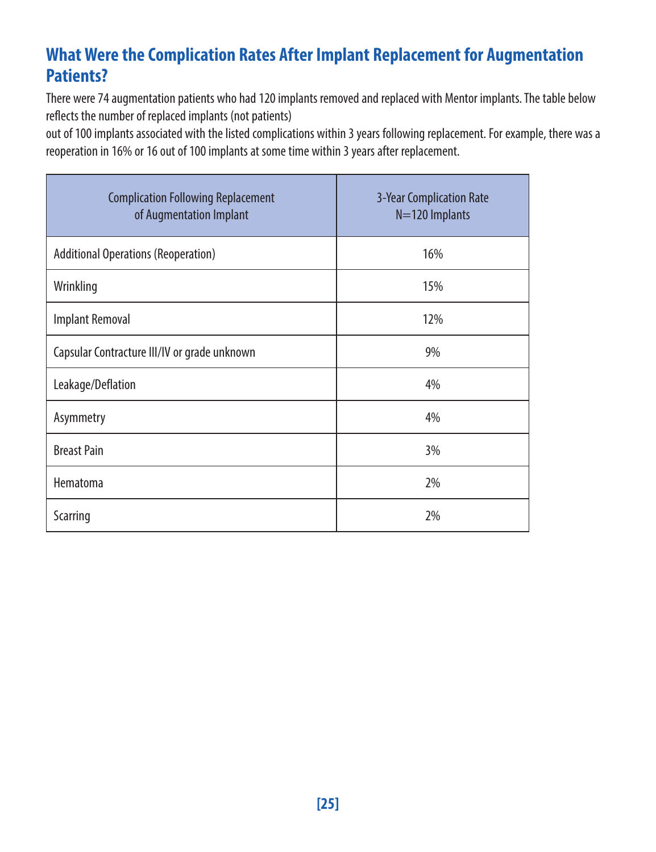### **What Were the Complication Rates After Implant Replacement for Augmentation Patients?**

There were 74 augmentation patients who had 120 implants removed and replaced with Mentor implants. The table below reflects the number of replaced implants (not patients)

out of 100 implants associated with the listed complications within 3 years following replacement. For example, there was a reoperation in 16% or 16 out of 100 implants at some time within 3 years after replacement.

| <b>Complication Following Replacement</b><br>of Augmentation Implant | <b>3-Year Complication Rate</b><br>$N=120$ Implants |
|----------------------------------------------------------------------|-----------------------------------------------------|
| <b>Additional Operations (Reoperation)</b>                           | 16%                                                 |
| Wrinkling                                                            | 15%                                                 |
| <b>Implant Removal</b>                                               | 12%                                                 |
| Capsular Contracture III/IV or grade unknown                         | 9%                                                  |
| Leakage/Deflation                                                    | 4%                                                  |
| Asymmetry                                                            | 4%                                                  |
| <b>Breast Pain</b>                                                   | 3%                                                  |
| Hematoma                                                             | 2%                                                  |
| Scarring                                                             | 2%                                                  |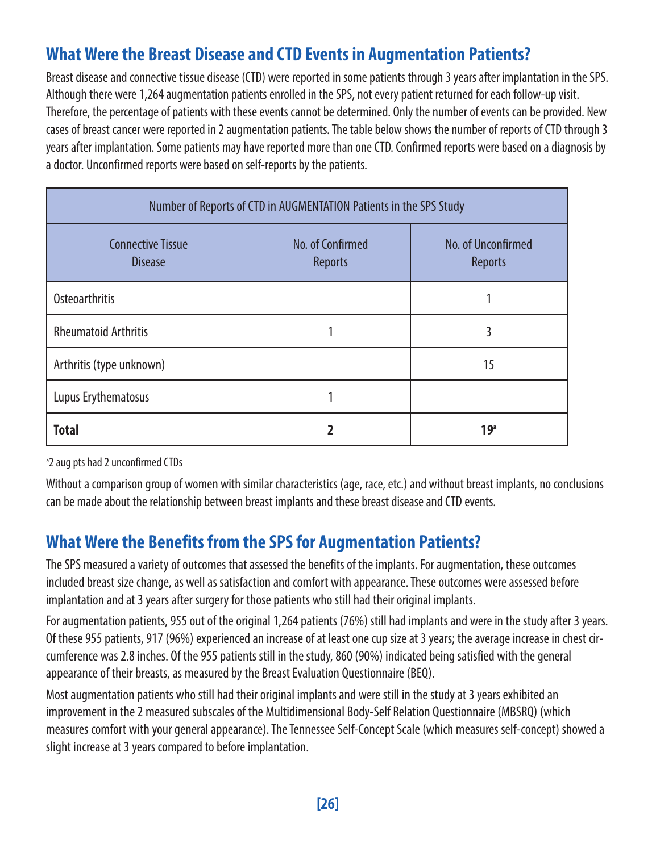### **What Were the Breast Disease and CTD Events in Augmentation Patients?**

Breast disease and connective tissue disease (CTD) were reported in some patients through 3 years after implantation in the SPS. Although there were 1,264 augmentation patients enrolled in the SPS, not every patient returned for each follow-up visit. Therefore, the percentage of patients with these events cannot be determined. Only the number of events can be provided. New cases of breast cancer were reported in 2 augmentation patients. The table below shows the number of reports of CTD through 3 years after implantation. Some patients may have reported more than one CTD. Confirmed reports were based on a diagnosis by a doctor. Unconfirmed reports were based on self-reports by the patients.

| Number of Reports of CTD in AUGMENTATION Patients in the SPS Study |                             |                               |  |  |
|--------------------------------------------------------------------|-----------------------------|-------------------------------|--|--|
| <b>Connective Tissue</b><br><b>Disease</b>                         | No. of Confirmed<br>Reports | No. of Unconfirmed<br>Reports |  |  |
| Osteoarthritis                                                     |                             |                               |  |  |
| <b>Rheumatoid Arthritis</b>                                        |                             | 3                             |  |  |
| Arthritis (type unknown)                                           |                             | 15                            |  |  |
| Lupus Erythematosus                                                |                             |                               |  |  |
| <b>Total</b>                                                       |                             | 19 <sup>a</sup>               |  |  |

<sup>a</sup>2 aug pts had 2 unconfirmed CTDs

Without a comparison group of women with similar characteristics (age, race, etc.) and without breast implants, no conclusions can be made about the relationship between breast implants and these breast disease and CTD events.

### **What Were the Benefits from the SPS for Augmentation Patients?**

The SPS measured a variety of outcomes that assessed the benefits of the implants. For augmentation, these outcomes included breast size change, as well as satisfaction and comfort with appearance. These outcomes were assessed before implantation and at 3 years after surgery for those patients who still had their original implants.

For augmentation patients, 955 out of the original 1,264 patients (76%) still had implants and were in the study after 3 years. Of these 955 patients, 917 (96%) experienced an increase of at least one cup size at 3 years; the average increase in chest circumference was 2.8 inches. Of the 955 patients still in the study, 860 (90%) indicated being satisfied with the general appearance of their breasts, as measured by the Breast Evaluation Questionnaire (BEQ).

Most augmentation patients who still had their original implants and were still in the study at 3 years exhibited an improvement in the 2 measured subscales of the Multidimensional Body-Self Relation Questionnaire (MBSRQ) (which measures comfort with your general appearance). The Tennessee Self-Concept Scale (which measures self-concept) showed a slight increase at 3 years compared to before implantation.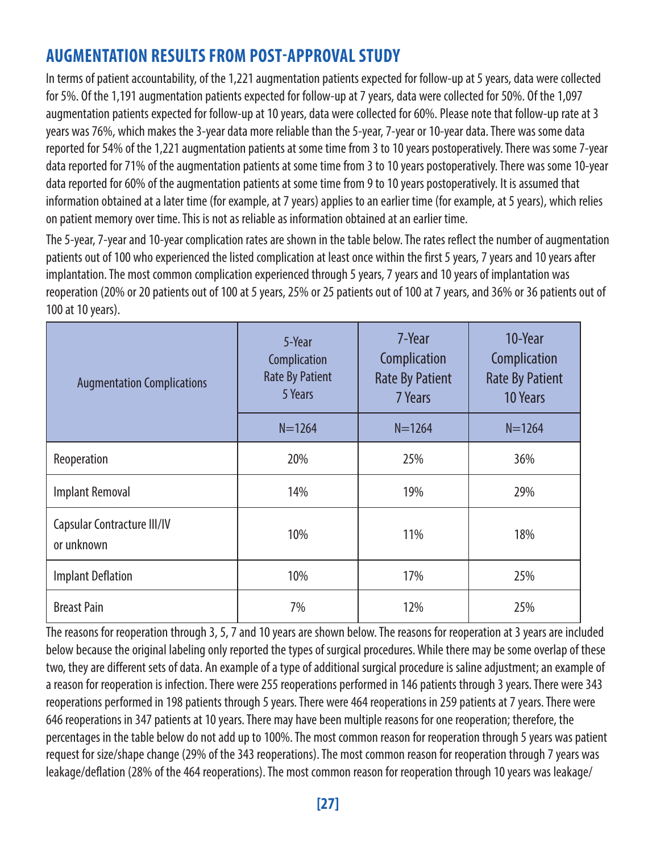### **AUGMENTATION RESULTS FROM POST-APPROVAL STUDY**

In terms of patient accountability, of the 1,221 augmentation patients expected for follow-up at 5 years, data were collected for 5%. Of the 1,191 augmentation patients expected for follow-up at 7 years, data were collected for 50%. Of the 1,097 augmentation patients expected for follow-up at 10 years, data were collected for 60%. Please note that follow-up rate at 3 years was 76%, which makes the 3-year data more reliable than the 5-year, 7-year or 10-year data. There was some data reported for 54% of the 1,221 augmentation patients at some time from 3 to 10 years postoperatively. There was some 7-year data reported for 71% of the augmentation patients at some time from 3 to 10 years postoperatively. There was some 10-year data reported for 60% of the augmentation patients at some time from 9 to 10 years postoperatively. It is assumed that information obtained at a later time (for example, at 7 years) applies to an earlier time (for example, at 5 years), which relies on patient memory over time. This is not as reliable as information obtained at an earlier time.

The 5-year, 7-year and 10-year complication rates are shown in the table below. The rates reflect the number of augmentation patients out of 100 who experienced the listed complication at least once within the first 5 years, 7 years and 10 years after implantation. The most common complication experienced through 5 years, 7 years and 10 years of implantation was reoperation (20% or 20 patients out of 100 at 5 years, 25% or 25 patients out of 100 at 7 years, and 36% or 36 patients out of 100 at 10 years).

| <b>Augmentation Complications</b>         | 5-Year<br>Complication<br><b>Rate By Patient</b><br>5 Years |            | 10-Year<br>Complication<br><b>Rate By Patient</b><br>10 Years |
|-------------------------------------------|-------------------------------------------------------------|------------|---------------------------------------------------------------|
|                                           | $N = 1264$                                                  | $N = 1264$ | $N = 1264$                                                    |
| Reoperation                               | 20%                                                         | 25%        | 36%                                                           |
| <b>Implant Removal</b>                    | 14%                                                         | 19%        | 29%                                                           |
| Capsular Contracture III/IV<br>or unknown | 10%                                                         | 11%        | 18%                                                           |
| <b>Implant Deflation</b>                  | 10%                                                         | 17%        | 25%                                                           |
| <b>Breast Pain</b>                        | 7%                                                          | 12%        | 25%                                                           |

The reasons for reoperation through 3, 5, 7 and 10 years are shown below. The reasons for reoperation at 3 years are included below because the original labeling only reported the types of surgical procedures. While there may be some overlap of these two, they are different sets of data. An example of a type of additional surgical procedure is saline adjustment; an example of a reason for reoperation is infection. There were 255 reoperations performed in 146 patients through 3 years. There were 343 reoperations performed in 198 patients through 5 years. There were 464 reoperations in 259 patients at 7 years. There were 646 reoperations in 347 patients at 10 years. There may have been multiple reasons for one reoperation; therefore, the percentages in the table below do not add up to 100%. The most common reason for reoperation through 5 years was patient request for size/shape change (29% of the 343 reoperations). The most common reason for reoperation through 7 years was leakage/deflation (28% of the 464 reoperations). The most common reason for reoperation through 10 years was leakage/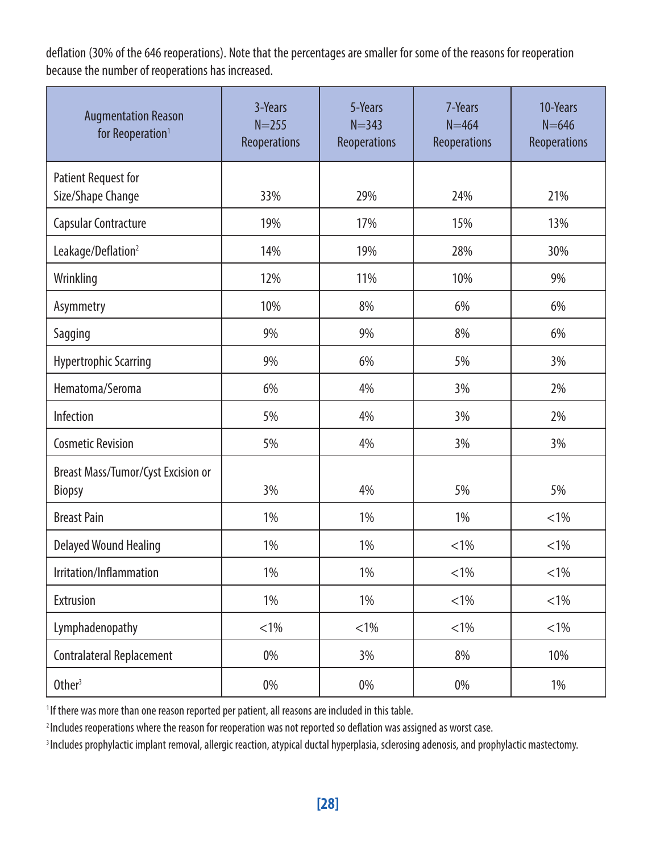deflation (30% of the 646 reoperations). Note that the percentages are smaller for some of the reasons for reoperation because the number of reoperations has increased.

| <b>Augmentation Reason</b><br>for Reoperation <sup>1</sup> | 3-Years<br>$N = 255$<br>Reoperations | 5-Years<br>$N = 343$<br>Reoperations | 7-Years<br>$N = 464$<br>Reoperations | 10-Years<br>$N = 646$<br>Reoperations |
|------------------------------------------------------------|--------------------------------------|--------------------------------------|--------------------------------------|---------------------------------------|
| Patient Request for                                        |                                      |                                      |                                      |                                       |
| Size/Shape Change                                          | 33%                                  | 29%                                  | 24%                                  | 21%                                   |
| Capsular Contracture                                       | 19%                                  | 17%                                  | 15%                                  | 13%                                   |
| Leakage/Deflation <sup>2</sup>                             | 14%                                  | 19%                                  | 28%                                  | 30%                                   |
| Wrinkling                                                  | 12%                                  | 11%                                  | 10%                                  | 9%                                    |
| Asymmetry                                                  | 10%                                  | 8%                                   | 6%                                   | 6%                                    |
| Sagging                                                    | 9%                                   | 9%                                   | 8%                                   | 6%                                    |
| <b>Hypertrophic Scarring</b>                               | 9%                                   | 6%                                   | 5%                                   | 3%                                    |
| Hematoma/Seroma                                            | 6%                                   | 4%                                   | 3%                                   | 2%                                    |
| Infection                                                  | 5%                                   | 4%                                   | 3%                                   | 2%                                    |
| <b>Cosmetic Revision</b>                                   | 5%                                   | 4%                                   | 3%                                   | 3%                                    |
| Breast Mass/Tumor/Cyst Excision or<br>Biopsy               | 3%                                   | 4%                                   | 5%                                   | 5%                                    |
| <b>Breast Pain</b>                                         | 1%                                   | 1%                                   | 1%                                   | $< 1\%$                               |
| Delayed Wound Healing                                      | 1%                                   | 1%                                   | $< 1\%$                              | $< 1\%$                               |
| Irritation/Inflammation                                    | 1%                                   | 1%                                   | $< 1\%$                              | $< 1\%$                               |
| Extrusion                                                  | 1%                                   | 1%                                   | $< 1\%$                              | $< 1\%$                               |
| Lymphadenopathy                                            | $< 1\%$                              | $< 1\%$                              | $< 1\%$                              | $< 1\%$                               |
| Contralateral Replacement                                  | 0%                                   | 3%                                   | 8%                                   | 10%                                   |
| Other <sup>3</sup>                                         | 0%                                   | 0%                                   | 0%                                   | 1%                                    |

<sup>1</sup> If there was more than one reason reported per patient, all reasons are included in this table.

<sup>2</sup> Includes reoperations where the reason for reoperation was not reported so deflation was assigned as worst case.

<sup>3</sup> Includes prophylactic implant removal, allergic reaction, atypical ductal hyperplasia, sclerosing adenosis, and prophylactic mastectomy.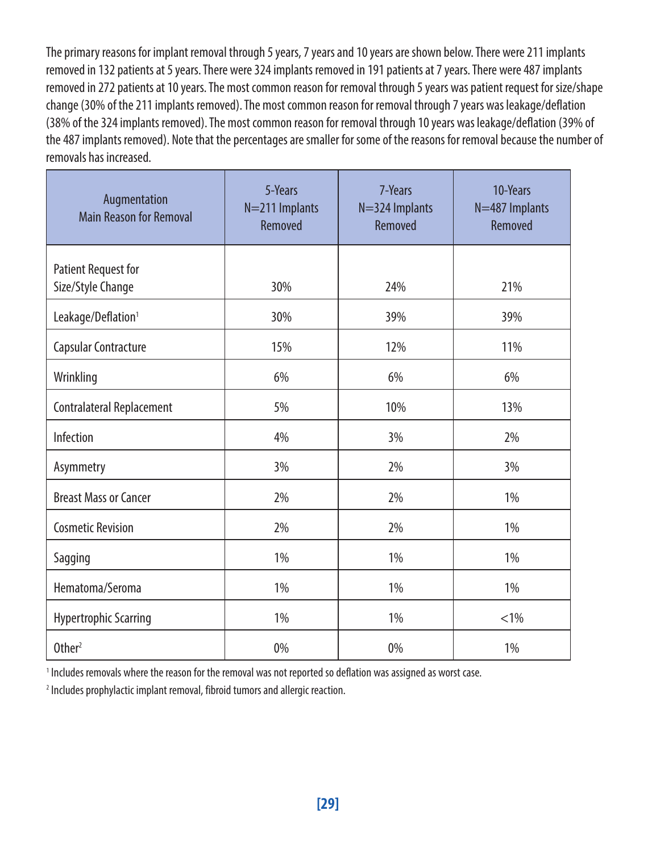The primary reasons for implant removal through 5 years, 7 years and 10 years are shown below. There were 211 implants removed in 132 patients at 5 years. There were 324 implants removed in 191 patients at 7 years. There were 487 implants removed in 272 patients at 10 years. The most common reason for removal through 5 years was patient request for size/shape change (30% of the 211 implants removed). The most common reason for removal through 7 years was leakage/deflation (38% of the 324 implants removed). The most common reason for removal through 10 years was leakage/deflation (39% of the 487 implants removed). Note that the percentages are smaller for some of the reasons for removal because the number of removals has increased.

| Augmentation<br><b>Main Reason for Removal</b> | 5-Years<br>N=211 Implants<br>Removed | 7-Years<br>N=324 Implants<br>Removed | 10-Years<br>N=487 Implants<br>Removed |
|------------------------------------------------|--------------------------------------|--------------------------------------|---------------------------------------|
| <b>Patient Request for</b>                     |                                      |                                      |                                       |
| Size/Style Change                              | 30%                                  | 24%                                  | 21%                                   |
| Leakage/Deflation <sup>1</sup>                 | 30%                                  | 39%                                  | 39%                                   |
| Capsular Contracture                           | 15%                                  | 12%                                  | 11%                                   |
| Wrinkling                                      | 6%                                   | 6%                                   | 6%                                    |
| Contralateral Replacement                      | 5%                                   | 10%                                  | 13%                                   |
| Infection                                      | 4%                                   | 3%                                   | 2%                                    |
| Asymmetry                                      | 3%                                   | 2%                                   | 3%                                    |
| <b>Breast Mass or Cancer</b>                   | 2%                                   | 2%                                   | 1%                                    |
| <b>Cosmetic Revision</b>                       | 2%                                   | 2%                                   | 1%                                    |
| Sagging                                        | 1%                                   | 1%                                   | 1%                                    |
| Hematoma/Seroma                                | 1%                                   | 1%                                   | 1%                                    |
| <b>Hypertrophic Scarring</b>                   | 1%                                   | 1%                                   | $< 1\%$                               |
| Other <sup>2</sup>                             | 0%                                   | 0%                                   | 1%                                    |

<sup>1</sup> Includes removals where the reason for the removal was not reported so deflation was assigned as worst case.

<sup>2</sup> Includes prophylactic implant removal, fibroid tumors and allergic reaction.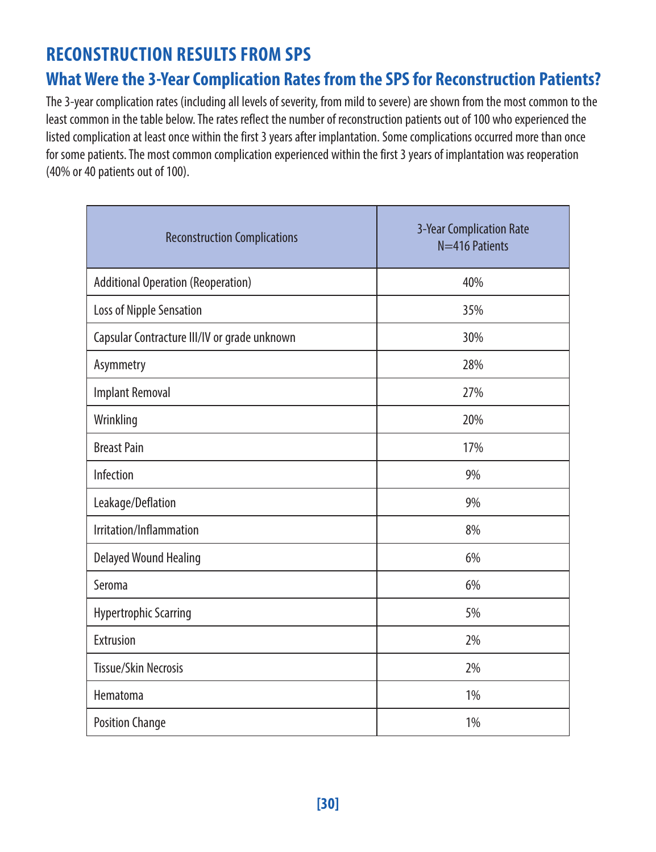### **RECONSTRUCTION RESULTS FROM SPS**

### **What Were the 3-Year Complication Rates from the SPS for Reconstruction Patients?**

The 3-year complication rates (including all levels of severity, from mild to severe) are shown from the most common to the least common in the table below. The rates reflect the number of reconstruction patients out of 100 who experienced the listed complication at least once within the first 3 years after implantation. Some complications occurred more than once for some patients. The most common complication experienced within the first 3 years of implantation was reoperation (40% or 40 patients out of 100).

| <b>Reconstruction Complications</b>          | 3-Year Complication Rate<br>N=416 Patients |
|----------------------------------------------|--------------------------------------------|
| <b>Additional Operation (Reoperation)</b>    | 40%                                        |
| Loss of Nipple Sensation                     | 35%                                        |
| Capsular Contracture III/IV or grade unknown | 30%                                        |
| Asymmetry                                    | 28%                                        |
| <b>Implant Removal</b>                       | 27%                                        |
| Wrinkling                                    | 20%                                        |
| <b>Breast Pain</b>                           | 17%                                        |
| Infection                                    | 9%                                         |
| Leakage/Deflation                            | 9%                                         |
| Irritation/Inflammation                      | 8%                                         |
| Delayed Wound Healing                        | 6%                                         |
| Seroma                                       | 6%                                         |
| <b>Hypertrophic Scarring</b>                 | 5%                                         |
| Extrusion                                    | 2%                                         |
| <b>Tissue/Skin Necrosis</b>                  | 2%                                         |
| Hematoma                                     | 1%                                         |
| <b>Position Change</b>                       | 1%                                         |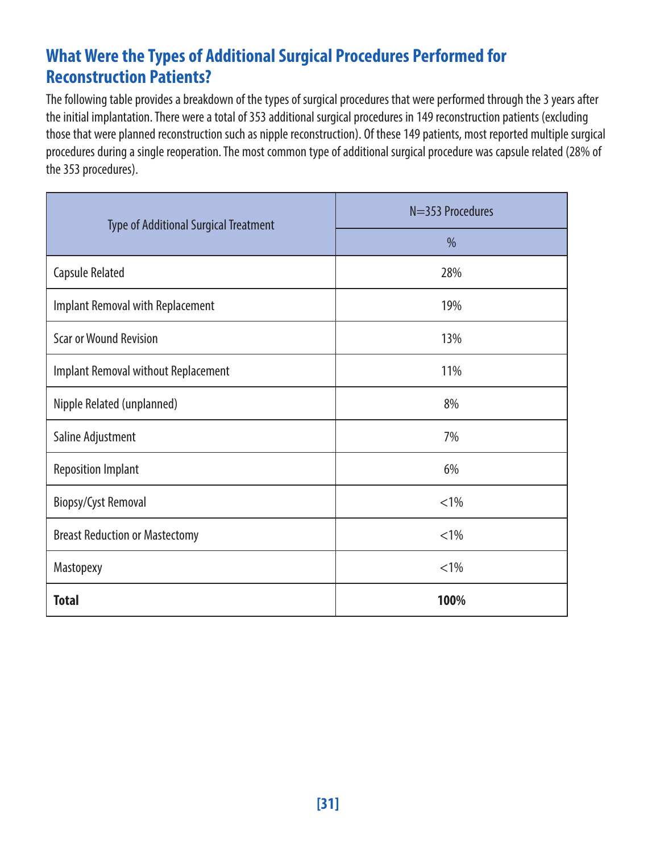### **What Were the Types of Additional Surgical Procedures Performed for Reconstruction Patients?**

The following table provides a breakdown of the types of surgical procedures that were performed through the 3 years after the initial implantation. There were a total of 353 additional surgical procedures in 149 reconstruction patients (excluding those that were planned reconstruction such as nipple reconstruction). Of these 149 patients, most reported multiple surgical procedures during a single reoperation. The most common type of additional surgical procedure was capsule related (28% of the 353 procedures).

| <b>Type of Additional Surgical Treatment</b> | $N=353$ Procedures |  |
|----------------------------------------------|--------------------|--|
|                                              | $\%$               |  |
| Capsule Related                              | 28%                |  |
| Implant Removal with Replacement             | 19%                |  |
| <b>Scar or Wound Revision</b>                | 13%                |  |
| Implant Removal without Replacement          | 11%                |  |
| Nipple Related (unplanned)                   | 8%                 |  |
| Saline Adjustment                            | 7%                 |  |
| <b>Reposition Implant</b>                    | 6%                 |  |
| Biopsy/Cyst Removal                          | $< 1\%$            |  |
| <b>Breast Reduction or Mastectomy</b>        | $< 1\%$            |  |
| Mastopexy                                    | $< 1\%$            |  |
| <b>Total</b>                                 | 100%               |  |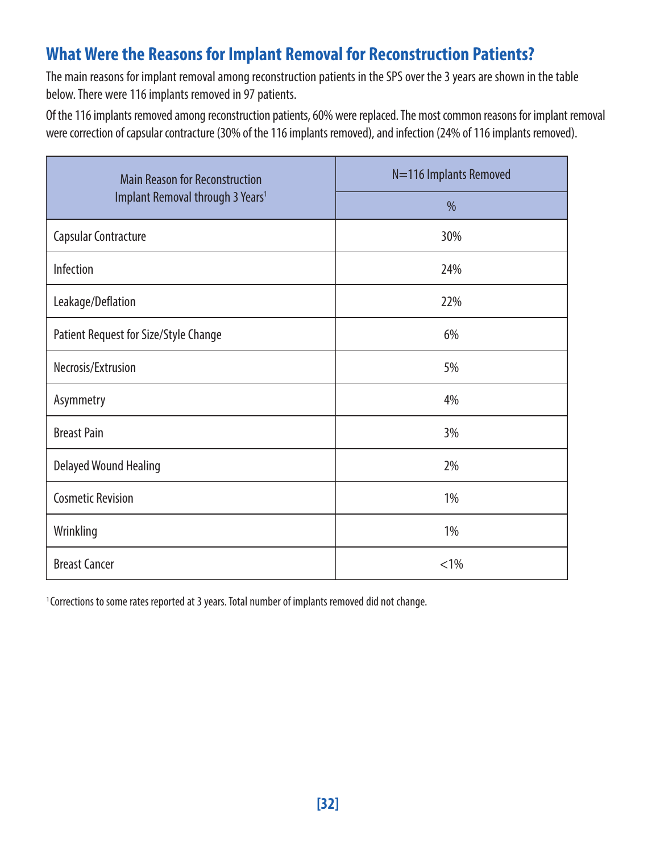### **What Were the Reasons for Implant Removal for Reconstruction Patients?**

The main reasons for implant removal among reconstruction patients in the SPS over the 3 years are shown in the table below. There were 116 implants removed in 97 patients.

Of the 116 implants removed among reconstruction patients, 60% were replaced. The most common reasons for implant removal were correction of capsular contracture (30% of the 116 implants removed), and infection (24% of 116 implants removed).

| <b>Main Reason for Reconstruction</b>        | N=116 Implants Removed |  |  |
|----------------------------------------------|------------------------|--|--|
| Implant Removal through 3 Years <sup>1</sup> | $\frac{0}{0}$          |  |  |
| Capsular Contracture                         | 30%                    |  |  |
| Infection                                    | 24%                    |  |  |
| Leakage/Deflation                            | 22%                    |  |  |
| Patient Request for Size/Style Change        | 6%                     |  |  |
| Necrosis/Extrusion                           | 5%                     |  |  |
| Asymmetry                                    | 4%                     |  |  |
| <b>Breast Pain</b>                           | 3%                     |  |  |
| Delayed Wound Healing                        | 2%                     |  |  |
| <b>Cosmetic Revision</b>                     | 1%                     |  |  |
| Wrinkling                                    | 1%                     |  |  |
| <b>Breast Cancer</b>                         | < 1%                   |  |  |

<sup>1</sup> Corrections to some rates reported at 3 years. Total number of implants removed did not change.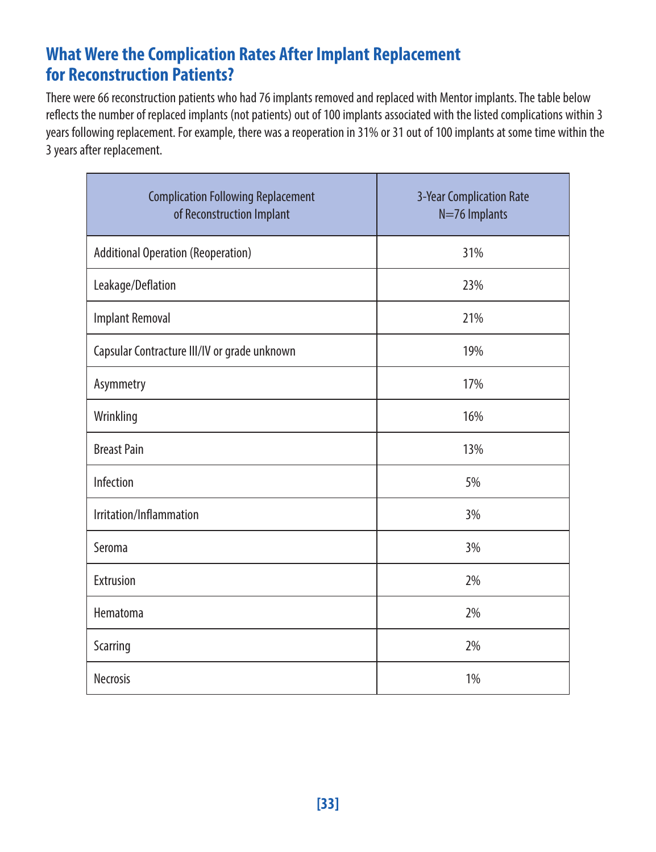### **What Were the Complication Rates After Implant Replacement for Reconstruction Patients?**

There were 66 reconstruction patients who had 76 implants removed and replaced with Mentor implants. The table below reflects the number of replaced implants (not patients) out of 100 implants associated with the listed complications within 3 years following replacement. For example, there was a reoperation in 31% or 31 out of 100 implants at some time within the 3 years after replacement.

| <b>Complication Following Replacement</b><br>of Reconstruction Implant | 3-Year Complication Rate<br>N=76 Implants |
|------------------------------------------------------------------------|-------------------------------------------|
| <b>Additional Operation (Reoperation)</b>                              | 31%                                       |
| Leakage/Deflation                                                      | 23%                                       |
| <b>Implant Removal</b>                                                 | 21%                                       |
| Capsular Contracture III/IV or grade unknown                           | 19%                                       |
| Asymmetry                                                              | 17%                                       |
| Wrinkling                                                              | 16%                                       |
| <b>Breast Pain</b>                                                     | 13%                                       |
| Infection                                                              | 5%                                        |
| Irritation/Inflammation                                                | 3%                                        |
| Seroma                                                                 | 3%                                        |
| Extrusion                                                              | 2%                                        |
| Hematoma                                                               | 2%                                        |
| Scarring                                                               | 2%                                        |
| <b>Necrosis</b>                                                        | 1%                                        |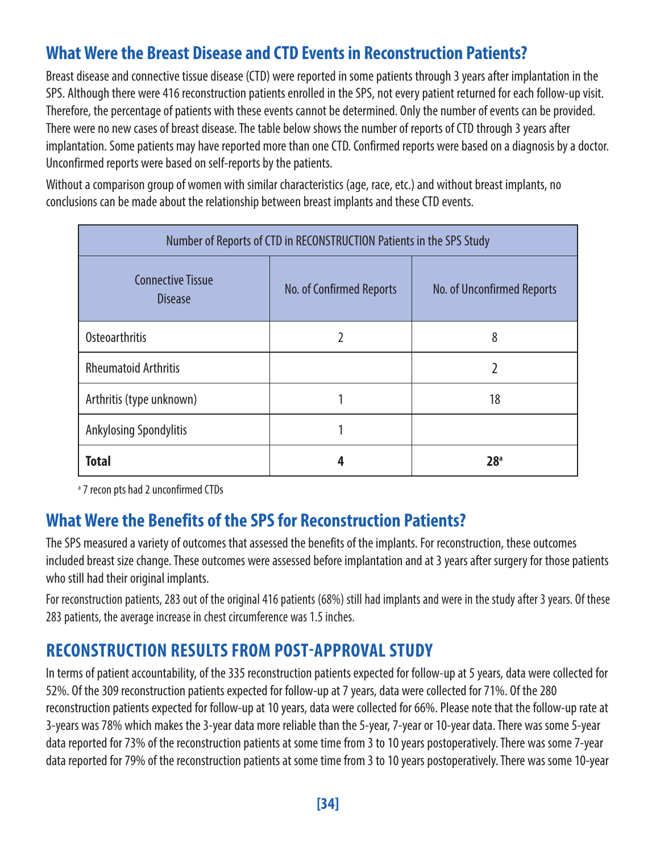### **What Were the Breast Disease and CTD Events in Reconstruction Patients?**

Breast disease and connective tissue disease (CTD) were reported in some patients through 3 years after implantation in the SPS. Although there were 416 reconstruction patients enrolled in the SPS, not every patient returned for each follow-up visit. Therefore, the percentage of patients with these events cannot be determined. Only the number of events can be provided. There were no new cases of breast disease. The table below shows the number of reports of CTD through 3 years after implantation. Some patients may have reported more than one CTD. Confirmed reports were based on a diagnosis by a doctor. Unconfirmed reports were based on self-reports by the patients.

Without a comparison group of women with similar characteristics (age, race, etc.) and without breast implants, no conclusions can be made about the relationship between breast implants and these CTD events.

| Number of Reports of CTD in RECONSTRUCTION Patients in the SPS Study |                                                        |    |  |  |  |
|----------------------------------------------------------------------|--------------------------------------------------------|----|--|--|--|
| <b>Connective Tissue</b><br><b>Disease</b>                           | No. of Confirmed Reports<br>No. of Unconfirmed Reports |    |  |  |  |
| Osteoarthritis                                                       | 2                                                      | 8  |  |  |  |
| <b>Rheumatoid Arthritis</b>                                          |                                                        | 2  |  |  |  |
| Arthritis (type unknown)                                             |                                                        | 18 |  |  |  |
| <b>Ankylosing Spondylitis</b>                                        |                                                        |    |  |  |  |
| <b>Total</b><br>28 <sup>a</sup>                                      |                                                        |    |  |  |  |

<sup>a</sup> 7 recon pts had 2 unconfirmed CTDs

### **What Were the Benefits of the SPS for Reconstruction Patients?**

The SPS measured a variety of outcomes that assessed the benefits of the implants. For reconstruction, these outcomes included breast size change. These outcomes were assessed before implantation and at 3 years after surgery for those patients who still had their original implants.

For reconstruction patients, 283 out of the original 416 patients (68%) still had implants and were in the study after 3 years. Of these 283 patients, the average increase in chest circumference was 1.5 inches.

### **RECONSTRUCTION RESULTS FROM POST-APPROVAL STUDY**

In terms of patient accountability, of the 335 reconstruction patients expected for follow-up at 5 years, data were collected for 52%. Of the 309 reconstruction patients expected for follow-up at 7 years, data were collected for 71%. Of the 280 reconstruction patients expected for follow-up at 10 years, data were collected for 66%. Please note that the follow-up rate at 3-years was 78% which makes the 3-year data more reliable than the 5-year, 7-year or 10-year data. There was some 5-year data reported for 73% of the reconstruction patients at some time from 3 to 10 years postoperatively. There was some 7-year data reported for 79% of the reconstruction patients at some time from 3 to 10 years postoperatively. There was some 10-year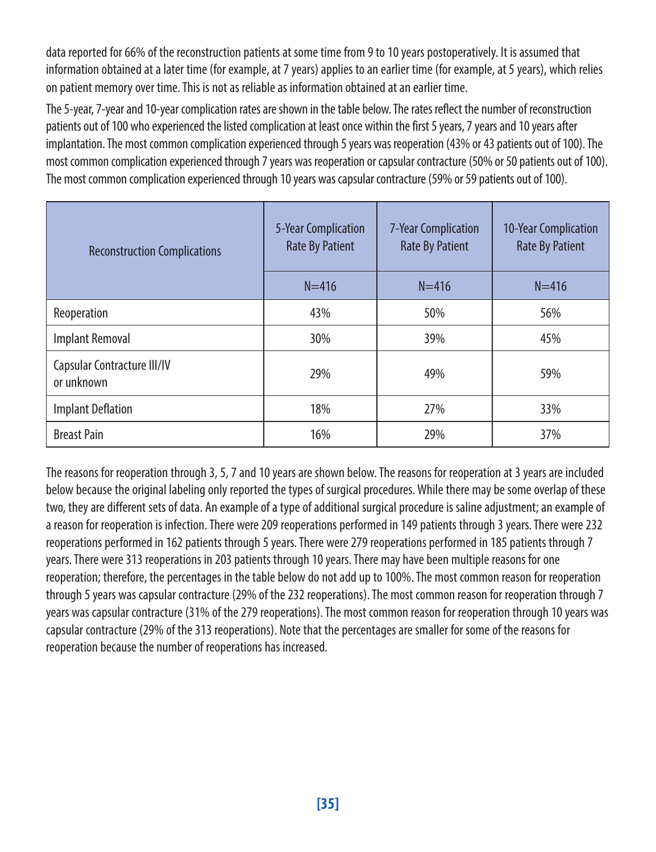data reported for 66% of the reconstruction patients at some time from 9 to 10 years postoperatively. It is assumed that information obtained at a later time (for example, at 7 years) applies to an earlier time (for example, at 5 years), which relies on patient memory over time. This is not as reliable as information obtained at an earlier time.

The 5-year, 7-year and 10-year complication rates are shown in the table below. The rates reflect the number of reconstruction patients out of 100 who experienced the listed complication at least once within the first 5 years, 7 years and 10 years after implantation. The most common complication experienced through 5 years was reoperation (43% or 43 patients out of 100). The most common complication experienced through 7 years was reoperation or capsular contracture (50% or 50 patients out of 100). The most common complication experienced through 10 years was capsular contracture (59% or 59 patients out of 100).

| <b>Reconstruction Complications</b>       | 5-Year Complication<br><b>Rate By Patient</b> | <b>7-Year Complication</b><br><b>Rate By Patient</b> | 10-Year Complication<br><b>Rate By Patient</b> |
|-------------------------------------------|-----------------------------------------------|------------------------------------------------------|------------------------------------------------|
|                                           | $N = 416$                                     | $N = 416$                                            | $N = 416$                                      |
| Reoperation                               | 43%                                           | 50%                                                  | 56%                                            |
| <b>Implant Removal</b>                    | 30%                                           | 39%                                                  | 45%                                            |
| Capsular Contracture III/IV<br>or unknown | 29%                                           | 49%                                                  | 59%                                            |
| <b>Implant Deflation</b>                  | 18%                                           | 27%                                                  | 33%                                            |
| <b>Breast Pain</b>                        | 16%                                           | 29%                                                  | 37%                                            |

The reasons for reoperation through 3, 5, 7 and 10 years are shown below. The reasons for reoperation at 3 years are included below because the original labeling only reported the types of surgical procedures. While there may be some overlap of these two, they are different sets of data. An example of a type of additional surgical procedure is saline adjustment; an example of a reason for reoperation is infection. There were 209 reoperations performed in 149 patients through 3 years. There were 232 reoperations performed in 162 patients through 5 years. There were 279 reoperations performed in 185 patients through 7 years. There were 313 reoperations in 203 patients through 10 years. There may have been multiple reasons for one reoperation; therefore, the percentages in the table below do not add up to 100%. The most common reason for reoperation through 5 years was capsular contracture (29% of the 232 reoperations). The most common reason for reoperation through 7 years was capsular contracture (31% of the 279 reoperations). The most common reason for reoperation through 10 years was capsular contracture (29% of the 313 reoperations). Note that the percentages are smaller for some of the reasons for reoperation because the number of reoperations has increased.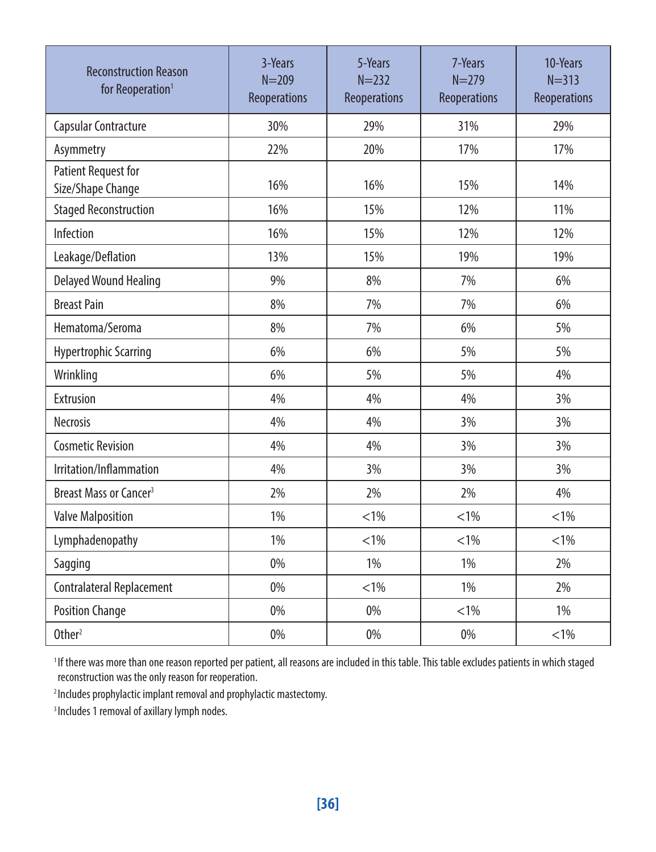| <b>Reconstruction Reason</b><br>for Reoperation <sup>1</sup> | 3-Years<br>$N = 209$<br>Reoperations | 5-Years<br>$N = 232$<br>Reoperations | 7-Years<br>$N = 279$<br>Reoperations | 10-Years<br>$N = 313$<br>Reoperations |
|--------------------------------------------------------------|--------------------------------------|--------------------------------------|--------------------------------------|---------------------------------------|
| Capsular Contracture                                         | 30%                                  | 29%                                  | 31%                                  | 29%                                   |
| Asymmetry                                                    | 22%                                  | 20%                                  | 17%                                  | 17%                                   |
| <b>Patient Request for</b><br>Size/Shape Change              | 16%                                  | 16%                                  | 15%                                  | 14%                                   |
| <b>Staged Reconstruction</b>                                 | 16%                                  | 15%                                  | 12%                                  | 11%                                   |
| Infection                                                    | 16%                                  | 15%                                  | 12%                                  | 12%                                   |
| Leakage/Deflation                                            | 13%                                  | 15%                                  | 19%                                  | 19%                                   |
| <b>Delayed Wound Healing</b>                                 | 9%                                   | 8%                                   | 7%                                   | 6%                                    |
| <b>Breast Pain</b>                                           | 8%                                   | 7%                                   | 7%                                   | 6%                                    |
| Hematoma/Seroma                                              | 8%                                   | 7%                                   | 6%                                   | 5%                                    |
| <b>Hypertrophic Scarring</b>                                 | 6%                                   | 6%                                   | 5%                                   | 5%                                    |
| Wrinkling                                                    | 6%                                   | 5%                                   | 5%                                   | 4%                                    |
| Extrusion                                                    | 4%                                   | 4%                                   | 4%                                   | 3%                                    |
| <b>Necrosis</b>                                              | 4%                                   | 4%                                   | 3%                                   | 3%                                    |
| <b>Cosmetic Revision</b>                                     | 4%                                   | 4%                                   | 3%                                   | 3%                                    |
| Irritation/Inflammation                                      | 4%                                   | 3%                                   | 3%                                   | 3%                                    |
| Breast Mass or Cancer <sup>3</sup>                           | 2%                                   | 2%                                   | 2%                                   | 4%                                    |
| <b>Valve Malposition</b>                                     | 1%                                   | $< 1\%$                              | $< 1\%$                              | $< 1\%$                               |
| Lymphadenopathy                                              | 1%                                   | $< 1\%$                              | $< 1\%$                              | $< 1\%$                               |
| Sagging                                                      | 0%                                   | 1%                                   | 1%                                   | 2%                                    |
| Contralateral Replacement                                    | 0%                                   | $< 1\%$                              | 1%                                   | 2%                                    |
| <b>Position Change</b>                                       | 0%                                   | 0%                                   | $< 1\%$                              | 1%                                    |
| Other <sup>2</sup>                                           | 0%                                   | 0%                                   | 0%                                   | $< 1\%$                               |

<sup>1</sup> If there was more than one reason reported per patient, all reasons are included in this table. This table excludes patients in which staged reconstruction was the only reason for reoperation.

2 Includes prophylactic implant removal and prophylactic mastectomy.

<sup>3</sup> Includes 1 removal of axillary lymph nodes.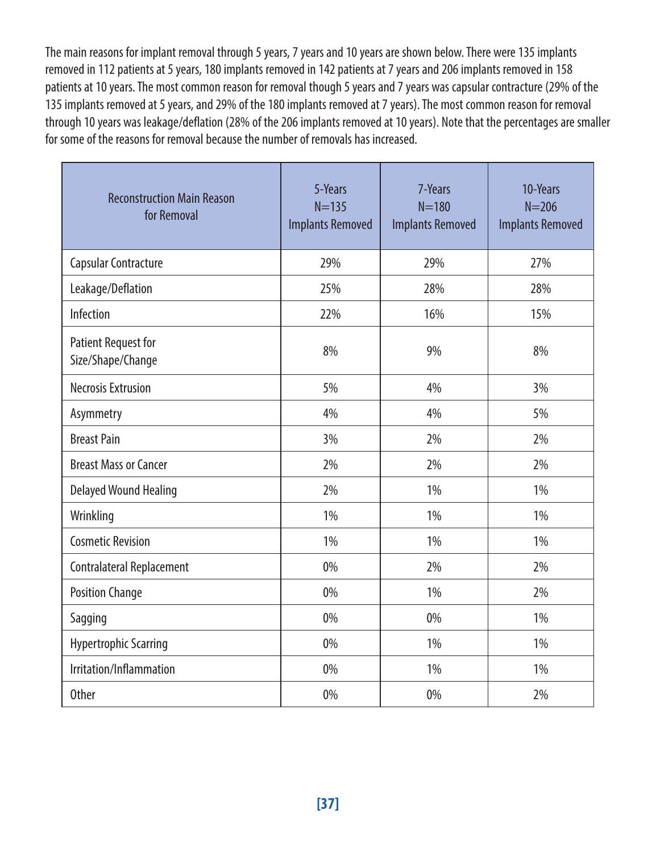The main reasons for implant removal through 5 years, 7 years and 10 years are shown below. There were 135 implants removed in 112 patients at 5 years, 180 implants removed in 142 patients at 7 years and 206 implants removed in 158 patients at 10 years. The most common reason for removal though 5 years and 7 years was capsular contracture (29% of the 135 implants removed at 5 years, and 29% of the 180 implants removed at 7 years). The most common reason for removal through 10 years was leakage/deflation (28% of the 206 implants removed at 10 years). Note that the percentages are smaller for some of the reasons for removal because the number of removals has increased.

| <b>Reconstruction Main Reason</b><br>for Removal | 5-Years<br>$N = 135$<br><b>Implants Removed</b> | 7-Years<br>$N = 180$<br><b>Implants Removed</b> | 10-Years<br>$N = 206$<br><b>Implants Removed</b> |
|--------------------------------------------------|-------------------------------------------------|-------------------------------------------------|--------------------------------------------------|
| Capsular Contracture                             | 29%                                             | 29%                                             | 27%                                              |
| Leakage/Deflation                                | 25%                                             | 28%                                             | 28%                                              |
| Infection                                        | 22%                                             | 16%                                             | 15%                                              |
| <b>Patient Request for</b><br>Size/Shape/Change  | 8%                                              | 9%                                              | 8%                                               |
| <b>Necrosis Extrusion</b>                        | 5%                                              | 4%                                              | 3%                                               |
| Asymmetry                                        | 4%                                              | 4%                                              | 5%                                               |
| <b>Breast Pain</b>                               | 3%                                              | 2%                                              | 2%                                               |
| <b>Breast Mass or Cancer</b>                     | 2%                                              | 2%                                              | 2%                                               |
| Delayed Wound Healing                            | 2%                                              | 1%                                              | 1%                                               |
| Wrinkling                                        | 1%                                              | 1%                                              | 1%                                               |
| <b>Cosmetic Revision</b>                         | 1%                                              | 1%                                              | 1%                                               |
| Contralateral Replacement                        | 0%                                              | 2%                                              | 2%                                               |
| <b>Position Change</b>                           | 0%                                              | 1%                                              | 2%                                               |
| Sagging                                          | 0%                                              | 0%                                              | 1%                                               |
| Hypertrophic Scarring                            | 0%                                              | 1%                                              | 1%                                               |
| Irritation/Inflammation                          | 0%                                              | 1%                                              | 1%                                               |
| <b>Other</b>                                     | 0%                                              | 0%                                              | 2%                                               |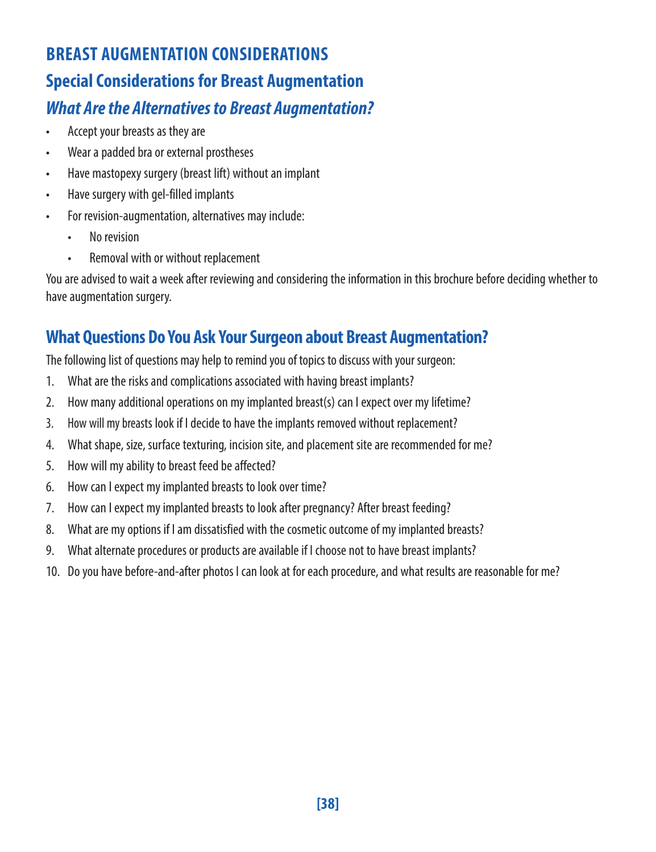## **BREAST AUGMENTATION CONSIDERATIONS Special Considerations for Breast Augmentation** *What Are the Alternatives to Breast Augmentation?*

- Accept your breasts as they are
- Wear a padded bra or external prostheses
- Have mastopexy surgery (breast lift) without an implant
- Have surgery with gel-filled implants
- For revision-augmentation, alternatives may include:
	- No revision
	- Removal with or without replacement

You are advised to wait a week after reviewing and considering the information in this brochure before deciding whether to have augmentation surgery.

### **What Questions Do You Ask Your Surgeon about Breast Augmentation?**

The following list of questions may help to remind you of topics to discuss with your surgeon:

- 1. What are the risks and complications associated with having breast implants?
- 2. How many additional operations on my implanted breast(s) can I expect over my lifetime?
- 3. How will my breasts look if I decide to have the implants removed without replacement?
- 4. What shape, size, surface texturing, incision site, and placement site are recommended for me?
- 5. How will my ability to breast feed be affected?
- 6. How can I expect my implanted breasts to look over time?
- 7. How can I expect my implanted breasts to look after pregnancy? After breast feeding?
- 8. What are my options if I am dissatisfied with the cosmetic outcome of my implanted breasts?
- 9. What alternate procedures or products are available if I choose not to have breast implants?
- 10. Do you have before-and-after photos I can look at for each procedure, and what results are reasonable for me?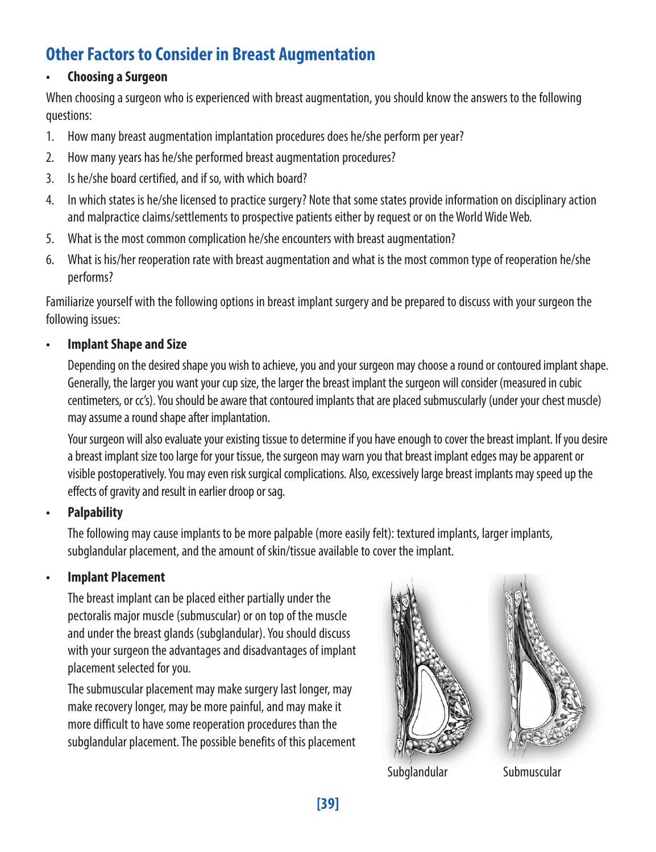### **Other Factors to Consider in Breast Augmentation**

#### **• Choosing a Surgeon**

When choosing a surgeon who is experienced with breast augmentation, you should know the answers to the following questions:

- 1. How many breast augmentation implantation procedures does he/she perform per year?
- 2. How many years has he/she performed breast augmentation procedures?
- 3. Is he/she board certified, and if so, with which board?
- 4. In which states is he/she licensed to practice surgery? Note that some states provide information on disciplinary action and malpractice claims/settlements to prospective patients either by request or on the World Wide Web.
- 5. What is the most common complication he/she encounters with breast augmentation?
- 6. What is his/her reoperation rate with breast augmentation and what is the most common type of reoperation he/she performs?

Familiarize yourself with the following options in breast implant surgery and be prepared to discuss with your surgeon the following issues:

#### **• Implant Shape and Size**

Depending on the desired shape you wish to achieve, you and your surgeon may choose a round or contoured implant shape. Generally, the larger you want your cup size, the larger the breast implant the surgeon will consider (measured in cubic centimeters, or cc's). You should be aware that contoured implants that are placed submuscularly (under your chest muscle) may assume a round shape after implantation.

Your surgeon will also evaluate your existing tissue to determine if you have enough to cover the breast implant. If you desire a breast implant size too large for your tissue, the surgeon may warn you that breast implant edges may be apparent or visible postoperatively. You may even risk surgical complications. Also, excessively large breast implants may speed up the effects of gravity and result in earlier droop or sag.

#### **• Palpability**

The following may cause implants to be more palpable (more easily felt): textured implants, larger implants, subglandular placement, and the amount of skin/tissue available to cover the implant.

#### **• Implant Placement**

The breast implant can be placed either partially under the pectoralis major muscle (submuscular) or on top of the muscle and under the breast glands (subglandular). You should discuss with your surgeon the advantages and disadvantages of implant placement selected for you.

The submuscular placement may make surgery last longer, may make recovery longer, may be more painful, and may make it more difficult to have some reoperation procedures than the subglandular placement. The possible benefits of this placement





Subglandular Submuscular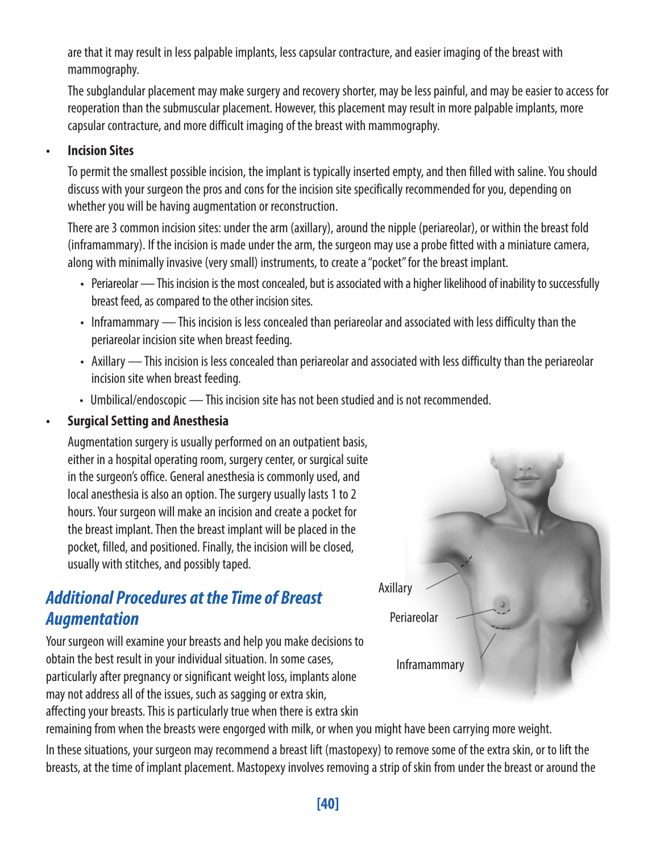are that it may result in less palpable implants, less capsular contracture, and easier imaging of the breast with mammography.

The subglandular placement may make surgery and recovery shorter, may be less painful, and may be easier to access for reoperation than the submuscular placement. However, this placement may result in more palpable implants, more capsular contracture, and more difficult imaging of the breast with mammography.

#### **• Incision Sites**

To permit the smallest possible incision, the implant is typically inserted empty, and then filled with saline. You should discuss with your surgeon the pros and cons for the incision site specifically recommended for you, depending on whether you will be having augmentation or reconstruction.

There are 3 common incision sites: under the arm (axillary), around the nipple (periareolar), or within the breast fold (inframammary). If the incision is made under the arm, the surgeon may use a probe fitted with a miniature camera, along with minimally invasive (very small) instruments, to create a "pocket" for the breast implant.

- Periareolar This incision is the most concealed, but is associated with a higher likelihood of inability to successfully breast feed, as compared to the other incision sites.
- Inframammary This incision is less concealed than periareolar and associated with less difficulty than the periareolar incision site when breast feeding.
- Axillary This incision is less concealed than periareolar and associated with less difficulty than the periareolar incision site when breast feeding.
- Umbilical/endoscopic This incision site has not been studied and is not recommended.

#### **• Surgical Setting and Anesthesia**

Augmentation surgery is usually performed on an outpatient basis, either in a hospital operating room, surgery center, or surgical suite in the surgeon's office. General anesthesia is commonly used, and local anesthesia is also an option. The surgery usually lasts 1 to 2 hours. Your surgeon will make an incision and create a pocket for the breast implant. Then the breast implant will be placed in the pocket, filled, and positioned. Finally, the incision will be closed, usually with stitches, and possibly taped.

### *Additional Procedures at the Time of Breast Augmentation*

Your surgeon will examine your breasts and help you make decisions to obtain the best result in your individual situation. In some cases, particularly after pregnancy or significant weight loss, implants alone may not address all of the issues, such as sagging or extra skin, affecting your breasts. This is particularly true when there is extra skin



remaining from when the breasts were engorged with milk, or when you might have been carrying more weight.

In these situations, your surgeon may recommend a breast lift (mastopexy) to remove some of the extra skin, or to lift the breasts, at the time of implant placement. Mastopexy involves removing a strip of skin from under the breast or around the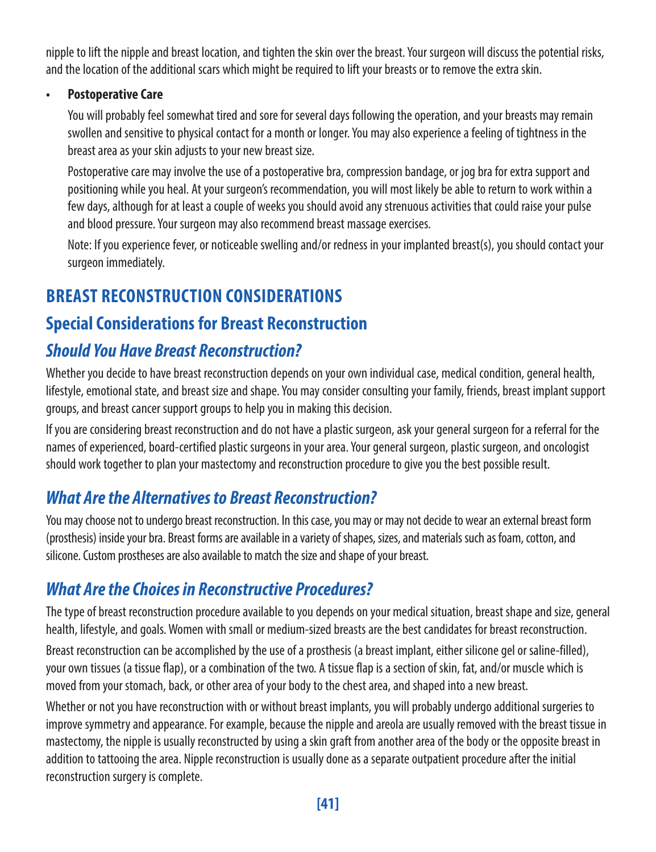nipple to lift the nipple and breast location, and tighten the skin over the breast. Your surgeon will discuss the potential risks, and the location of the additional scars which might be required to lift your breasts or to remove the extra skin.

#### **• Postoperative Care**

You will probably feel somewhat tired and sore for several days following the operation, and your breasts may remain swollen and sensitive to physical contact for a month or longer. You may also experience a feeling of tightness in the breast area as your skin adjusts to your new breast size.

Postoperative care may involve the use of a postoperative bra, compression bandage, or jog bra for extra support and positioning while you heal. At your surgeon's recommendation, you will most likely be able to return to work within a few days, although for at least a couple of weeks you should avoid any strenuous activities that could raise your pulse and blood pressure. Your surgeon may also recommend breast massage exercises.

Note: If you experience fever, or noticeable swelling and/or redness in your implanted breast(s), you should contact your surgeon immediately.

### **BREAST RECONSTRUCTION CONSIDERATIONS**

### **Special Considerations for Breast Reconstruction**

### *Should You Have Breast Reconstruction?*

Whether you decide to have breast reconstruction depends on your own individual case, medical condition, general health, lifestyle, emotional state, and breast size and shape. You may consider consulting your family, friends, breast implant support groups, and breast cancer support groups to help you in making this decision.

If you are considering breast reconstruction and do not have a plastic surgeon, ask your general surgeon for a referral for the names of experienced, board-certified plastic surgeons in your area. Your general surgeon, plastic surgeon, and oncologist should work together to plan your mastectomy and reconstruction procedure to give you the best possible result.

### *What Are the Alternatives to Breast Reconstruction?*

You may choose not to undergo breast reconstruction. In this case, you may or may not decide to wear an external breast form (prosthesis) inside your bra. Breast forms are available in a variety of shapes, sizes, and materials such as foam, cotton, and silicone. Custom prostheses are also available to match the size and shape of your breast.

### *What Are the Choices in Reconstructive Procedures?*

The type of breast reconstruction procedure available to you depends on your medical situation, breast shape and size, general health, lifestyle, and goals. Women with small or medium-sized breasts are the best candidates for breast reconstruction.

Breast reconstruction can be accomplished by the use of a prosthesis (a breast implant, either silicone gel or saline-filled), your own tissues (a tissue flap), or a combination of the two. A tissue flap is a section of skin, fat, and/or muscle which is moved from your stomach, back, or other area of your body to the chest area, and shaped into a new breast.

Whether or not you have reconstruction with or without breast implants, you will probably undergo additional surgeries to improve symmetry and appearance. For example, because the nipple and areola are usually removed with the breast tissue in mastectomy, the nipple is usually reconstructed by using a skin graft from another area of the body or the opposite breast in addition to tattooing the area. Nipple reconstruction is usually done as a separate outpatient procedure after the initial reconstruction surgery is complete.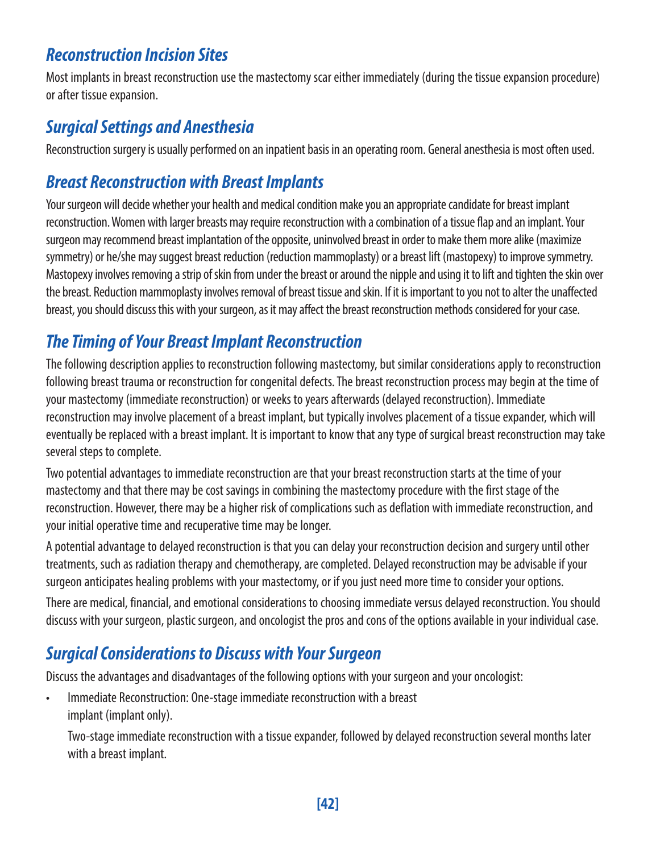### *Reconstruction Incision Sites*

Most implants in breast reconstruction use the mastectomy scar either immediately (during the tissue expansion procedure) or after tissue expansion.

### *Surgical Settings and Anesthesia*

Reconstruction surgery is usually performed on an inpatient basis in an operating room. General anesthesia is most often used.

### *Breast Reconstruction with Breast Implants*

Your surgeon will decide whether your health and medical condition make you an appropriate candidate for breast implant reconstruction. Women with larger breasts may require reconstruction with a combination of a tissue flap and an implant. Your surgeon may recommend breast implantation of the opposite, uninvolved breast in order to make them more alike (maximize symmetry) or he/she may suggest breast reduction (reduction mammoplasty) or a breast lift (mastopexy) to improve symmetry. Mastopexy involves removing a strip of skin from under the breast or around the nipple and using it to lift and tighten the skin over the breast. Reduction mammoplasty involves removal of breast tissue and skin. If it is important to you not to alter the unaffected breast, you should discuss this with your surgeon, as it may affect the breast reconstruction methods considered for your case.

### *The Timing of Your Breast Implant Reconstruction*

The following description applies to reconstruction following mastectomy, but similar considerations apply to reconstruction following breast trauma or reconstruction for congenital defects. The breast reconstruction process may begin at the time of your mastectomy (immediate reconstruction) or weeks to years afterwards (delayed reconstruction). Immediate reconstruction may involve placement of a breast implant, but typically involves placement of a tissue expander, which will eventually be replaced with a breast implant. It is important to know that any type of surgical breast reconstruction may take several steps to complete.

Two potential advantages to immediate reconstruction are that your breast reconstruction starts at the time of your mastectomy and that there may be cost savings in combining the mastectomy procedure with the first stage of the reconstruction. However, there may be a higher risk of complications such as deflation with immediate reconstruction, and your initial operative time and recuperative time may be longer.

A potential advantage to delayed reconstruction is that you can delay your reconstruction decision and surgery until other treatments, such as radiation therapy and chemotherapy, are completed. Delayed reconstruction may be advisable if your surgeon anticipates healing problems with your mastectomy, or if you just need more time to consider your options.

There are medical, financial, and emotional considerations to choosing immediate versus delayed reconstruction. You should discuss with your surgeon, plastic surgeon, and oncologist the pros and cons of the options available in your individual case.

### *Surgical Considerations to Discuss with Your Surgeon*

Discuss the advantages and disadvantages of the following options with your surgeon and your oncologist:

• Immediate Reconstruction: One-stage immediate reconstruction with a breast implant (implant only).

Two-stage immediate reconstruction with a tissue expander, followed by delayed reconstruction several months later with a breast implant.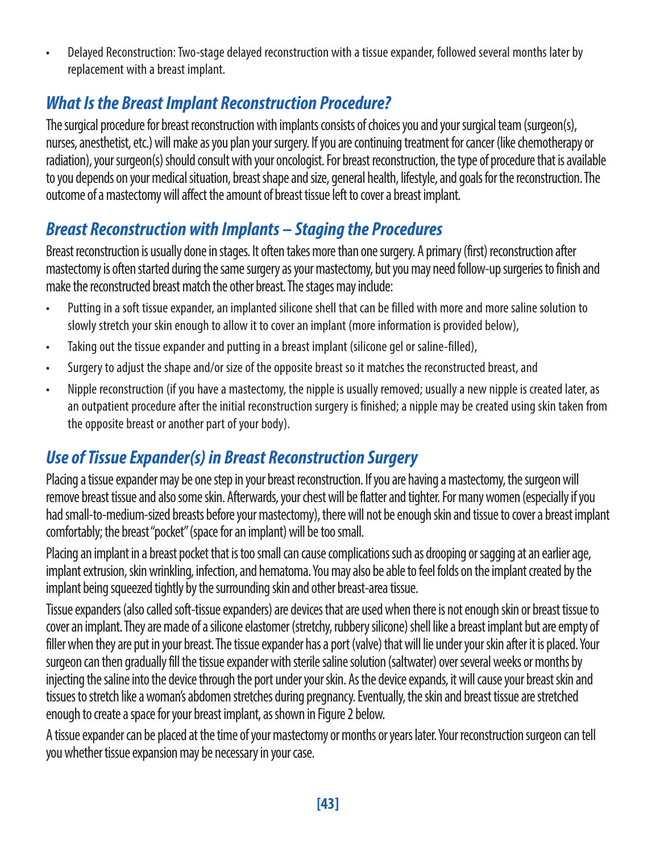• Delayed Reconstruction: Two-stage delayed reconstruction with a tissue expander, followed several months later by replacement with a breast implant.

### *What Is the Breast Implant Reconstruction Procedure?*

The surgical procedure for breast reconstruction with implants consists of choices you and your surgical team (surgeon(s), nurses, anesthetist, etc.) will make as you plan your surgery. If you are continuing treatment for cancer (like chemotherapy or radiation), your surgeon(s) should consult with your oncologist. For breast reconstruction, the type of procedure that is available to you depends on your medical situation, breast shape and size, general health, lifestyle, and goals for the reconstruction. The outcome of a mastectomy will affect the amount of breast tissue left to cover a breast implant.

### *Breast Reconstruction with Implants – Staging the Procedures*

Breast reconstruction is usually done in stages. It often takes more than one surgery. A primary (first) reconstruction after mastectomy is often started during the same surgery as your mastectomy, but you may need follow-up surgeries to finish and make the reconstructed breast match the other breast. The stages may include:

- Putting in a soft tissue expander, an implanted silicone shell that can be filled with more and more saline solution to slowly stretch your skin enough to allow it to cover an implant (more information is provided below),
- Taking out the tissue expander and putting in a breast implant (silicone gel or saline-filled),
- Surgery to adjust the shape and/or size of the opposite breast so it matches the reconstructed breast, and
- Nipple reconstruction (if you have a mastectomy, the nipple is usually removed; usually a new nipple is created later, as an outpatient procedure after the initial reconstruction surgery is finished; a nipple may be created using skin taken from the opposite breast or another part of your body).

### *Use of Tissue Expander(s) in Breast Reconstruction Surgery*

Placing a tissue expander may be one step in your breast reconstruction. If you are having a mastectomy, the surgeon will remove breast tissue and also some skin. Afterwards, your chest will be flatter and tighter. For many women (especially if you had small-to-medium-sized breasts before your mastectomy), there will not be enough skin and tissue to cover a breast implant comfortably; the breast "pocket" (space for an implant) will be too small.

Placing an implant in a breast pocket that is too small can cause complications such as drooping or sagging at an earlier age, implant extrusion, skin wrinkling, infection, and hematoma. You may also be able to feel folds on the implant created by the implant being squeezed tightly by the surrounding skin and other breast-area tissue.

Tissue expanders (also called soft-tissue expanders) are devices that are used when there is not enough skin or breast tissue to cover an implant. They are made of a silicone elastomer (stretchy, rubbery silicone) shell like a breast implant but are empty of filler when they are put in your breast. The tissue expander has a port (valve) that will lie under your skin after it is placed. Your surgeon can then gradually fill the tissue expander with sterile saline solution (saltwater) over several weeks or months by injecting the saline into the device through the port under your skin. As the device expands, it will cause your breast skin and tissues to stretch like a woman's abdomen stretches during pregnancy. Eventually, the skin and breast tissue are stretched enough to create a space for your breast implant, as shown in Figure 2 below.

A tissue expander can be placed at the time of your mastectomy or months or years later. Your reconstruction surgeon can tell you whether tissue expansion may be necessary in your case.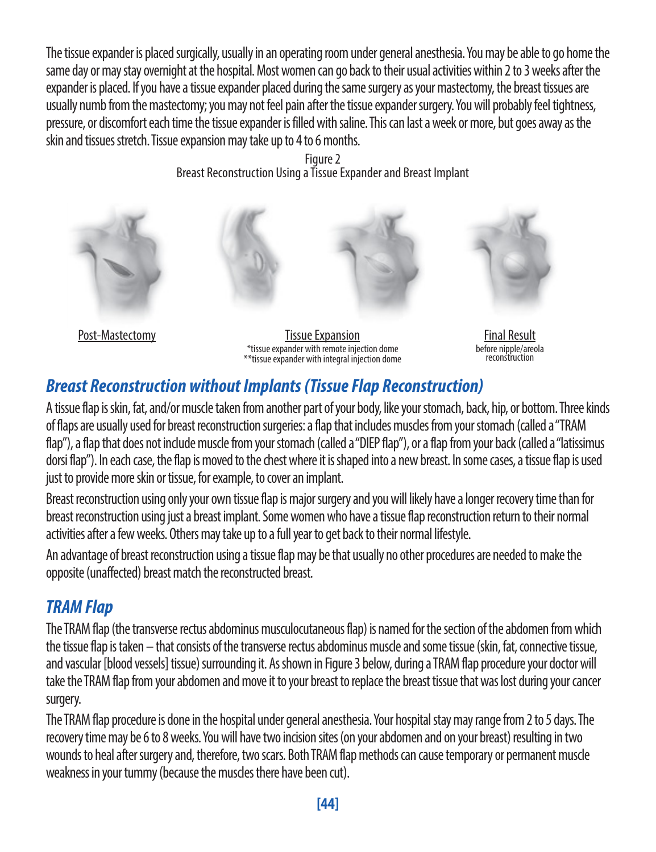The tissue expander is placed surgically, usually in an operating room under general anesthesia. You may be able to go home the same day or may stay overnight at the hospital. Most women can go back to their usual activities within 2 to 3 weeks after the expander is placed. If you have a tissue expander placed during the same surgery as your mastectomy, the breast tissues are usually numb from the mastectomy; you may not feel pain after the tissue expander surgery. You will probably feel tightness, pressure, or discomfort each time the tissue expander is filled with saline. This can last a week or more, but goes away as the skin and tissues stretch. Tissue expansion may take up to 4 to 6 months.

> Figure 2 Breast Reconstruction Using a Tissue Expander and Breast Implant



Final Result before nipple/areola reconstruction

### *Breast Reconstruction without Implants (Tissue Flap Reconstruction)*

A tissue flap is skin, fat, and/or muscle taken from another part of your body, like your stomach, back, hip, or bottom. Three kinds of flaps are usually used for breast reconstruction surgeries: a flap that includes muscles from your stomach (called a "TRAM flap"), a flap that does not include muscle from your stomach (called a "DIEP flap"), or a flap from your back (called a "latissimus dorsi flap"). In each case, the flap is moved to the chest where it is shaped into a new breast. In some cases, a tissue flap is used just to provide more skin or tissue, for example, to cover an implant.

Breast reconstruction using only your own tissue flap is major surgery and you will likely have a longer recovery time than for breast reconstruction using just a breast implant. Some women who have a tissue flap reconstruction return to their normal activities after a few weeks. Others may take up to a full year to get back to their normal lifestyle.

An advantage of breast reconstruction using a tissue flap may be that usually no other procedures are needed to make the opposite (unaffected) breast match the reconstructed breast.

### *TRAM Flap*

The TRAM flap (the transverse rectus abdominus musculocutaneous flap) is named for the section of the abdomen from which the tissue flap is taken – that consists of the transverse rectus abdominus muscle and some tissue (skin, fat, connective tissue, and vascular [blood vessels] tissue) surrounding it. As shown in Figure 3 below, during a TRAM flap procedure your doctor will take the TRAM flap from your abdomen and move it to your breast to replace the breast tissue that was lost during your cancer surgery.

The TRAM flap procedure is done in the hospital under general anesthesia. Your hospital stay may range from 2 to 5 days. The recovery time may be 6 to 8 weeks. You will have two incision sites (on your abdomen and on your breast) resulting in two wounds to heal after surgery and, therefore, two scars. Both TRAM flap methods can cause temporary or permanent muscle weakness in your tummy (because the muscles there have been cut).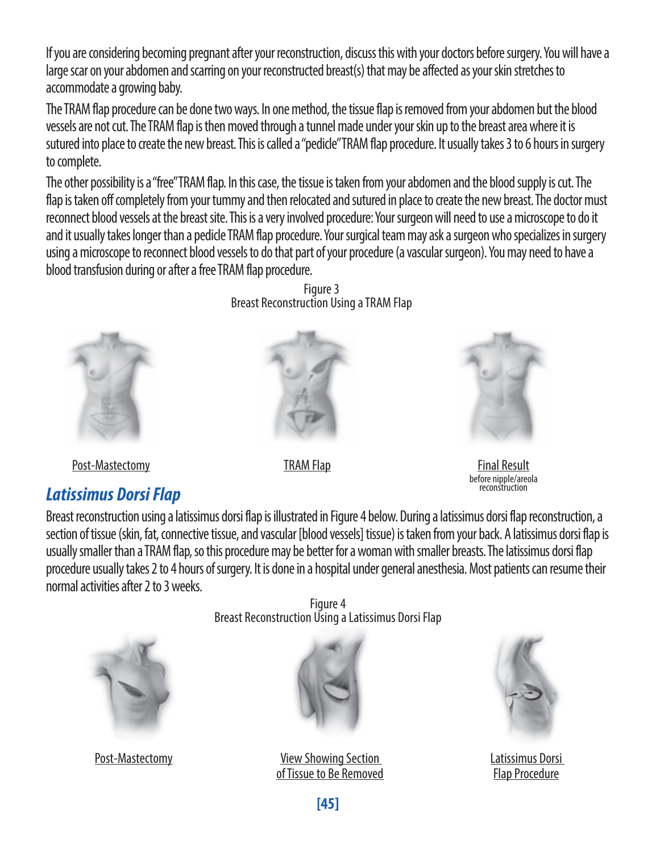If you are considering becoming pregnant after your reconstruction, discuss this with your doctors before surgery. You will have a large scar on your abdomen and scarring on your reconstructed breast(s) that may be affected as your skin stretches to accommodate a growing baby.

The TRAM flap procedure can be done two ways. In one method, the tissue flap is removed from your abdomen but the blood vessels are not cut. The TRAM flap is then moved through a tunnel made under your skin up to the breast area where it is sutured into place to create the new breast. This is called a "pedicle" TRAM flap procedure. It usually takes 3 to 6 hours in surgery to complete.

The other possibility is a "free" TRAM flap. In this case, the tissue is taken from your abdomen and the blood supply is cut. The flap is taken off completely from your tummy and then relocated and sutured in place to create the new breast. The doctor must reconnect blood vessels at the breast site. This is a very involved procedure: Your surgeon will need to use a microscope to do it and it usually takes longer than a pedicle TRAM flap procedure. Your surgical team may ask a surgeon who specializes in surgery using a microscope to reconnect blood vessels to do that part of your procedure (a vascular surgeon). You may need to have a blood transfusion during or after a free TRAM flap procedure.



Post-Mastectomy **Final Result** Final Result Final Result

### *Latissimus Dorsi Flap*

Figure 3 Breast Reconstruction Using a TRAM Flap





before nipple/areola

Breast reconstruction using a latissimus dorsi flap is illustrated in Figure 4 below. During a latissimus dorsi flap reconstruction, a section of tissue (skin, fat, connective tissue, and vascular [blood vessels] tissue) is taken from your back. A latissimus dorsi flap is usually smaller than a TRAM flap, so this procedure may be better for a woman with smaller breasts. The latissimus dorsi flap procedure usually takes 2 to 4 hours of surgery. It is done in a hospital under general anesthesia. Most patients can resume their normal activities after 2 to 3 weeks.



Figure 4 Breast Reconstruction Using a Latissimus Dorsi Flap



Post-Mastectomy View Showing Section of Tissue to Be Removed



Latissimus Dorsi Flap Procedure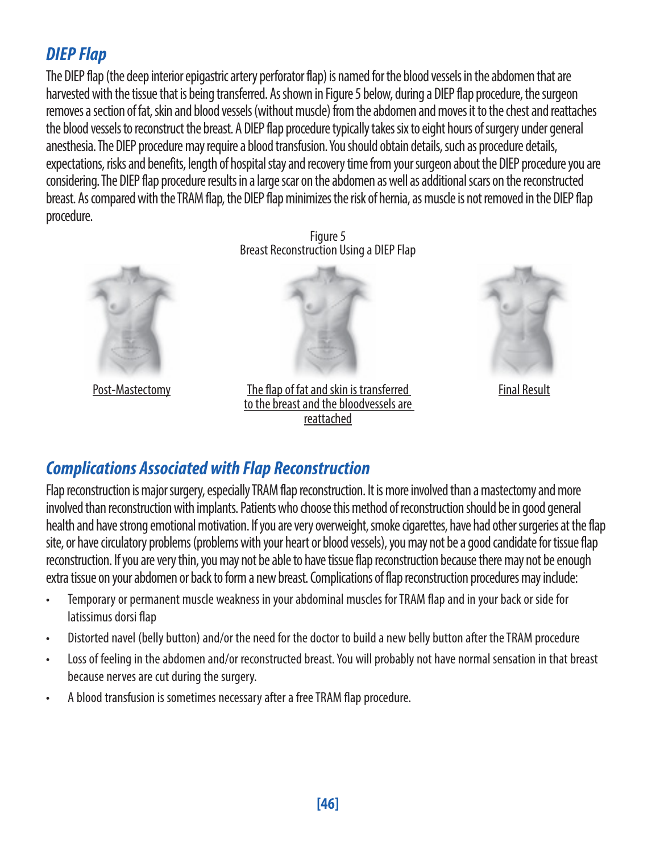### *DIEP Flap*

The DIEP flap (the deep interior epigastric artery perforator flap) is named for the blood vessels in the abdomen that are harvested with the tissue that is being transferred. As shown in Figure 5 below, during a DIEP flap procedure, the surgeon removes a section of fat, skin and blood vessels (without muscle) from the abdomen and moves it to the chest and reattaches the blood vessels to reconstruct the breast. A DIEP flap procedure typically takes six to eight hours of surgery under general anesthesia. The DIEP procedure may require a blood transfusion. You should obtain details, such as procedure details, expectations, risks and benefits, length of hospital stay and recovery time from your surgeon about the DIEP procedure you are considering. The DIEP flap procedure results in a large scar on the abdomen as well as additional scars on the reconstructed breast. As compared with the TRAM flap, the DIEP flap minimizes the risk of hernia, as muscle is not removed in the DIEP flap procedure.



Figure 5 Breast Reconstruction Using a DIEP Flap



Post-Mastectomy The flap of fat and skin is transferred Final Result to the breast and the bloodvessels are reattached



### *Complications Associated with Flap Reconstruction*

Flap reconstruction is major surgery, especially TRAM flap reconstruction. It is more involved than a mastectomy and more involved than reconstruction with implants. Patients who choose this method of reconstruction should be in good general health and have strong emotional motivation. If you are very overweight, smoke cigarettes, have had other surgeries at the flap site, or have circulatory problems (problems with your heart or blood vessels), you may not be a good candidate for tissue flap reconstruction. If you are very thin, you may not be able to have tissue flap reconstruction because there may not be enough extra tissue on your abdomen or back to form a new breast. Complications of flap reconstruction procedures may include:

- Temporary or permanent muscle weakness in your abdominal muscles for TRAM flap and in your back or side for latissimus dorsi flap
- Distorted navel (belly button) and/or the need for the doctor to build a new belly button after the TRAM procedure
- Loss of feeling in the abdomen and/or reconstructed breast. You will probably not have normal sensation in that breast because nerves are cut during the surgery.
- A blood transfusion is sometimes necessary after a free TRAM flap procedure.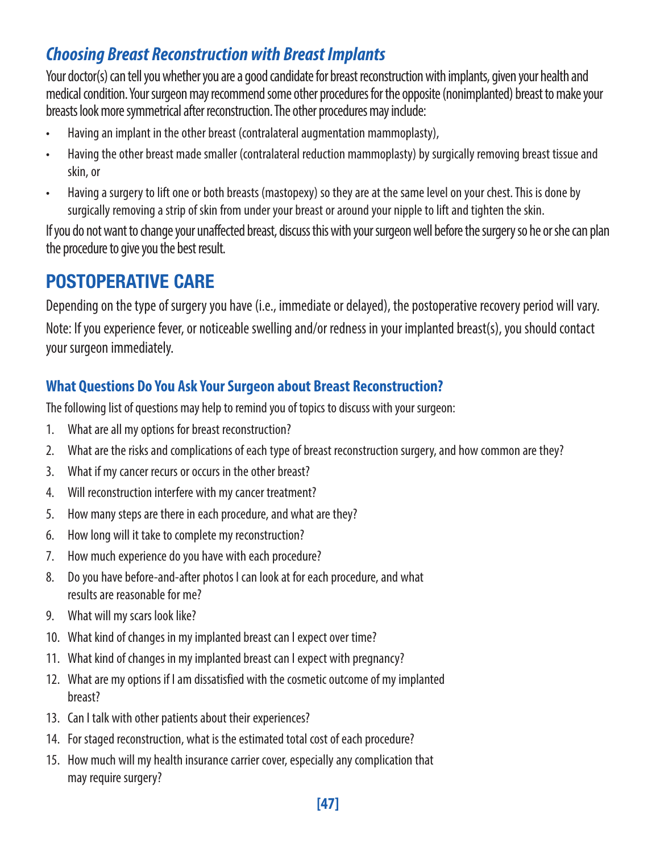### *Choosing Breast Reconstruction with Breast Implants*

Your doctor(s) can tell you whether you are a good candidate for breast reconstruction with implants, given your health and medical condition. Your surgeon may recommend some other procedures for the opposite (nonimplanted) breast to make your breasts look more symmetrical after reconstruction. The other procedures may include:

- Having an implant in the other breast (contralateral augmentation mammoplasty),
- Having the other breast made smaller (contralateral reduction mammoplasty) by surgically removing breast tissue and skin, or
- Having a surgery to lift one or both breasts (mastopexy) so they are at the same level on your chest. This is done by surgically removing a strip of skin from under your breast or around your nipple to lift and tighten the skin.

If you do not want to change your unaffected breast, discuss this with your surgeon well before the surgery so he or she can plan the procedure to give you the best result.

### POSTOPERATIVE CARE

Depending on the type of surgery you have (i.e., immediate or delayed), the postoperative recovery period will vary.

Note: If you experience fever, or noticeable swelling and/or redness in your implanted breast(s), you should contact your surgeon immediately.

### **What Questions Do You Ask Your Surgeon about Breast Reconstruction?**

The following list of questions may help to remind you of topics to discuss with your surgeon:

- 1. What are all my options for breast reconstruction?
- 2. What are the risks and complications of each type of breast reconstruction surgery, and how common are they?
- 3. What if my cancer recurs or occurs in the other breast?
- 4. Will reconstruction interfere with my cancer treatment?
- 5. How many steps are there in each procedure, and what are they?
- 6. How long will it take to complete my reconstruction?
- 7. How much experience do you have with each procedure?
- 8. Do you have before-and-after photos I can look at for each procedure, and what results are reasonable for me?
- 9. What will my scars look like?
- 10. What kind of changes in my implanted breast can I expect over time?
- 11. What kind of changes in my implanted breast can I expect with pregnancy?
- 12. What are my options if I am dissatisfied with the cosmetic outcome of my implanted breast?
- 13. Can I talk with other patients about their experiences?
- 14. For staged reconstruction, what is the estimated total cost of each procedure?
- 15. How much will my health insurance carrier cover, especially any complication that may require surgery?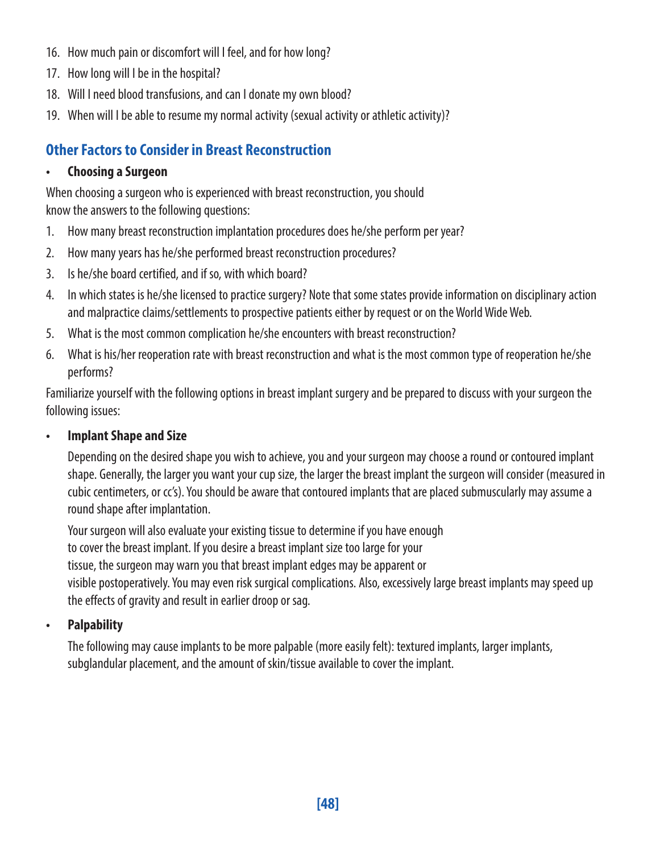- 16. How much pain or discomfort will I feel, and for how long?
- 17. How long will I be in the hospital?
- 18. Will I need blood transfusions, and can I donate my own blood?
- 19. When will I be able to resume my normal activity (sexual activity or athletic activity)?

### **Other Factors to Consider in Breast Reconstruction**

#### **• Choosing a Surgeon**

When choosing a surgeon who is experienced with breast reconstruction, you should know the answers to the following questions:

- 1. How many breast reconstruction implantation procedures does he/she perform per year?
- 2. How many years has he/she performed breast reconstruction procedures?
- 3. Is he/she board certified, and if so, with which board?
- 4. In which states is he/she licensed to practice surgery? Note that some states provide information on disciplinary action and malpractice claims/settlements to prospective patients either by request or on the World Wide Web.
- 5. What is the most common complication he/she encounters with breast reconstruction?
- 6. What is his/her reoperation rate with breast reconstruction and what is the most common type of reoperation he/she performs?

Familiarize yourself with the following options in breast implant surgery and be prepared to discuss with your surgeon the following issues:

#### **• Implant Shape and Size**

Depending on the desired shape you wish to achieve, you and your surgeon may choose a round or contoured implant shape. Generally, the larger you want your cup size, the larger the breast implant the surgeon will consider (measured in cubic centimeters, or cc's). You should be aware that contoured implants that are placed submuscularly may assume a round shape after implantation.

Your surgeon will also evaluate your existing tissue to determine if you have enough to cover the breast implant. If you desire a breast implant size too large for your tissue, the surgeon may warn you that breast implant edges may be apparent or visible postoperatively. You may even risk surgical complications. Also, excessively large breast implants may speed up the effects of gravity and result in earlier droop or sag.

#### **• Palpability**

The following may cause implants to be more palpable (more easily felt): textured implants, larger implants, subglandular placement, and the amount of skin/tissue available to cover the implant.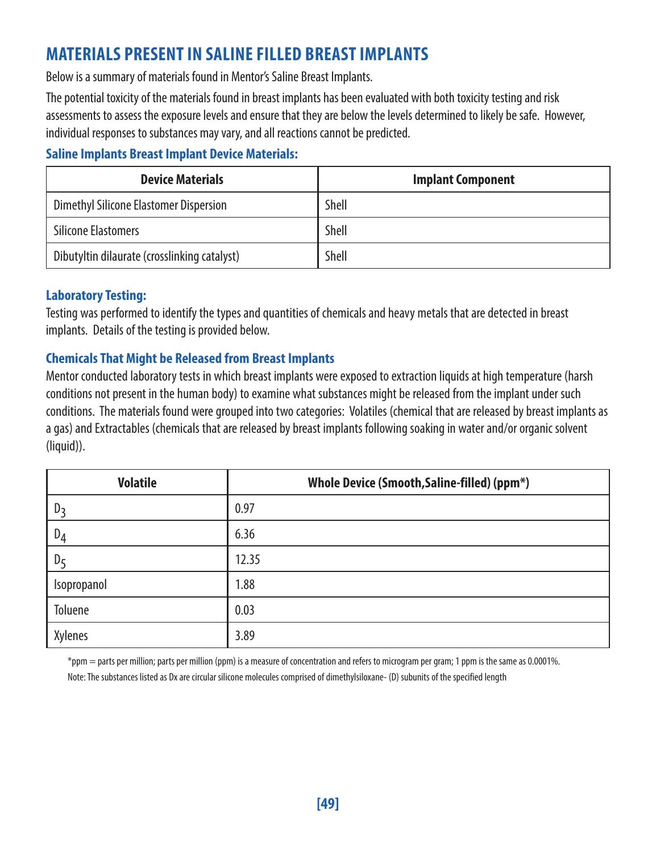### **MATERIALS PRESENT IN SALINE FILLED BREAST IMPLANTS**

Below is a summary of materials found in Mentor's Saline Breast Implants.

The potential toxicity of the materials found in breast implants has been evaluated with both toxicity testing and risk assessments to assess the exposure levels and ensure that they are below the levels determined to likely be safe. However, individual responses to substances may vary, and all reactions cannot be predicted.

#### **Saline Implants Breast Implant Device Materials:**

| <b>Device Materials</b>                      | <b>Implant Component</b> |
|----------------------------------------------|--------------------------|
| Dimethyl Silicone Elastomer Dispersion       | Shell                    |
| <b>Silicone Elastomers</b>                   | Shell                    |
| Dibutyltin dilaurate (crosslinking catalyst) | Shell                    |

#### **Laboratory Testing:**

Testing was performed to identify the types and quantities of chemicals and heavy metals that are detected in breast implants. Details of the testing is provided below.

#### **Chemicals That Might be Released from Breast Implants**

Mentor conducted laboratory tests in which breast implants were exposed to extraction liquids at high temperature (harsh conditions not present in the human body) to examine what substances might be released from the implant under such conditions. The materials found were grouped into two categories: Volatiles (chemical that are released by breast implants as a gas) and Extractables (chemicals that are released by breast implants following soaking in water and/or organic solvent (liquid)).

| <b>Volatile</b> | Whole Device (Smooth, Saline-filled) (ppm*) |
|-----------------|---------------------------------------------|
| D               | 0.97                                        |
| $D_4$           | 6.36                                        |
| $D_5$           | 12.35                                       |
| Isopropanol     | 1.88                                        |
| Toluene         | 0.03                                        |
| Xylenes         | 3.89                                        |

\*ppm = parts per million; parts per million (ppm) is a measure of concentration and refers to microgram per gram; 1 ppm is the same as 0.0001%.

Note: The substances listed as Dx are circular silicone molecules comprised of dimethylsiloxane- (D) subunits of the specified length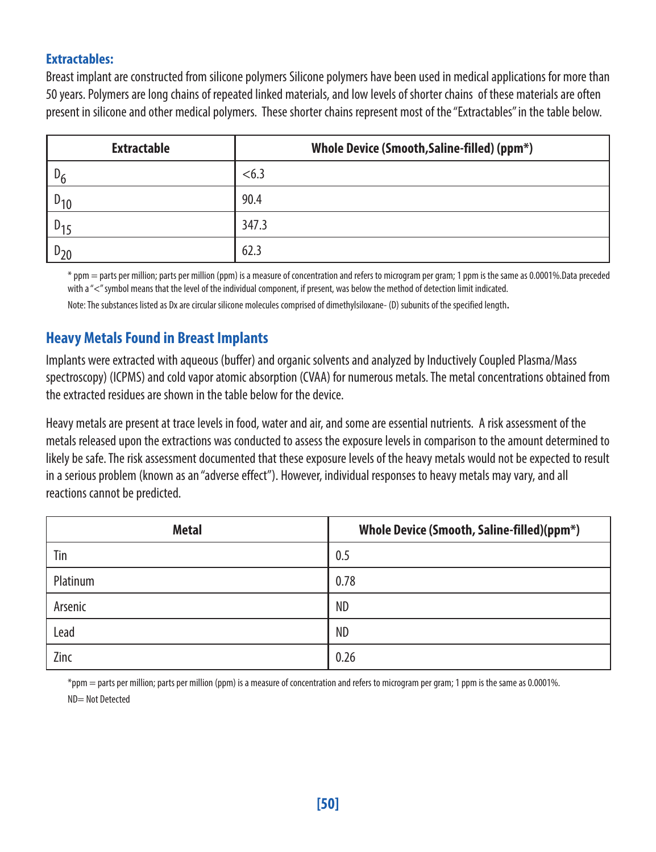#### **Extractables:**

Breast implant are constructed from silicone polymers Silicone polymers have been used in medical applications for more than 50 years. Polymers are long chains of repeated linked materials, and low levels of shorter chains of these materials are often present in silicone and other medical polymers. These shorter chains represent most of the "Extractables" in the table below.

| <b>Extractable</b> | Whole Device (Smooth, Saline-filled) (ppm*) |
|--------------------|---------------------------------------------|
| D                  | < 6.3                                       |
|                    | 90.4                                        |
| $U_{1}r$           | 347.3                                       |
|                    | 62.3                                        |

\* ppm = parts per million; parts per million (ppm) is a measure of concentration and refers to microgram per gram; 1 ppm is the same as 0.0001%.Data preceded with a "<" symbol means that the level of the individual component, if present, was below the method of detection limit indicated.

Note: The substances listed as Dx are circular silicone molecules comprised of dimethylsiloxane- (D) subunits of the specified length.

#### **Heavy Metals Found in Breast Implants**

Implants were extracted with aqueous (buffer) and organic solvents and analyzed by Inductively Coupled Plasma/Mass spectroscopy) (ICPMS) and cold vapor atomic absorption (CVAA) for numerous metals. The metal concentrations obtained from the extracted residues are shown in the table below for the device.

Heavy metals are present at trace levels in food, water and air, and some are essential nutrients. A risk assessment of the metals released upon the extractions was conducted to assess the exposure levels in comparison to the amount determined to likely be safe. The risk assessment documented that these exposure levels of the heavy metals would not be expected to result in a serious problem (known as an "adverse effect"). However, individual responses to heavy metals may vary, and all reactions cannot be predicted.

| <b>Metal</b> | Whole Device (Smooth, Saline-filled)(ppm*) |
|--------------|--------------------------------------------|
| Tin          | 0.5                                        |
| Platinum     | 0.78                                       |
| Arsenic      | <b>ND</b>                                  |
| Lead         | <b>ND</b>                                  |
| Zinc         | 0.26                                       |

\*ppm = parts per million; parts per million (ppm) is a measure of concentration and refers to microgram per gram; 1 ppm is the same as 0.0001%. ND= Not Detected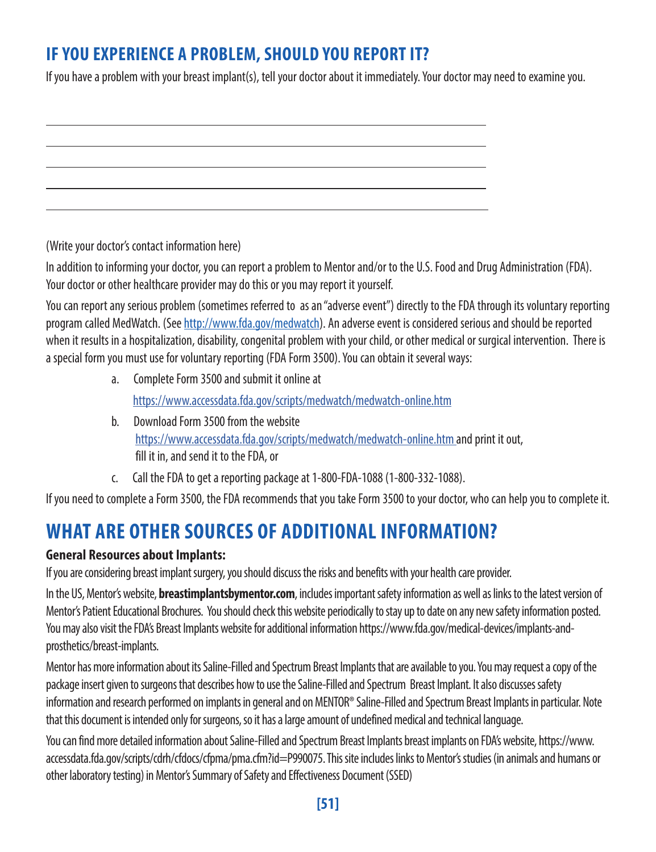### **IF YOU EXPERIENCE A PROBLEM, SHOULD YOU REPORT IT?**

If you have a problem with your breast implant(s), tell your doctor about it immediately. Your doctor may need to examine you.

l l l l

(Write your doctor's contact information here)

l

In addition to informing your doctor, you can report a problem to Mentor and/or to the U.S. Food and Drug Administration (FDA). Your doctor or other healthcare provider may do this or you may report it yourself.

You can report any serious problem (sometimes referred to as an "adverse event") directly to the FDA through its voluntary reporting program called MedWatch. (See http://www.fda.gov/medwatch). An adverse event is considered serious and should be reported when it results in a hospitalization, disability, congenital problem with your child, or other medical or surgical intervention. There is a special form you must use for voluntary reporting (FDA Form 3500). You can obtain it several ways:

- a. Complete Form 3500 and submit it online at <https://www.accessdata.fda.gov/scripts/medwatch/medwatch-online.htm>
- b. Download Form 3500 from the website <https://www.accessdata.fda.gov/scripts/medwatch/medwatch-online.htm> and print it out, fill it in, and send it to the FDA, or
- c. Call the FDA to get a reporting package at 1-800-FDA-1088 (1-800-332-1088).

If you need to complete a Form 3500, the FDA recommends that you take Form 3500 to your doctor, who can help you to complete it.

### **WHAT ARE OTHER SOURCES OF ADDITIONAL INFORMATION?**

#### **General Resources about Implants:**

If you are considering breast implant surgery, you should discuss the risks and benefits with your health care provider.

In the US, Mentor's website, **[breastimplantsbymentor.com](http://breastimplantsbymentor.com)**, includes important safety information as well as links to the latest version of Mentor's Patient Educational Brochures. You should check this website periodically to stay up to date on any new safety information posted. You may also visit the FDA's Breast Implants website for additional information https://www.fda.gov/medical-devices/implants-andprosthetics/breast-implants.

Mentor has more information about its Saline-Filled and Spectrum Breast Implants that are available to you. You may request a copy of the package insert given to surgeons that describes how to use the Saline-Filled and Spectrum Breast Implant. It also discusses safety information and research performed on implants in general and on MENTOR® Saline-Filled and Spectrum Breast Implants in particular. Note that this document is intended only for surgeons, so it has a large amount of undefined medical and technical language.

You can find more detailed information about Saline-Filled and Spectrum Breast Implants breast implants on FDA's website, https://www. accessdata.fda.gov/scripts/cdrh/cfdocs/cfpma/pma.cfm?id=P990075. This site includes links to Mentor's studies (in animals and humans or other laboratory testing) in Mentor's Summary of Safety and Effectiveness Document (SSED)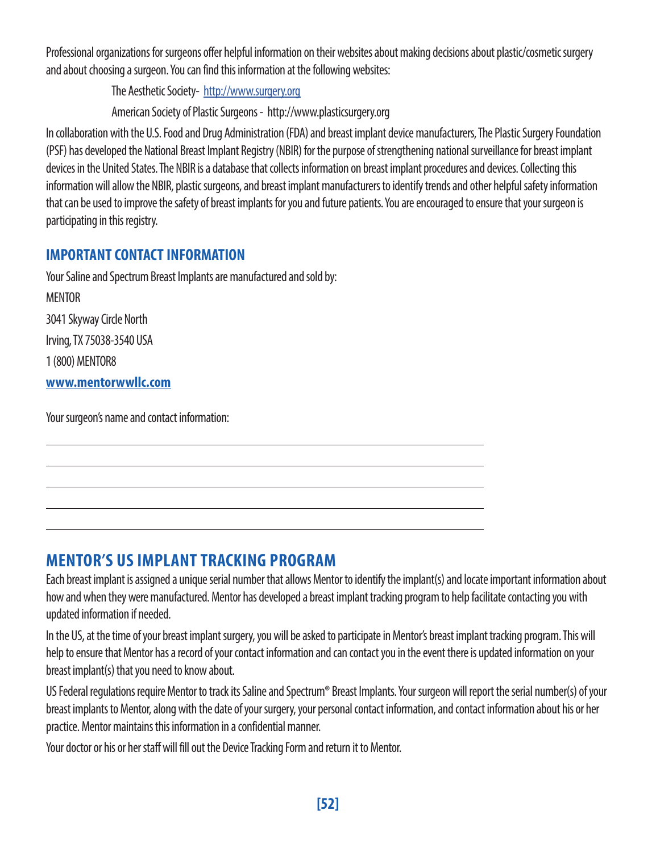Professional organizations for surgeons offer helpful information on their websites about making decisions about plastic/cosmetic surgery and about choosing a surgeon. You can find this information at the following websites:

The Aesthetic Society- http://www.surgery.org

American Society of Plastic Surgeons - http://www.plasticsurgery.org

In collaboration with the U.S. Food and Drug Administration (FDA) and breast implant device manufacturers, The Plastic Surgery Foundation (PSF) has developed the National Breast Implant Registry (NBIR) for the purpose of strengthening national surveillance for breast implant devices in the United States. The NBIR is a database that collects information on breast implant procedures and devices. Collecting this information will allow the NBIR, plastic surgeons, and breast implant manufacturers to identify trends and other helpful safety information that can be used to improve the safety of breast implants for you and future patients. You are encouraged to ensure that your surgeon is participating in this registry.

#### **IMPORTANT CONTACT INFORMATION**

Your Saline and Spectrum Breast Implants are manufactured and sold by:

MENTOR 3041 Skyway Circle North Irving, TX 75038-3540 USA 1 (800) MENTOR8

**www.mentorwwllc.com**

l

Your surgeon's name and contact information:

### **MENTOR'S US IMPLANT TRACKING PROGRAM**

Each breast implant is assigned a unique serial number that allows Mentor to identify the implant(s) and locate important information about how and when they were manufactured. Mentor has developed a breast implant tracking program to help facilitate contacting you with updated information if needed.

l l l l

In the US, at the time of your breast implant surgery, you will be asked to participate in Mentor's breast implant tracking program. This will help to ensure that Mentor has a record of your contact information and can contact you in the event there is updated information on your breast implant(s) that you need to know about.

US Federal regulations require Mentor to track its Saline and Spectrum® Breast Implants. Your surgeon will report the serial number(s) of your breast implants to Mentor, along with the date of your surgery, your personal contact information, and contact information about his or her practice. Mentor maintains this information in a confidential manner.

Your doctor or his or her staff will fill out the Device Tracking Form and return it to Mentor.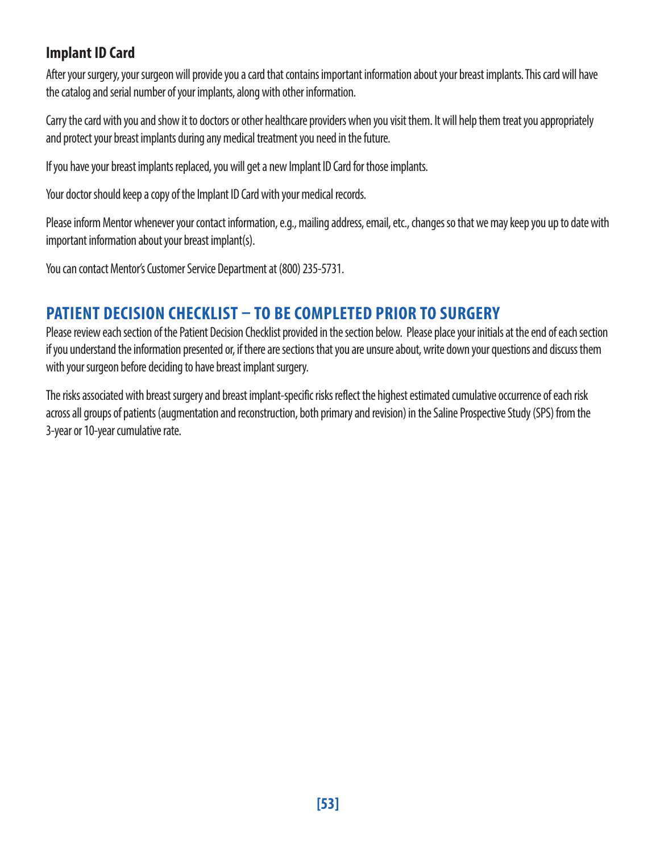#### **Implant ID Card**

After your surgery, your surgeon will provide you a card that contains important information about your breast implants. This card will have the catalog and serial number of your implants, along with other information.

Carry the card with you and show it to doctors or other healthcare providers when you visit them. It will help them treat you appropriately and protect your breast implants during any medical treatment you need in the future.

If you have your breast implants replaced, you will get a new Implant ID Card for those implants.

Your doctor should keep a copy of the Implant ID Card with your medical records.

Please inform Mentor whenever your contact information, e.g., mailing address, email, etc., changes so that we may keep you up to date with important information about your breast implant(s).

You can contact Mentor's Customer Service Department at (800) 235-5731.

### **PATIENT DECISION CHECKLIST – TO BE COMPLETED PRIOR TO SURGERY**

Please review each section of the Patient Decision Checklist provided in the section below. Please place your initials at the end of each section if you understand the information presented or, if there are sections that you are unsure about, write down your questions and discuss them with your surgeon before deciding to have breast implant surgery.

The risks associated with breast surgery and breast implant-specific risks reflect the highest estimated cumulative occurrence of each risk across all groups of patients (augmentation and reconstruction, both primary and revision) in the Saline Prospective Study (SPS) from the 3-year or 10-year cumulative rate.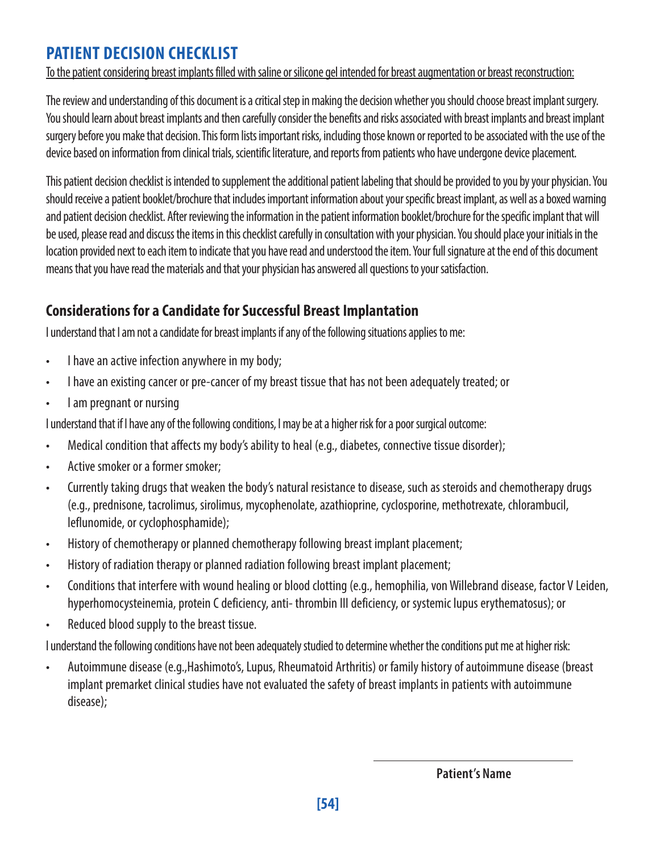### **PATIENT DECISION CHECKLIST**

To the patient considering breast implants filled with saline or silicone gel intended for breast augmentation or breast reconstruction:

The review and understanding of this document is a critical step in making the decision whether you should choose breast implant surgery. You should learn about breast implants and then carefully consider the benefits and risks associated with breast implants and breast implant surgery before you make that decision. This form lists important risks, including those known or reported to be associated with the use of the device based on information from clinical trials, scientific literature, and reports from patients who have undergone device placement.

This patient decision checklist is intended to supplement the additional patient labeling that should be provided to you by your physician. You should receive a patient booklet/brochure that includes important information about your specific breast implant, as well as a boxed warning and patient decision checklist. After reviewing the information in the patient information booklet/brochure for the specific implant that will be used, please read and discuss the items in this checklist carefully in consultation with your physician. You should place your initials in the location provided next to each item to indicate that you have read and understood the item. Your full signature at the end of this document means that you have read the materials and that your physician has answered all questions to your satisfaction.

### **Considerations for a Candidate for Successful Breast Implantation**

I understand that I am not a candidate for breast implants if any of the following situations applies to me:

- I have an active infection anywhere in my body;
- I have an existing cancer or pre-cancer of my breast tissue that has not been adequately treated; or
- I am pregnant or nursing

I understand that if I have any of the following conditions, I may be at a higher risk for a poor surgical outcome:

- Medical condition that affects my body's ability to heal (e.g., diabetes, connective tissue disorder);
- Active smoker or a former smoker;
- Currently taking drugs that weaken the body's natural resistance to disease, such as steroids and chemotherapy drugs (e.g., prednisone, tacrolimus, sirolimus, mycophenolate, azathioprine, cyclosporine, methotrexate, chlorambucil, leflunomide, or cyclophosphamide);
- History of chemotherapy or planned chemotherapy following breast implant placement;
- History of radiation therapy or planned radiation following breast implant placement;
- Conditions that interfere with wound healing or blood clotting (e.g., hemophilia, von Willebrand disease, factor V Leiden, hyperhomocysteinemia, protein C deficiency, anti- thrombin III deficiency, or systemic lupus erythematosus); or
- Reduced blood supply to the breast tissue.

I understand the following conditions have not been adequately studied to determine whether the conditions put me at higher risk:

• Autoimmune disease (e.g.,Hashimoto's, Lupus, Rheumatoid Arthritis) or family history of autoimmune disease (breast implant premarket clinical studies have not evaluated the safety of breast implants in patients with autoimmune disease);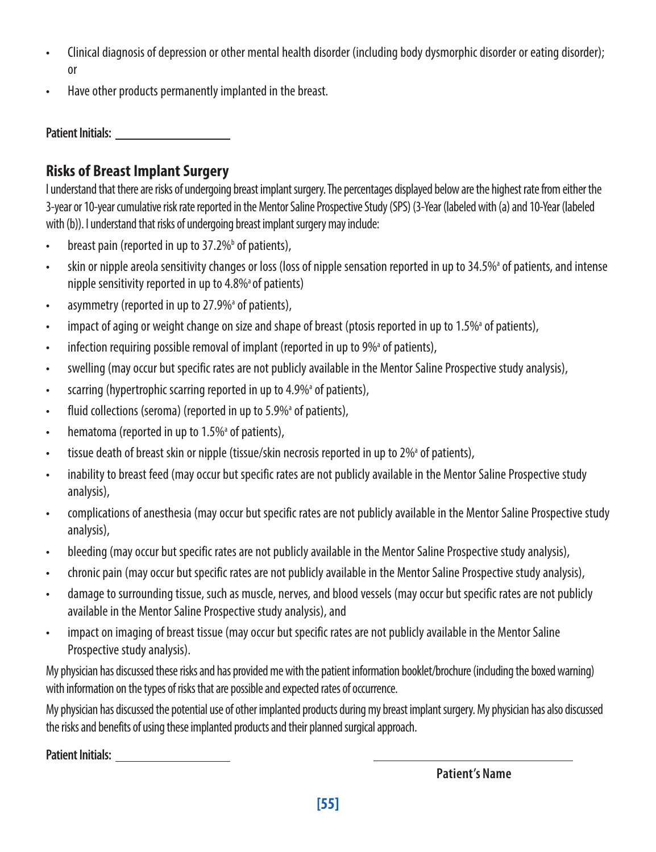- Clinical diagnosis of depression or other mental health disorder (including body dysmorphic disorder or eating disorder); or
- Have other products permanently implanted in the breast.

**Patient Initials:** 

#### **Risks of Breast Implant Surgery**

I understand that there are risks of undergoing breast implant surgery. The percentages displayed below are the highest rate from either the 3-year or 10-year cumulative risk rate reported in the Mentor Saline Prospective Study (SPS) (3-Year (labeled with (a) and 10-Year (labeled with (b)). I understand that risks of undergoing breast implant surgery may include:

- breast pain (reported in up to  $37.2\%$ <sup>b</sup> of patients),
- skin or nipple areola sensitivity changes or loss (loss of nipple sensation reported in up to 34.5% of patients, and intense nipple sensitivity reported in up to  $4.8\%$ <sup>a</sup> of patients)
- asymmetry (reported in up to 27.9%<sup>a</sup> of patients),
- impact of aging or weight change on size and shape of breast (ptosis reported in up to 1.5%<sup>a</sup> of patients),
- infection requiring possible removal of implant (reported in up to 9%<sup>a</sup> of patients),
- swelling (may occur but specific rates are not publicly available in the Mentor Saline Prospective study analysis),
- scarring (hypertrophic scarring reported in up to 4.9%<sup>a</sup> of patients),
- fluid collections (seroma) (reported in up to 5.9%<sup>a</sup> of patients),
- hematoma (reported in up to 1.5%<sup>a</sup> of patients),
- tissue death of breast skin or nipple (tissue/skin necrosis reported in up to 2%<sup>a</sup> of patients),
- inability to breast feed (may occur but specific rates are not publicly available in the Mentor Saline Prospective study analysis),
- complications of anesthesia (may occur but specific rates are not publicly available in the Mentor Saline Prospective study analysis),
- bleeding (may occur but specific rates are not publicly available in the Mentor Saline Prospective study analysis),
- chronic pain (may occur but specific rates are not publicly available in the Mentor Saline Prospective study analysis),
- damage to surrounding tissue, such as muscle, nerves, and blood vessels (may occur but specific rates are not publicly available in the Mentor Saline Prospective study analysis), and
- impact on imaging of breast tissue (may occur but specific rates are not publicly available in the Mentor Saline Prospective study analysis).

My physician has discussed these risks and has provided me with the patient information booklet/brochure (including the boxed warning) with information on the types of risks that are possible and expected rates of occurrence.

My physician has discussed the potential use of other implanted products during my breast implant surgery. My physician has also discussed the risks and benefits of using these implanted products and their planned surgical approach.

**Patient Initials:**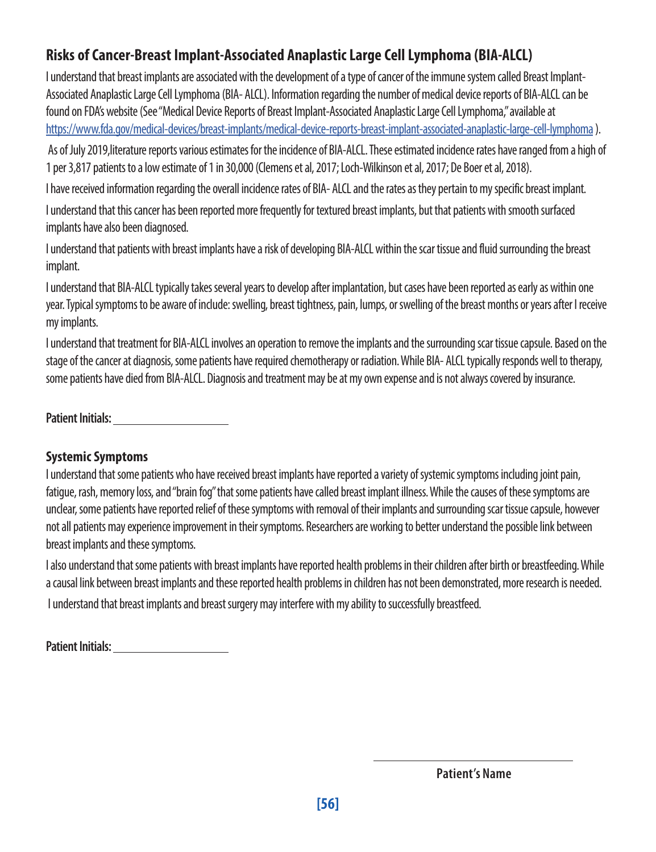### **Risks of Cancer-Breast Implant-Associated Anaplastic Large Cell Lymphoma (BIA-ALCL)**

I understand that breast implants are associated with the development of a type of cancer of the immune system called Breast Implant-Associated Anaplastic Large Cell Lymphoma (BIA- ALCL). Information regarding the number of medical device reports of BIA-ALCL can be found on FDA's website (See "Medical Device Reports of Breast Implant-Associated Anaplastic Large Cell Lymphoma," available at <https://www.fda.gov/medical-devices/breast-implants/medical-device-reports-breast-implant-associated-anaplastic-large-cell-lymphoma>).

 As of July 2019,literature reports various estimates for the incidence of BIA-ALCL. These estimated incidence rates have ranged from a high of 1 per 3,817 patients to a low estimate of 1 in 30,000 (Clemens et al, 2017; Loch-Wilkinson et al, 2017; De Boer et al, 2018).

I have received information regarding the overall incidence rates of BIA- ALCL and the rates as they pertain to my specific breast implant. I understand that this cancer has been reported more frequently for textured breast implants, but that patients with smooth surfaced implants have also been diagnosed.

I understand that patients with breast implants have a risk of developing BIA-ALCL within the scar tissue and fluid surrounding the breast implant.

I understand that BIA-ALCL typically takes several years to develop after implantation, but cases have been reported as early as within one year. Typical symptoms to be aware of include: swelling, breast tightness, pain, lumps, or swelling of the breast months or years after I receive my implants.

I understand that treatment for BIA-ALCL involves an operation to remove the implants and the surrounding scar tissue capsule. Based on the stage of the cancer at diagnosis, some patients have required chemotherapy or radiation. While BIA- ALCL typically responds well to therapy, some patients have died from BIA-ALCL. Diagnosis and treatment may be at my own expense and is not always covered by insurance.

**Patient Initials:** 

#### **Systemic Symptoms**

I understand that some patients who have received breast implants have reported a variety of systemic symptoms including joint pain, fatigue, rash, memory loss, and "brain fog" that some patients have called breast implant illness. While the causes of these symptoms are unclear, some patients have reported relief of these symptoms with removal of their implants and surrounding scar tissue capsule, however not all patients may experience improvement in their symptoms. Researchers are working to better understand the possible link between breast implants and these symptoms.

I also understand that some patients with breast implants have reported health problems in their children after birth or breastfeeding. While a causal link between breast implants and these reported health problems in children has not been demonstrated, more research is needed.

I understand that breast implants and breast surgery may interfere with my ability to successfully breastfeed.

| <b>Patient Initials:</b> |  |
|--------------------------|--|
|                          |  |

**Patient's Name**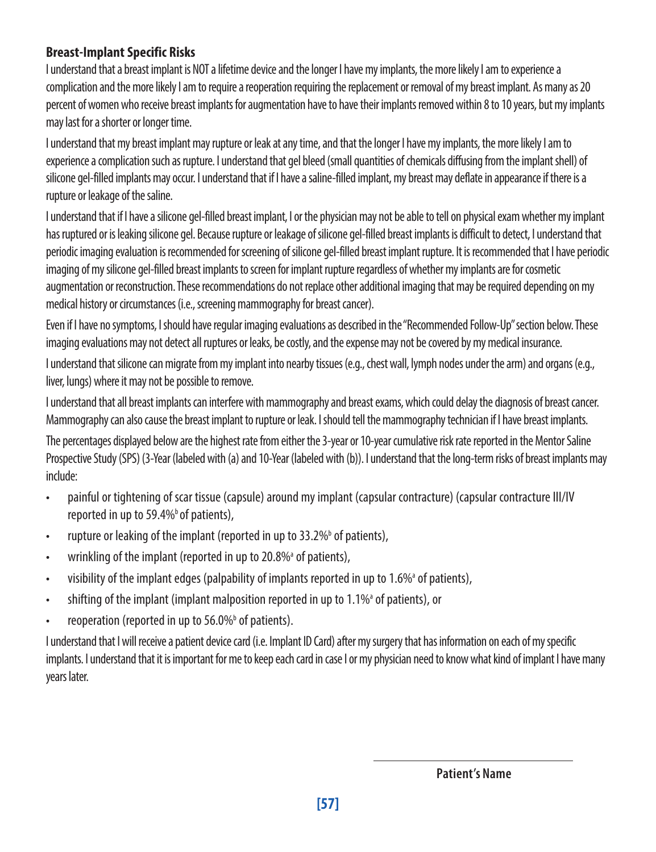#### **Breast-Implant Specific Risks**

I understand that a breast implant is NOT a lifetime device and the longer I have my implants, the more likely I am to experience a complication and the more likely I am to require a reoperation requiring the replacement or removal of my breast implant. As many as 20 percent of women who receive breast implants for augmentation have to have their implants removed within 8 to 10 years, but my implants may last for a shorter or longer time.

I understand that my breast implant may rupture or leak at any time, and that the longer I have my implants, the more likely I am to experience a complication such as rupture. I understand that gel bleed (small quantities of chemicals diffusing from the implant shell) of silicone gel-filled implants may occur. I understand that if I have a saline-filled implant, my breast may deflate in appearance if there is a rupture or leakage of the saline.

I understand that if I have a silicone gel-filled breast implant, I or the physician may not be able to tell on physical exam whether my implant has ruptured or is leaking silicone gel. Because rupture or leakage of silicone gel-filled breast implants is difficult to detect, I understand that periodic imaging evaluation is recommended for screening of silicone gel-filled breast implant rupture. It is recommended that I have periodic imaging of my silicone gel-filled breast implants to screen for implant rupture regardless of whether my implants are for cosmetic augmentation or reconstruction. These recommendations do not replace other additional imaging that may be required depending on my medical history or circumstances (i.e., screening mammography for breast cancer).

Even if I have no symptoms, I should have regular imaging evaluations as described in the "Recommended Follow-Up" section below. These imaging evaluations may not detect all ruptures or leaks, be costly, and the expense may not be covered by my medical insurance.

I understand that silicone can migrate from my implant into nearby tissues (e.g., chest wall, lymph nodes under the arm) and organs (e.g., liver, lungs) where it may not be possible to remove.

I understand that all breast implants can interfere with mammography and breast exams, which could delay the diagnosis of breast cancer. Mammography can also cause the breast implant to rupture or leak. I should tell the mammography technician if I have breast implants.

The percentages displayed below are the highest rate from either the 3-year or 10-year cumulative risk rate reported in the Mentor Saline Prospective Study (SPS) (3-Year (labeled with (a) and 10-Year (labeled with (b)). I understand that the long-term risks of breast implants may include:

- painful or tightening of scar tissue (capsule) around my implant (capsular contracture) (capsular contracture III/IV reported in up to 59.4% of patients),
- rupture or leaking of the implant (reported in up to 33.2%<sup>b</sup> of patients),
- wrinkling of the implant (reported in up to 20.8%<sup>a</sup> of patients),
- visibility of the implant edges (palpability of implants reported in up to 1.6%<sup>a</sup> of patients),
- shifting of the implant (implant malposition reported in up to 1.1%<sup>a</sup> of patients), or
- reoperation (reported in up to 56.0%<sup>b</sup> of patients).

I understand that I will receive a patient device card (i.e. Implant ID Card) after my surgery that has information on each of my specific implants. I understand that it is important for me to keep each card in case I or my physician need to know what kind of implant I have many years later.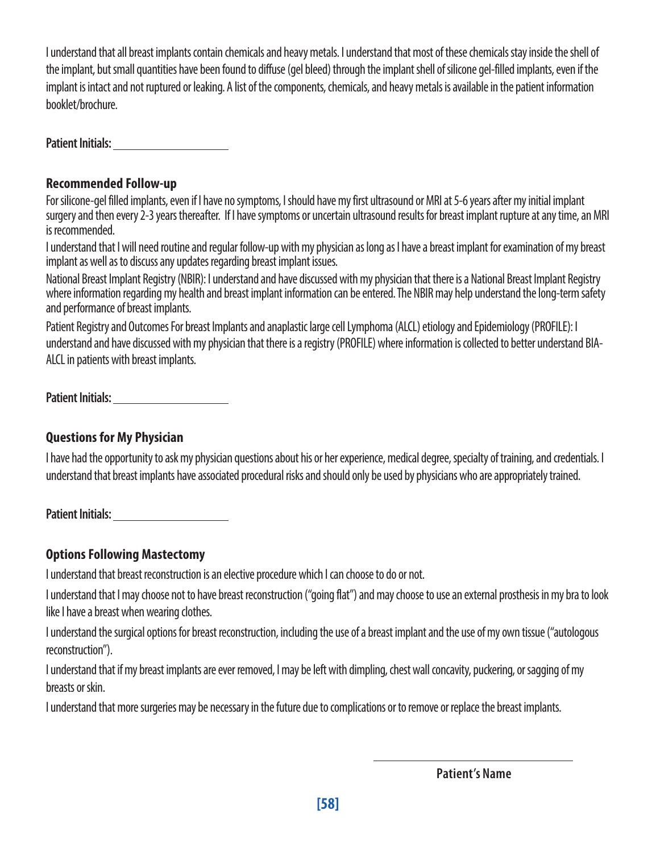I understand that all breast implants contain chemicals and heavy metals. I understand that most of these chemicals stay inside the shell of the implant, but small quantities have been found to diffuse (gel bleed) through the implant shell of silicone gel-filled implants, even if the implant is intact and not ruptured or leaking. A list of the components, chemicals, and heavy metals is available in the patient information booklet/brochure.

**Patient Initials:** 

#### **Recommended Follow-up**

For silicone-gel filled implants, even if I have no symptoms, I should have my first ultrasound or MRI at 5-6 years after my initial implant surgery and then every 2-3 years thereafter. If I have symptoms or uncertain ultrasound results for breast implant rupture at any time, an MRI is recommended.

I understand that I will need routine and regular follow-up with my physician as long as I have a breast implant for examination of my breast implant as well as to discuss any updates regarding breast implant issues.

National Breast Implant Registry (NBIR): I understand and have discussed with my physician that there is a National Breast Implant Registry where information regarding my health and breast implant information can be entered. The NBIR may help understand the long-term safety and performance of breast implants.

Patient Registry and Outcomes For breast Implants and anaplastic large cell Lymphoma (ALCL) etiology and Epidemiology (PROFILE): I understand and have discussed with my physician that there is a registry (PROFILE) where information is collected to better understand BIA-ALCL in patients with breast implants.

**Patient Initials:** 

#### **Questions for My Physician**

I have had the opportunity to ask my physician questions about his or her experience, medical degree, specialty of training, and credentials. I understand that breast implants have associated procedural risks and should only be used by physicians who are appropriately trained.

**Patient Initials:** 

#### **Options Following Mastectomy**

I understand that breast reconstruction is an elective procedure which I can choose to do or not.

I understand that I may choose not to have breast reconstruction ("going flat") and may choose to use an external prosthesis in my bra to look like I have a breast when wearing clothes.

I understand the surgical options for breast reconstruction, including the use of a breast implant and the use of my own tissue ("autologous reconstruction").

I understand that if my breast implants are ever removed, I may be left with dimpling, chest wall concavity, puckering, or sagging of my breasts or skin.

I understand that more surgeries may be necessary in the future due to complications or to remove or replace the breast implants.

**Patient's Name**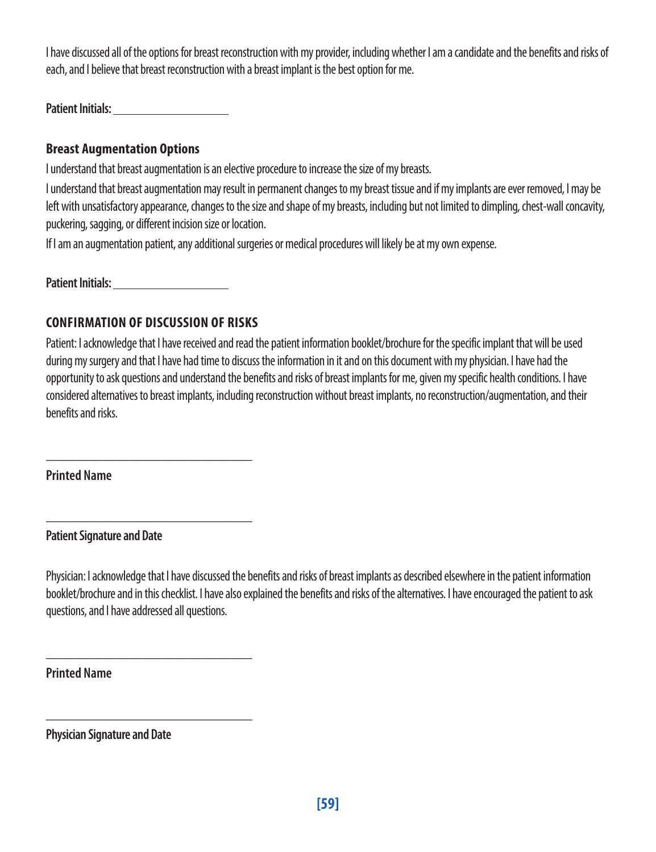I have discussed all of the options for breast reconstruction with my provider, including whether I am a candidate and the benefits and risks of each, and I believe that breast reconstruction with a breast implant is the best option for me.

**Patient Initials:** 

#### **Breast Augmentation Options**

I understand that breast augmentation is an elective procedure to increase the size of my breasts.

I understand that breast augmentation may result in permanent changes to my breast tissue and if my implants are ever removed, I may be left with unsatisfactory appearance, changes to the size and shape of my breasts, including but not limited to dimpling, chest-wall concavity, puckering, sagging, or different incision size or location.

If I am an augmentation patient, any additional surgeries or medical procedures will likely be at my own expense.

**Patient Initials:** 

#### **CONFIRMATION OF DISCUSSION OF RISKS**

\_\_\_\_\_\_\_\_\_\_\_\_\_\_\_\_\_\_\_\_\_\_\_\_\_\_\_\_\_\_\_

\_\_\_\_\_\_\_\_\_\_\_\_\_\_\_\_\_\_\_\_\_\_\_\_\_\_\_\_\_\_\_

\_\_\_\_\_\_\_\_\_\_\_\_\_\_\_\_\_\_\_\_\_\_\_\_\_\_\_\_\_\_\_

\_\_\_\_\_\_\_\_\_\_\_\_\_\_\_\_\_\_\_\_\_\_\_\_\_\_\_\_\_\_\_

Patient: I acknowledge that I have received and read the patient information booklet/brochure for the specific implant that will be used during my surgery and that I have had time to discuss the information in it and on this document with my physician. I have had the opportunity to ask questions and understand the benefits and risks of breast implants for me, given my specific health conditions. I have considered alternatives to breast implants, including reconstruction without breast implants, no reconstruction/augmentation, and their benefits and risks.

**Printed Name**

**Patient Signature and Date**

Physician: I acknowledge that I have discussed the benefits and risks of breast implants as described elsewhere in the patient information booklet/brochure and in this checklist. I have also explained the benefits and risks of the alternatives. I have encouraged the patient to ask questions, and I have addressed all questions.

**Printed Name**

**Physician Signature and Date**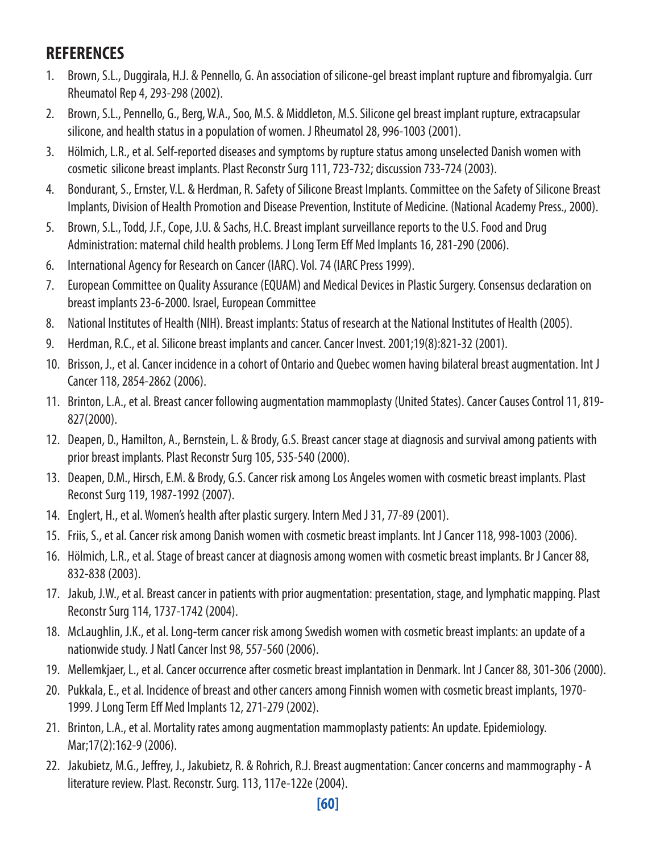### **REFERENCES**

- 1. Brown, S.L., Duggirala, H.J. & Pennello, G. An association of silicone-gel breast implant rupture and fibromyalgia. Curr Rheumatol Rep 4, 293-298 (2002).
- 2. Brown, S.L., Pennello, G., Berg, W.A., Soo, M.S. & Middleton, M.S. Silicone gel breast implant rupture, extracapsular silicone, and health status in a population of women. J Rheumatol 28, 996-1003 (2001).
- 3. Hölmich, L.R., et al. Self-reported diseases and symptoms by rupture status among unselected Danish women with cosmetic silicone breast implants. Plast Reconstr Surg 111, 723-732; discussion 733-724 (2003).
- 4. Bondurant, S., Ernster, V.L. & Herdman, R. Safety of Silicone Breast Implants. Committee on the Safety of Silicone Breast Implants, Division of Health Promotion and Disease Prevention, Institute of Medicine. (National Academy Press., 2000).
- 5. Brown, S.L., Todd, J.F., Cope, J.U. & Sachs, H.C. Breast implant surveillance reports to the U.S. Food and Drug Administration: maternal child health problems. J Long Term Eff Med Implants 16, 281-290 (2006).
- 6. International Agency for Research on Cancer (IARC). Vol. 74 (IARC Press 1999).
- 7. European Committee on Quality Assurance (EQUAM) and Medical Devices in Plastic Surgery. Consensus declaration on breast implants 23-6-2000. Israel, European Committee
- 8. National Institutes of Health (NIH). Breast implants: Status of research at the National Institutes of Health (2005).
- 9. Herdman, R.C., et al. Silicone breast implants and cancer. Cancer Invest. 2001;19(8):821-32 (2001).
- 10. Brisson, J., et al. Cancer incidence in a cohort of Ontario and Quebec women having bilateral breast augmentation. Int J Cancer 118, 2854-2862 (2006).
- 11. Brinton, L.A., et al. Breast cancer following augmentation mammoplasty (United States). Cancer Causes Control 11, 819- 827(2000).
- 12. Deapen, D., Hamilton, A., Bernstein, L. & Brody, G.S. Breast cancer stage at diagnosis and survival among patients with prior breast implants. Plast Reconstr Surg 105, 535-540 (2000).
- 13. Deapen, D.M., Hirsch, E.M. & Brody, G.S. Cancer risk among Los Angeles women with cosmetic breast implants. Plast Reconst Surg 119, 1987-1992 (2007).
- 14. Englert, H., et al. Women's health after plastic surgery. Intern Med J 31, 77-89 (2001).
- 15. Friis, S., et al. Cancer risk among Danish women with cosmetic breast implants. Int J Cancer 118, 998-1003 (2006).
- 16. Hölmich, L.R., et al. Stage of breast cancer at diagnosis among women with cosmetic breast implants. Br J Cancer 88, 832-838 (2003).
- 17. Jakub, J.W., et al. Breast cancer in patients with prior augmentation: presentation, stage, and lymphatic mapping. Plast Reconstr Surg 114, 1737-1742 (2004).
- 18. McLaughlin, J.K., et al. Long-term cancer risk among Swedish women with cosmetic breast implants: an update of a nationwide study. J Natl Cancer Inst 98, 557-560 (2006).
- 19. Mellemkjaer, L., et al. Cancer occurrence after cosmetic breast implantation in Denmark. Int J Cancer 88, 301-306 (2000).
- 20. Pukkala, E., et al. Incidence of breast and other cancers among Finnish women with cosmetic breast implants, 1970- 1999. J Long Term Eff Med Implants 12, 271-279 (2002).
- 21. Brinton, L.A., et al. Mortality rates among augmentation mammoplasty patients: An update. Epidemiology. Mar;17(2):162-9 (2006).
- 22. Jakubietz, M.G., Jeffrey, J., Jakubietz, R. & Rohrich, R.J. Breast augmentation: Cancer concerns and mammography A literature review. Plast. Reconstr. Surg. 113, 117e-122e (2004).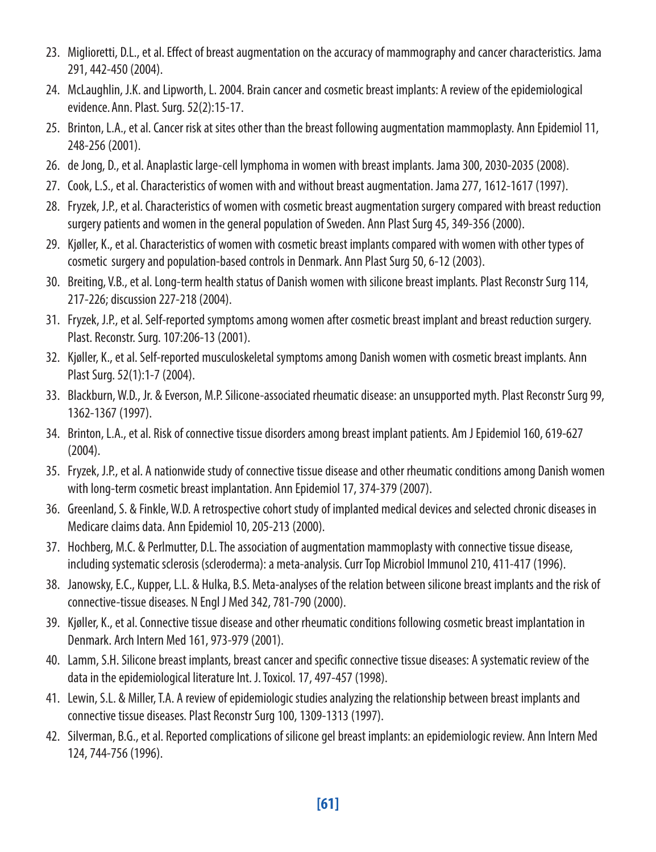- 23. Miglioretti, D.L., et al. Effect of breast augmentation on the accuracy of mammography and cancer characteristics. Jama 291, 442-450 (2004).
- 24. McLaughlin, J.K. and Lipworth, L. 2004. Brain cancer and cosmetic breast implants: A review of the epidemiological evidence.Ann. Plast. Surg. 52(2):15-17.
- 25. Brinton, L.A., et al. Cancer risk at sites other than the breast following augmentation mammoplasty. Ann Epidemiol 11, 248-256 (2001).
- 26. de Jong, D., et al. Anaplastic large-cell lymphoma in women with breast implants. Jama 300, 2030-2035 (2008).
- 27. Cook, L.S., et al. Characteristics of women with and without breast augmentation. Jama 277, 1612-1617 (1997).
- 28. Fryzek, J.P., et al. Characteristics of women with cosmetic breast augmentation surgery compared with breast reduction surgery patients and women in the general population of Sweden. Ann Plast Surg 45, 349-356 (2000).
- 29. Kjøller, K., et al. Characteristics of women with cosmetic breast implants compared with women with other types of cosmetic surgery and population-based controls in Denmark. Ann Plast Surg 50, 6-12 (2003).
- 30. Breiting, V.B., et al. Long-term health status of Danish women with silicone breast implants. Plast Reconstr Surg 114, 217-226; discussion 227-218 (2004).
- 31. Fryzek, J.P., et al. Self-reported symptoms among women after cosmetic breast implant and breast reduction surgery. Plast. Reconstr. Surg. 107:206-13 (2001).
- 32. Kjøller, K., et al. Self-reported musculoskeletal symptoms among Danish women with cosmetic breast implants. Ann Plast Surg. 52(1):1-7 (2004).
- 33. Blackburn, W.D., Jr. & Everson, M.P. Silicone-associated rheumatic disease: an unsupported myth. Plast Reconstr Surg 99, 1362-1367 (1997).
- 34. Brinton, L.A., et al. Risk of connective tissue disorders among breast implant patients. Am J Epidemiol 160, 619-627 (2004).
- 35. Fryzek, J.P., et al. A nationwide study of connective tissue disease and other rheumatic conditions among Danish women with long-term cosmetic breast implantation. Ann Epidemiol 17, 374-379 (2007).
- 36. Greenland, S. & Finkle, W.D. A retrospective cohort study of implanted medical devices and selected chronic diseases in Medicare claims data. Ann Epidemiol 10, 205-213 (2000).
- 37. Hochberg, M.C. & Perlmutter, D.L. The association of augmentation mammoplasty with connective tissue disease, including systematic sclerosis (scleroderma): a meta-analysis. Curr Top Microbiol Immunol 210, 411-417 (1996).
- 38. Janowsky, E.C., Kupper, L.L. & Hulka, B.S. Meta-analyses of the relation between silicone breast implants and the risk of connective-tissue diseases. N Engl J Med 342, 781-790 (2000).
- 39. Kjøller, K., et al. Connective tissue disease and other rheumatic conditions following cosmetic breast implantation in Denmark. Arch Intern Med 161, 973-979 (2001).
- 40. Lamm, S.H. Silicone breast implants, breast cancer and specific connective tissue diseases: A systematic review of the data in the epidemiological literature Int. J. Toxicol. 17, 497-457 (1998).
- 41. Lewin, S.L. & Miller, T.A. A review of epidemiologic studies analyzing the relationship between breast implants and connective tissue diseases. Plast Reconstr Surg 100, 1309-1313 (1997).
- 42. Silverman, B.G., et al. Reported complications of silicone gel breast implants: an epidemiologic review. Ann Intern Med 124, 744-756 (1996).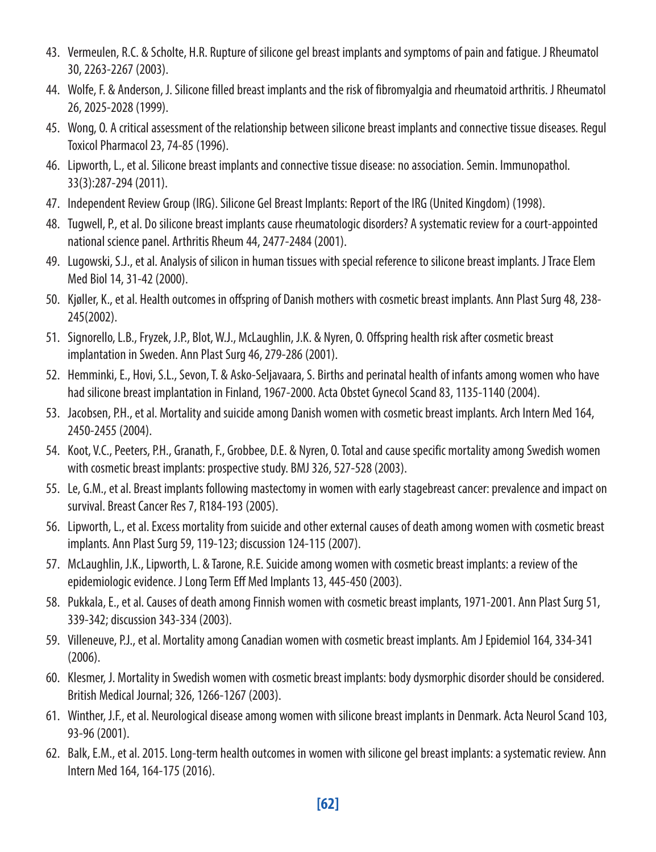- 43. Vermeulen, R.C. & Scholte, H.R. Rupture of silicone gel breast implants and symptoms of pain and fatigue. J Rheumatol 30, 2263-2267 (2003).
- 44. Wolfe, F. & Anderson, J. Silicone filled breast implants and the risk of fibromyalgia and rheumatoid arthritis. J Rheumatol 26, 2025-2028 (1999).
- 45. Wong, O. A critical assessment of the relationship between silicone breast implants and connective tissue diseases. Regul Toxicol Pharmacol 23, 74-85 (1996).
- 46. Lipworth, L., et al. Silicone breast implants and connective tissue disease: no association. Semin. Immunopathol. 33(3):287-294 (2011).
- 47. Independent Review Group (IRG). Silicone Gel Breast Implants: Report of the IRG (United Kingdom) (1998).
- 48. Tugwell, P., et al. Do silicone breast implants cause rheumatologic disorders? A systematic review for a court-appointed national science panel. Arthritis Rheum 44, 2477-2484 (2001).
- 49. Lugowski, S.J., et al. Analysis of silicon in human tissues with special reference to silicone breast implants. J Trace Elem Med Biol 14, 31-42 (2000).
- 50. Kjøller, K., et al. Health outcomes in offspring of Danish mothers with cosmetic breast implants. Ann Plast Surg 48, 238- 245(2002).
- 51. Signorello, L.B., Fryzek, J.P., Blot, W.J., McLaughlin, J.K. & Nyren, O. Offspring health risk after cosmetic breast implantation in Sweden. Ann Plast Surg 46, 279-286 (2001).
- 52. Hemminki, E., Hovi, S.L., Sevon, T. & Asko-Seljavaara, S. Births and perinatal health of infants among women who have had silicone breast implantation in Finland, 1967-2000. Acta Obstet Gynecol Scand 83, 1135-1140 (2004).
- 53. Jacobsen, P.H., et al. Mortality and suicide among Danish women with cosmetic breast implants. Arch Intern Med 164, 2450-2455 (2004).
- 54. Koot, V.C., Peeters, P.H., Granath, F., Grobbee, D.E. & Nyren, O. Total and cause specific mortality among Swedish women with cosmetic breast implants: prospective study. BMJ 326, 527-528 (2003).
- 55. Le, G.M., et al. Breast implants following mastectomy in women with early stagebreast cancer: prevalence and impact on survival. Breast Cancer Res 7, R184-193 (2005).
- 56. Lipworth, L., et al. Excess mortality from suicide and other external causes of death among women with cosmetic breast implants. Ann Plast Surg 59, 119-123; discussion 124-115 (2007).
- 57. McLaughlin, J.K., Lipworth, L. & Tarone, R.E. Suicide among women with cosmetic breast implants: a review of the epidemiologic evidence. J Long Term Eff Med Implants 13, 445-450 (2003).
- 58. Pukkala, E., et al. Causes of death among Finnish women with cosmetic breast implants, 1971-2001. Ann Plast Surg 51, 339-342; discussion 343-334 (2003).
- 59. Villeneuve, P.J., et al. Mortality among Canadian women with cosmetic breast implants. Am J Epidemiol 164, 334-341 (2006).
- 60. Klesmer, J. Mortality in Swedish women with cosmetic breast implants: body dysmorphic disorder should be considered. British Medical Journal; 326, 1266-1267 (2003).
- 61. Winther, J.F., et al. Neurological disease among women with silicone breast implants in Denmark. Acta Neurol Scand 103, 93-96 (2001).
- 62. Balk, E.M., et al. 2015. Long-term health outcomes in women with silicone gel breast implants: a systematic review. Ann Intern Med 164, 164-175 (2016).